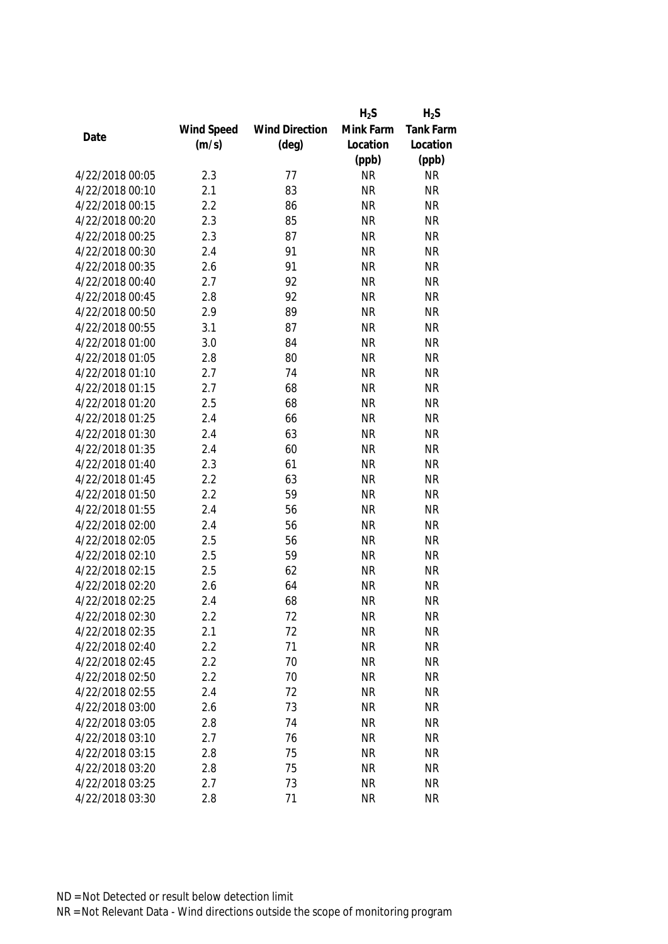|                 |            |                       | $H_2S$    | $H_2S$           |
|-----------------|------------|-----------------------|-----------|------------------|
|                 | Wind Speed | <b>Wind Direction</b> | Mink Farm | <b>Tank Farm</b> |
| Date            | (m/s)      | $(\text{deg})$        | Location  | Location         |
|                 |            |                       | (ppb)     | (ppb)            |
| 4/22/2018 00:05 | 2.3        | 77                    | <b>NR</b> | <b>NR</b>        |
| 4/22/2018 00:10 | 2.1        | 83                    | <b>NR</b> | <b>NR</b>        |
| 4/22/2018 00:15 | 2.2        | 86                    | <b>NR</b> | <b>NR</b>        |
| 4/22/2018 00:20 | 2.3        | 85                    | <b>NR</b> | <b>NR</b>        |
| 4/22/2018 00:25 | 2.3        | 87                    | <b>NR</b> | <b>NR</b>        |
| 4/22/2018 00:30 | 2.4        | 91                    | <b>NR</b> | <b>NR</b>        |
| 4/22/2018 00:35 | 2.6        | 91                    | <b>NR</b> | <b>NR</b>        |
| 4/22/2018 00:40 | 2.7        | 92                    | <b>NR</b> | <b>NR</b>        |
| 4/22/2018 00:45 | 2.8        | 92                    | <b>NR</b> | <b>NR</b>        |
| 4/22/2018 00:50 | 2.9        | 89                    | <b>NR</b> | <b>NR</b>        |
| 4/22/2018 00:55 | 3.1        | 87                    | <b>NR</b> | <b>NR</b>        |
| 4/22/2018 01:00 | 3.0        | 84                    | <b>NR</b> | <b>NR</b>        |
| 4/22/2018 01:05 | 2.8        | 80                    | <b>NR</b> | <b>NR</b>        |
| 4/22/2018 01:10 | 2.7        | 74                    | <b>NR</b> | <b>NR</b>        |
| 4/22/2018 01:15 | 2.7        | 68                    | <b>NR</b> | <b>NR</b>        |
| 4/22/2018 01:20 | 2.5        | 68                    | <b>NR</b> | <b>NR</b>        |
| 4/22/2018 01:25 | 2.4        | 66                    | <b>NR</b> | <b>NR</b>        |
| 4/22/2018 01:30 | 2.4        | 63                    | <b>NR</b> | <b>NR</b>        |
| 4/22/2018 01:35 | 2.4        | 60                    | <b>NR</b> | <b>NR</b>        |
| 4/22/2018 01:40 | 2.3        | 61                    | <b>NR</b> | <b>NR</b>        |
| 4/22/2018 01:45 | 2.2        | 63                    | <b>NR</b> | <b>NR</b>        |
| 4/22/2018 01:50 | 2.2        | 59                    | <b>NR</b> | <b>NR</b>        |
| 4/22/2018 01:55 | 2.4        | 56                    | <b>NR</b> | <b>NR</b>        |
| 4/22/2018 02:00 | 2.4        | 56                    | <b>NR</b> | <b>NR</b>        |
| 4/22/2018 02:05 | 2.5        | 56                    | <b>NR</b> | <b>NR</b>        |
| 4/22/2018 02:10 | 2.5        | 59                    | <b>NR</b> | <b>NR</b>        |
| 4/22/2018 02:15 | 2.5        | 62                    | <b>NR</b> | <b>NR</b>        |
| 4/22/2018 02:20 | 2.6        | 64                    | <b>NR</b> | <b>NR</b>        |
| 4/22/2018 02:25 | 2.4        | 68                    | <b>NR</b> | <b>NR</b>        |
| 4/22/2018 02:30 | 2.2        | 72                    | <b>NR</b> | <b>NR</b>        |
| 4/22/2018 02:35 | 2.1        | 72                    | <b>NR</b> | <b>NR</b>        |
| 4/22/2018 02:40 | 2.2        | 71                    | <b>NR</b> | <b>NR</b>        |
| 4/22/2018 02:45 | 2.2        | 70                    | <b>NR</b> | <b>NR</b>        |
| 4/22/2018 02:50 | 2.2        | 70                    | <b>NR</b> | <b>NR</b>        |
| 4/22/2018 02:55 | 2.4        | 72                    | <b>NR</b> | <b>NR</b>        |
| 4/22/2018 03:00 | 2.6        | 73                    | <b>NR</b> | <b>NR</b>        |
| 4/22/2018 03:05 | 2.8        | 74                    | <b>NR</b> | <b>NR</b>        |
| 4/22/2018 03:10 | 2.7        | 76                    | <b>NR</b> | <b>NR</b>        |
| 4/22/2018 03:15 | 2.8        | 75                    | <b>NR</b> | <b>NR</b>        |
| 4/22/2018 03:20 | 2.8        | 75                    | <b>NR</b> | <b>NR</b>        |
| 4/22/2018 03:25 | 2.7        | 73                    | <b>NR</b> | <b>NR</b>        |
| 4/22/2018 03:30 | 2.8        | 71                    | <b>NR</b> | <b>NR</b>        |
|                 |            |                       |           |                  |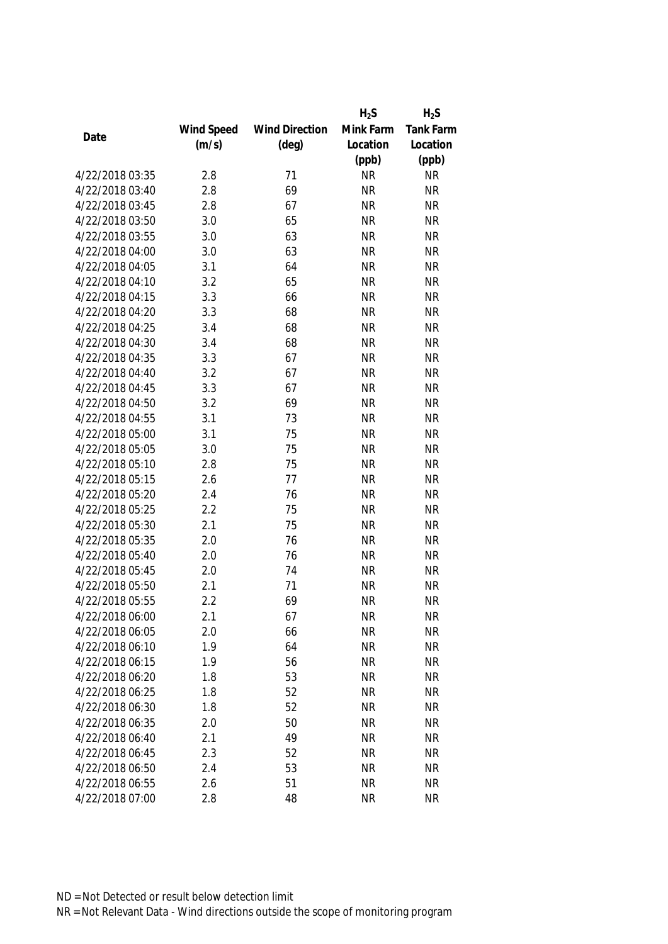|                 |            |                       | $H_2S$    | $H_2S$           |
|-----------------|------------|-----------------------|-----------|------------------|
|                 | Wind Speed | <b>Wind Direction</b> | Mink Farm | <b>Tank Farm</b> |
| Date            | (m/s)      | $(\text{deg})$        | Location  | Location         |
|                 |            |                       | (ppb)     | (ppb)            |
| 4/22/2018 03:35 | 2.8        | 71                    | <b>NR</b> | <b>NR</b>        |
| 4/22/2018 03:40 | 2.8        | 69                    | <b>NR</b> | <b>NR</b>        |
| 4/22/2018 03:45 | 2.8        | 67                    | <b>NR</b> | <b>NR</b>        |
| 4/22/2018 03:50 | 3.0        | 65                    | <b>NR</b> | <b>NR</b>        |
| 4/22/2018 03:55 | 3.0        | 63                    | <b>NR</b> | <b>NR</b>        |
| 4/22/2018 04:00 | 3.0        | 63                    | <b>NR</b> | <b>NR</b>        |
| 4/22/2018 04:05 | 3.1        | 64                    | <b>NR</b> | <b>NR</b>        |
| 4/22/2018 04:10 | 3.2        | 65                    | <b>NR</b> | <b>NR</b>        |
| 4/22/2018 04:15 | 3.3        | 66                    | <b>NR</b> | <b>NR</b>        |
| 4/22/2018 04:20 | 3.3        | 68                    | <b>NR</b> | <b>NR</b>        |
| 4/22/2018 04:25 | 3.4        | 68                    | <b>NR</b> | <b>NR</b>        |
| 4/22/2018 04:30 | 3.4        | 68                    | <b>NR</b> | <b>NR</b>        |
| 4/22/2018 04:35 | 3.3        | 67                    | <b>NR</b> | <b>NR</b>        |
| 4/22/2018 04:40 | 3.2        | 67                    | <b>NR</b> | <b>NR</b>        |
| 4/22/2018 04:45 | 3.3        | 67                    | <b>NR</b> | <b>NR</b>        |
| 4/22/2018 04:50 | 3.2        | 69                    | <b>NR</b> | <b>NR</b>        |
| 4/22/2018 04:55 | 3.1        | 73                    | <b>NR</b> | <b>NR</b>        |
| 4/22/2018 05:00 | 3.1        | 75                    | <b>NR</b> | <b>NR</b>        |
| 4/22/2018 05:05 | 3.0        | 75                    | <b>NR</b> | <b>NR</b>        |
| 4/22/2018 05:10 | 2.8        | 75                    | <b>NR</b> | <b>NR</b>        |
| 4/22/2018 05:15 | 2.6        | 77                    | <b>NR</b> | <b>NR</b>        |
| 4/22/2018 05:20 | 2.4        | 76                    | <b>NR</b> | <b>NR</b>        |
| 4/22/2018 05:25 | 2.2        | 75                    | <b>NR</b> | <b>NR</b>        |
| 4/22/2018 05:30 | 2.1        | 75                    | <b>NR</b> | <b>NR</b>        |
| 4/22/2018 05:35 | 2.0        | 76                    | <b>NR</b> | <b>NR</b>        |
| 4/22/2018 05:40 | 2.0        | 76                    | <b>NR</b> | <b>NR</b>        |
| 4/22/2018 05:45 | 2.0        | 74                    | <b>NR</b> | <b>NR</b>        |
| 4/22/2018 05:50 | 2.1        | 71                    | <b>NR</b> | <b>NR</b>        |
| 4/22/2018 05:55 | 2.2        | 69                    | <b>NR</b> | <b>NR</b>        |
| 4/22/2018 06:00 | 2.1        | 67                    | <b>NR</b> | <b>NR</b>        |
| 4/22/2018 06:05 | 2.0        | 66                    | <b>NR</b> | <b>NR</b>        |
| 4/22/2018 06:10 | 1.9        | 64                    | <b>NR</b> | <b>NR</b>        |
| 4/22/2018 06:15 | 1.9        | 56                    | <b>NR</b> | <b>NR</b>        |
| 4/22/2018 06:20 | 1.8        | 53                    | <b>NR</b> | <b>NR</b>        |
| 4/22/2018 06:25 | 1.8        | 52                    | <b>NR</b> | <b>NR</b>        |
| 4/22/2018 06:30 | 1.8        | 52                    | <b>NR</b> | <b>NR</b>        |
| 4/22/2018 06:35 | 2.0        | 50                    | <b>NR</b> | <b>NR</b>        |
| 4/22/2018 06:40 | 2.1        | 49                    | <b>NR</b> | <b>NR</b>        |
| 4/22/2018 06:45 | 2.3        | 52                    | <b>NR</b> | <b>NR</b>        |
| 4/22/2018 06:50 | 2.4        | 53                    | <b>NR</b> | <b>NR</b>        |
| 4/22/2018 06:55 | 2.6        | 51                    | <b>NR</b> | <b>NR</b>        |
| 4/22/2018 07:00 | 2.8        | 48                    | <b>NR</b> | <b>NR</b>        |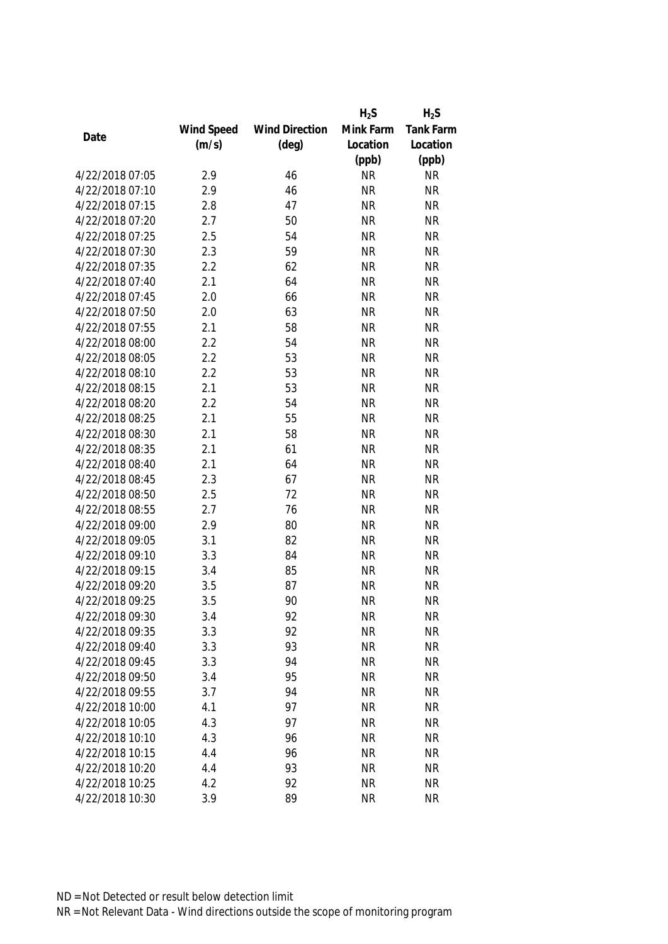|                 |            |                       | $H_2S$    | $H_2S$           |
|-----------------|------------|-----------------------|-----------|------------------|
|                 | Wind Speed | <b>Wind Direction</b> | Mink Farm | <b>Tank Farm</b> |
| Date            | (m/s)      | $(\text{deg})$        | Location  | Location         |
|                 |            |                       | (ppb)     | (ppb)            |
| 4/22/2018 07:05 | 2.9        | 46                    | <b>NR</b> | <b>NR</b>        |
| 4/22/2018 07:10 | 2.9        | 46                    | <b>NR</b> | <b>NR</b>        |
| 4/22/2018 07:15 | 2.8        | 47                    | <b>NR</b> | <b>NR</b>        |
| 4/22/2018 07:20 | 2.7        | 50                    | <b>NR</b> | <b>NR</b>        |
| 4/22/2018 07:25 | 2.5        | 54                    | <b>NR</b> | <b>NR</b>        |
| 4/22/2018 07:30 | 2.3        | 59                    | <b>NR</b> | <b>NR</b>        |
| 4/22/2018 07:35 | 2.2        | 62                    | <b>NR</b> | <b>NR</b>        |
| 4/22/2018 07:40 | 2.1        | 64                    | <b>NR</b> | <b>NR</b>        |
| 4/22/2018 07:45 | 2.0        | 66                    | <b>NR</b> | <b>NR</b>        |
| 4/22/2018 07:50 | 2.0        | 63                    | <b>NR</b> | <b>NR</b>        |
| 4/22/2018 07:55 | 2.1        | 58                    | <b>NR</b> | <b>NR</b>        |
| 4/22/2018 08:00 | 2.2        | 54                    | <b>NR</b> | <b>NR</b>        |
| 4/22/2018 08:05 | 2.2        | 53                    | <b>NR</b> | <b>NR</b>        |
| 4/22/2018 08:10 | 2.2        | 53                    | <b>NR</b> | <b>NR</b>        |
| 4/22/2018 08:15 | 2.1        | 53                    | <b>NR</b> | <b>NR</b>        |
| 4/22/2018 08:20 | 2.2        | 54                    | <b>NR</b> | <b>NR</b>        |
| 4/22/2018 08:25 | 2.1        | 55                    | <b>NR</b> | <b>NR</b>        |
| 4/22/2018 08:30 | 2.1        | 58                    | <b>NR</b> | <b>NR</b>        |
| 4/22/2018 08:35 | 2.1        | 61                    | <b>NR</b> | <b>NR</b>        |
| 4/22/2018 08:40 | 2.1        | 64                    | <b>NR</b> | <b>NR</b>        |
| 4/22/2018 08:45 | 2.3        | 67                    | <b>NR</b> | <b>NR</b>        |
| 4/22/2018 08:50 | 2.5        | 72                    | <b>NR</b> | <b>NR</b>        |
| 4/22/2018 08:55 | 2.7        | 76                    | <b>NR</b> | <b>NR</b>        |
| 4/22/2018 09:00 | 2.9        | 80                    | <b>NR</b> | <b>NR</b>        |
| 4/22/2018 09:05 | 3.1        | 82                    | <b>NR</b> | <b>NR</b>        |
| 4/22/2018 09:10 | 3.3        | 84                    | <b>NR</b> | <b>NR</b>        |
| 4/22/2018 09:15 | 3.4        | 85                    | <b>NR</b> | <b>NR</b>        |
| 4/22/2018 09:20 | 3.5        | 87                    | <b>NR</b> | <b>NR</b>        |
| 4/22/2018 09:25 | 3.5        | 90                    | <b>NR</b> | <b>NR</b>        |
| 4/22/2018 09:30 | 3.4        | 92                    | <b>NR</b> | <b>NR</b>        |
| 4/22/2018 09:35 | 3.3        | 92                    | <b>NR</b> | <b>NR</b>        |
| 4/22/2018 09:40 | 3.3        | 93                    | <b>NR</b> | <b>NR</b>        |
| 4/22/2018 09:45 | 3.3        | 94                    | <b>NR</b> | <b>NR</b>        |
| 4/22/2018 09:50 | 3.4        | 95                    | <b>NR</b> | <b>NR</b>        |
| 4/22/2018 09:55 | 3.7        | 94                    | <b>NR</b> | <b>NR</b>        |
| 4/22/2018 10:00 | 4.1        | 97                    | <b>NR</b> | <b>NR</b>        |
| 4/22/2018 10:05 | 4.3        | 97                    | <b>NR</b> | <b>NR</b>        |
| 4/22/2018 10:10 | 4.3        | 96                    | <b>NR</b> | <b>NR</b>        |
| 4/22/2018 10:15 | 4.4        | 96                    | <b>NR</b> | <b>NR</b>        |
| 4/22/2018 10:20 | 4.4        | 93                    | <b>NR</b> | <b>NR</b>        |
| 4/22/2018 10:25 | 4.2        | 92                    | <b>NR</b> | <b>NR</b>        |
| 4/22/2018 10:30 | 3.9        | 89                    | <b>NR</b> | <b>NR</b>        |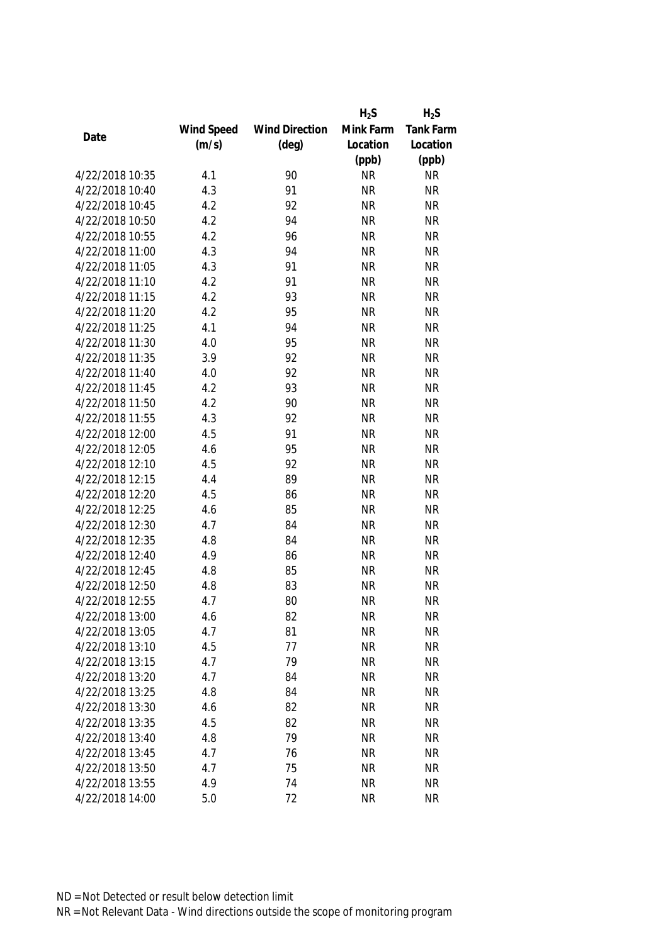|                 |            |                       | $H_2S$    | $H_2S$           |
|-----------------|------------|-----------------------|-----------|------------------|
|                 | Wind Speed | <b>Wind Direction</b> | Mink Farm | <b>Tank Farm</b> |
| Date            | (m/s)      | $(\text{deg})$        | Location  | Location         |
|                 |            |                       | (ppb)     | (ppb)            |
| 4/22/2018 10:35 | 4.1        | 90                    | <b>NR</b> | <b>NR</b>        |
| 4/22/2018 10:40 | 4.3        | 91                    | <b>NR</b> | <b>NR</b>        |
| 4/22/2018 10:45 | 4.2        | 92                    | <b>NR</b> | <b>NR</b>        |
| 4/22/2018 10:50 | 4.2        | 94                    | <b>NR</b> | <b>NR</b>        |
| 4/22/2018 10:55 | 4.2        | 96                    | <b>NR</b> | <b>NR</b>        |
| 4/22/2018 11:00 | 4.3        | 94                    | <b>NR</b> | <b>NR</b>        |
| 4/22/2018 11:05 | 4.3        | 91                    | <b>NR</b> | <b>NR</b>        |
| 4/22/2018 11:10 | 4.2        | 91                    | <b>NR</b> | <b>NR</b>        |
| 4/22/2018 11:15 | 4.2        | 93                    | <b>NR</b> | <b>NR</b>        |
| 4/22/2018 11:20 | 4.2        | 95                    | <b>NR</b> | <b>NR</b>        |
| 4/22/2018 11:25 | 4.1        | 94                    | <b>NR</b> | <b>NR</b>        |
| 4/22/2018 11:30 | 4.0        | 95                    | <b>NR</b> | <b>NR</b>        |
| 4/22/2018 11:35 | 3.9        | 92                    | <b>NR</b> | <b>NR</b>        |
| 4/22/2018 11:40 | 4.0        | 92                    | <b>NR</b> | <b>NR</b>        |
| 4/22/2018 11:45 | 4.2        | 93                    | <b>NR</b> | <b>NR</b>        |
| 4/22/2018 11:50 | 4.2        | 90                    | <b>NR</b> | <b>NR</b>        |
| 4/22/2018 11:55 | 4.3        | 92                    | <b>NR</b> | <b>NR</b>        |
| 4/22/2018 12:00 | 4.5        | 91                    | <b>NR</b> | <b>NR</b>        |
| 4/22/2018 12:05 | 4.6        | 95                    | <b>NR</b> | <b>NR</b>        |
| 4/22/2018 12:10 | 4.5        | 92                    | <b>NR</b> | <b>NR</b>        |
| 4/22/2018 12:15 | 4.4        | 89                    | <b>NR</b> | <b>NR</b>        |
| 4/22/2018 12:20 | 4.5        | 86                    | <b>NR</b> | <b>NR</b>        |
| 4/22/2018 12:25 | 4.6        | 85                    | <b>NR</b> | <b>NR</b>        |
| 4/22/2018 12:30 | 4.7        | 84                    | <b>NR</b> | <b>NR</b>        |
| 4/22/2018 12:35 | 4.8        | 84                    | <b>NR</b> | <b>NR</b>        |
| 4/22/2018 12:40 | 4.9        | 86                    | <b>NR</b> | <b>NR</b>        |
| 4/22/2018 12:45 | 4.8        | 85                    | <b>NR</b> | <b>NR</b>        |
| 4/22/2018 12:50 | 4.8        | 83                    | <b>NR</b> | <b>NR</b>        |
| 4/22/2018 12:55 | 4.7        | 80                    | <b>NR</b> | <b>NR</b>        |
| 4/22/2018 13:00 | 4.6        | 82                    | <b>NR</b> | <b>NR</b>        |
| 4/22/2018 13:05 | 4.7        | 81                    | <b>NR</b> | <b>NR</b>        |
| 4/22/2018 13:10 | 4.5        | 77                    | <b>NR</b> | <b>NR</b>        |
| 4/22/2018 13:15 | 4.7        | 79                    | <b>NR</b> | <b>NR</b>        |
| 4/22/2018 13:20 | 4.7        | 84                    | <b>NR</b> | <b>NR</b>        |
| 4/22/2018 13:25 | 4.8        | 84                    | <b>NR</b> | <b>NR</b>        |
| 4/22/2018 13:30 | 4.6        | 82                    | <b>NR</b> | <b>NR</b>        |
| 4/22/2018 13:35 | 4.5        | 82                    | <b>NR</b> | <b>NR</b>        |
| 4/22/2018 13:40 | 4.8        | 79                    | <b>NR</b> | <b>NR</b>        |
| 4/22/2018 13:45 | 4.7        | 76                    | <b>NR</b> | <b>NR</b>        |
| 4/22/2018 13:50 | 4.7        | 75                    | <b>NR</b> | <b>NR</b>        |
| 4/22/2018 13:55 | 4.9        | 74                    | <b>NR</b> | <b>NR</b>        |
| 4/22/2018 14:00 | 5.0        | 72                    | <b>NR</b> | <b>NR</b>        |
|                 |            |                       |           |                  |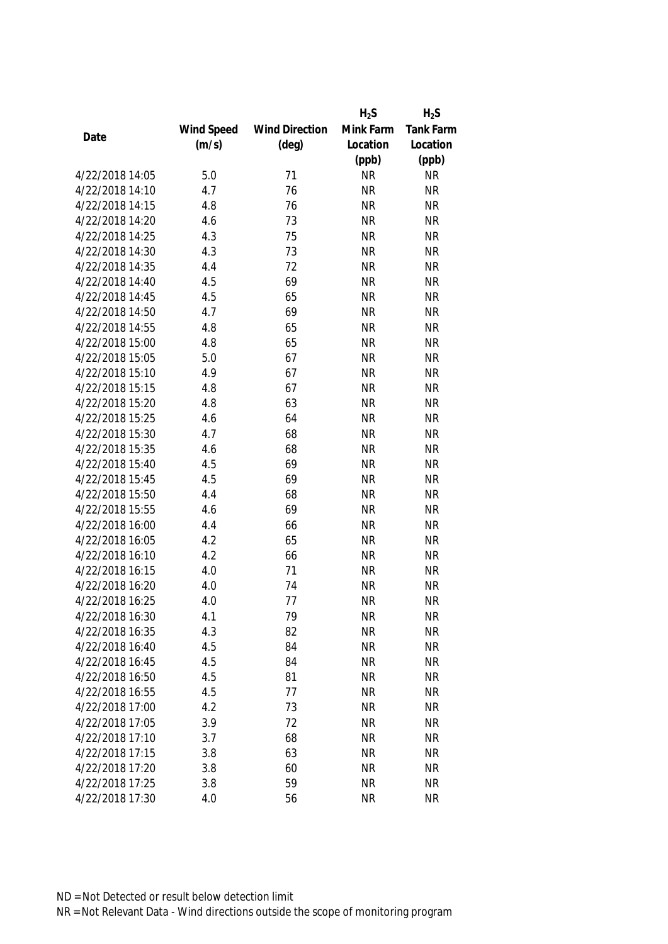|                 |            |                       | $H_2S$    | $H_2S$    |
|-----------------|------------|-----------------------|-----------|-----------|
|                 | Wind Speed | <b>Wind Direction</b> | Mink Farm | Tank Farm |
| Date            | (m/s)      | $(\text{deg})$        | Location  | Location  |
|                 |            |                       | (ppb)     | (ppb)     |
| 4/22/2018 14:05 | 5.0        | 71                    | <b>NR</b> | <b>NR</b> |
| 4/22/2018 14:10 | 4.7        | 76                    | <b>NR</b> | <b>NR</b> |
| 4/22/2018 14:15 | 4.8        | 76                    | <b>NR</b> | <b>NR</b> |
| 4/22/2018 14:20 | 4.6        | 73                    | <b>NR</b> | <b>NR</b> |
| 4/22/2018 14:25 | 4.3        | 75                    | <b>NR</b> | <b>NR</b> |
| 4/22/2018 14:30 | 4.3        | 73                    | <b>NR</b> | <b>NR</b> |
| 4/22/2018 14:35 | 4.4        | 72                    | <b>NR</b> | <b>NR</b> |
| 4/22/2018 14:40 | 4.5        | 69                    | <b>NR</b> | <b>NR</b> |
| 4/22/2018 14:45 | 4.5        | 65                    | <b>NR</b> | <b>NR</b> |
| 4/22/2018 14:50 | 4.7        | 69                    | <b>NR</b> | <b>NR</b> |
| 4/22/2018 14:55 | 4.8        | 65                    | <b>NR</b> | <b>NR</b> |
| 4/22/2018 15:00 | 4.8        | 65                    | <b>NR</b> | <b>NR</b> |
| 4/22/2018 15:05 | 5.0        | 67                    | <b>NR</b> | <b>NR</b> |
| 4/22/2018 15:10 | 4.9        | 67                    | <b>NR</b> | <b>NR</b> |
| 4/22/2018 15:15 | 4.8        | 67                    | <b>NR</b> | <b>NR</b> |
| 4/22/2018 15:20 | 4.8        | 63                    | <b>NR</b> | <b>NR</b> |
| 4/22/2018 15:25 | 4.6        | 64                    | <b>NR</b> | <b>NR</b> |
| 4/22/2018 15:30 | 4.7        | 68                    | <b>NR</b> | <b>NR</b> |
| 4/22/2018 15:35 | 4.6        | 68                    | <b>NR</b> | <b>NR</b> |
| 4/22/2018 15:40 | 4.5        | 69                    | <b>NR</b> | <b>NR</b> |
| 4/22/2018 15:45 | 4.5        | 69                    | <b>NR</b> | <b>NR</b> |
| 4/22/2018 15:50 | 4.4        | 68                    | <b>NR</b> | <b>NR</b> |
| 4/22/2018 15:55 | 4.6        | 69                    | <b>NR</b> | <b>NR</b> |
| 4/22/2018 16:00 | 4.4        | 66                    | <b>NR</b> | <b>NR</b> |
| 4/22/2018 16:05 | 4.2        | 65                    | <b>NR</b> | <b>NR</b> |
| 4/22/2018 16:10 | 4.2        | 66                    | <b>NR</b> | <b>NR</b> |
| 4/22/2018 16:15 | 4.0        | 71                    | <b>NR</b> | <b>NR</b> |
| 4/22/2018 16:20 | 4.0        | 74                    | <b>NR</b> | <b>NR</b> |
| 4/22/2018 16:25 | 4.0        | 77                    | <b>NR</b> | <b>NR</b> |
| 4/22/2018 16:30 | 4.1        | 79                    | <b>NR</b> | <b>NR</b> |
| 4/22/2018 16:35 | 4.3        | 82                    | <b>NR</b> | <b>NR</b> |
| 4/22/2018 16:40 | 4.5        | 84                    | <b>NR</b> | <b>NR</b> |
| 4/22/2018 16:45 | 4.5        | 84                    | <b>NR</b> | <b>NR</b> |
| 4/22/2018 16:50 | 4.5        | 81                    | <b>NR</b> | <b>NR</b> |
| 4/22/2018 16:55 | 4.5        | 77                    | <b>NR</b> | <b>NR</b> |
| 4/22/2018 17:00 | 4.2        | 73                    | <b>NR</b> | <b>NR</b> |
| 4/22/2018 17:05 | 3.9        | 72                    | <b>NR</b> | <b>NR</b> |
| 4/22/2018 17:10 | 3.7        | 68                    | <b>NR</b> | <b>NR</b> |
| 4/22/2018 17:15 | 3.8        | 63                    | <b>NR</b> | <b>NR</b> |
| 4/22/2018 17:20 |            | 60                    | <b>NR</b> | <b>NR</b> |
|                 | 3.8        |                       |           |           |
| 4/22/2018 17:25 | 3.8        | 59                    | <b>NR</b> | <b>NR</b> |
| 4/22/2018 17:30 | 4.0        | 56                    | <b>NR</b> | <b>NR</b> |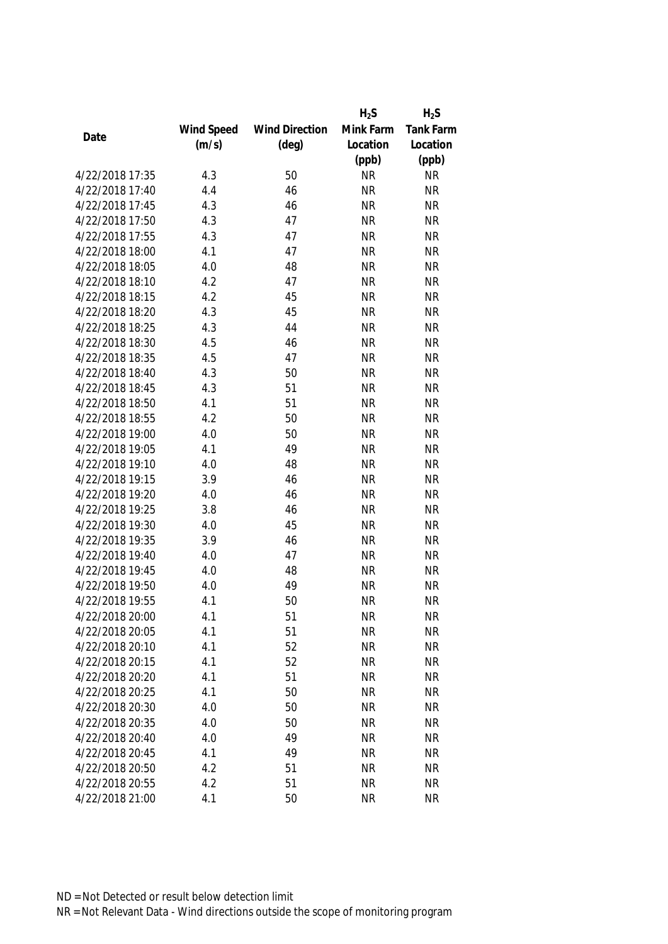|                 |            |                       | $H_2S$    | $H_2S$           |
|-----------------|------------|-----------------------|-----------|------------------|
|                 | Wind Speed | <b>Wind Direction</b> | Mink Farm | <b>Tank Farm</b> |
| Date            | (m/s)      | $(\text{deg})$        | Location  | Location         |
|                 |            |                       | (ppb)     | (ppb)            |
| 4/22/2018 17:35 | 4.3        | 50                    | <b>NR</b> | <b>NR</b>        |
| 4/22/2018 17:40 | 4.4        | 46                    | <b>NR</b> | <b>NR</b>        |
| 4/22/2018 17:45 | 4.3        | 46                    | <b>NR</b> | <b>NR</b>        |
| 4/22/2018 17:50 | 4.3        | 47                    | <b>NR</b> | <b>NR</b>        |
| 4/22/2018 17:55 | 4.3        | 47                    | <b>NR</b> | <b>NR</b>        |
| 4/22/2018 18:00 | 4.1        | 47                    | <b>NR</b> | <b>NR</b>        |
| 4/22/2018 18:05 | 4.0        | 48                    | <b>NR</b> | <b>NR</b>        |
| 4/22/2018 18:10 | 4.2        | 47                    | <b>NR</b> | <b>NR</b>        |
| 4/22/2018 18:15 | 4.2        | 45                    | <b>NR</b> | <b>NR</b>        |
| 4/22/2018 18:20 | 4.3        | 45                    | <b>NR</b> | <b>NR</b>        |
| 4/22/2018 18:25 | 4.3        | 44                    | <b>NR</b> | <b>NR</b>        |
| 4/22/2018 18:30 | 4.5        | 46                    | <b>NR</b> | <b>NR</b>        |
| 4/22/2018 18:35 | 4.5        | 47                    | <b>NR</b> | <b>NR</b>        |
| 4/22/2018 18:40 | 4.3        | 50                    | <b>NR</b> | <b>NR</b>        |
| 4/22/2018 18:45 | 4.3        | 51                    | <b>NR</b> | <b>NR</b>        |
| 4/22/2018 18:50 | 4.1        | 51                    | <b>NR</b> | <b>NR</b>        |
| 4/22/2018 18:55 | 4.2        | 50                    | <b>NR</b> | <b>NR</b>        |
| 4/22/2018 19:00 | 4.0        | 50                    | <b>NR</b> | <b>NR</b>        |
| 4/22/2018 19:05 | 4.1        | 49                    | <b>NR</b> | <b>NR</b>        |
| 4/22/2018 19:10 | 4.0        | 48                    | <b>NR</b> | <b>NR</b>        |
| 4/22/2018 19:15 | 3.9        | 46                    | <b>NR</b> | <b>NR</b>        |
| 4/22/2018 19:20 | 4.0        | 46                    | <b>NR</b> | <b>NR</b>        |
| 4/22/2018 19:25 | 3.8        | 46                    | <b>NR</b> | <b>NR</b>        |
| 4/22/2018 19:30 | 4.0        | 45                    | <b>NR</b> | <b>NR</b>        |
| 4/22/2018 19:35 | 3.9        | 46                    | <b>NR</b> | <b>NR</b>        |
| 4/22/2018 19:40 | 4.0        | 47                    | <b>NR</b> | <b>NR</b>        |
| 4/22/2018 19:45 | 4.0        | 48                    | <b>NR</b> | <b>NR</b>        |
| 4/22/2018 19:50 | 4.0        | 49                    | <b>NR</b> | <b>NR</b>        |
| 4/22/2018 19:55 | 4.1        | 50                    | <b>NR</b> | <b>NR</b>        |
| 4/22/2018 20:00 | 4.1        | 51                    | <b>NR</b> | <b>NR</b>        |
| 4/22/2018 20:05 | 4.1        | 51                    | <b>NR</b> | <b>NR</b>        |
| 4/22/2018 20:10 | 4.1        | 52                    | <b>NR</b> | <b>NR</b>        |
| 4/22/2018 20:15 | 4.1        | 52                    | <b>NR</b> | <b>NR</b>        |
| 4/22/2018 20:20 | 4.1        | 51                    | <b>NR</b> | <b>NR</b>        |
| 4/22/2018 20:25 | 4.1        | 50                    | <b>NR</b> | <b>NR</b>        |
| 4/22/2018 20:30 | 4.0        | 50                    | <b>NR</b> | <b>NR</b>        |
| 4/22/2018 20:35 | 4.0        | 50                    | <b>NR</b> | <b>NR</b>        |
| 4/22/2018 20:40 | 4.0        | 49                    | <b>NR</b> | <b>NR</b>        |
| 4/22/2018 20:45 | 4.1        | 49                    | <b>NR</b> | <b>NR</b>        |
| 4/22/2018 20:50 | 4.2        | 51                    | <b>NR</b> | <b>NR</b>        |
| 4/22/2018 20:55 | 4.2        | 51                    | <b>NR</b> | <b>NR</b>        |
| 4/22/2018 21:00 | 4.1        | 50                    | <b>NR</b> | <b>NR</b>        |
|                 |            |                       |           |                  |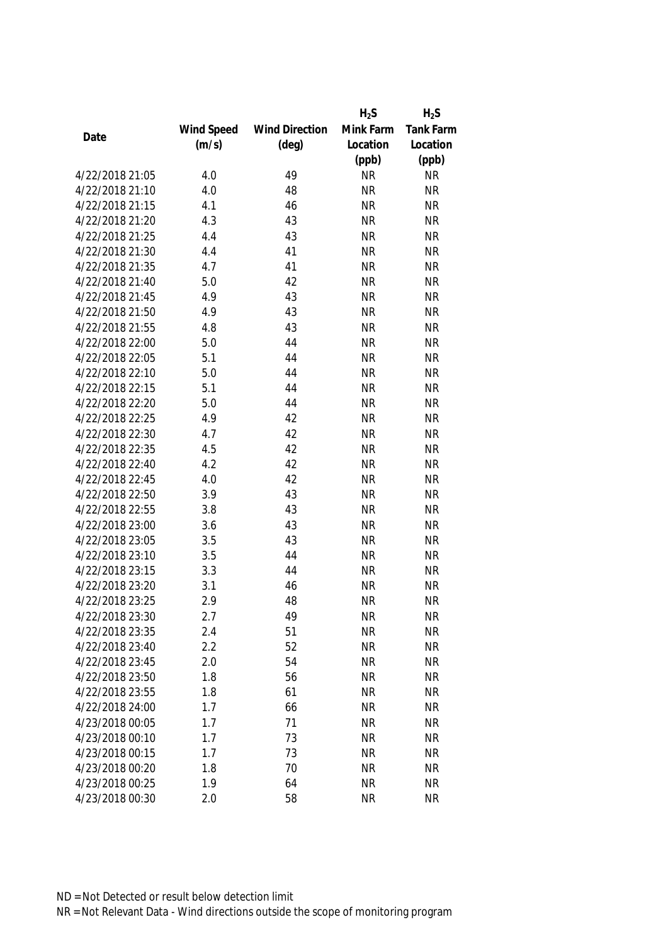|                 |            |                       | $H_2S$    | $H_2S$           |
|-----------------|------------|-----------------------|-----------|------------------|
|                 | Wind Speed | <b>Wind Direction</b> | Mink Farm | <b>Tank Farm</b> |
| Date            | (m/s)      | $(\text{deg})$        | Location  | Location         |
|                 |            |                       | (ppb)     | (ppb)            |
| 4/22/2018 21:05 | 4.0        | 49                    | <b>NR</b> | <b>NR</b>        |
| 4/22/2018 21:10 | 4.0        | 48                    | <b>NR</b> | <b>NR</b>        |
| 4/22/2018 21:15 | 4.1        | 46                    | <b>NR</b> | <b>NR</b>        |
| 4/22/2018 21:20 | 4.3        | 43                    | <b>NR</b> | <b>NR</b>        |
| 4/22/2018 21:25 | 4.4        | 43                    | <b>NR</b> | <b>NR</b>        |
| 4/22/2018 21:30 | 4.4        | 41                    | <b>NR</b> | <b>NR</b>        |
| 4/22/2018 21:35 | 4.7        | 41                    | <b>NR</b> | <b>NR</b>        |
| 4/22/2018 21:40 | 5.0        | 42                    | <b>NR</b> | <b>NR</b>        |
| 4/22/2018 21:45 | 4.9        | 43                    | <b>NR</b> | <b>NR</b>        |
| 4/22/2018 21:50 | 4.9        | 43                    | <b>NR</b> | <b>NR</b>        |
| 4/22/2018 21:55 | 4.8        | 43                    | <b>NR</b> | <b>NR</b>        |
| 4/22/2018 22:00 | 5.0        | 44                    | <b>NR</b> | <b>NR</b>        |
| 4/22/2018 22:05 | 5.1        | 44                    | <b>NR</b> | <b>NR</b>        |
| 4/22/2018 22:10 | 5.0        | 44                    | <b>NR</b> | <b>NR</b>        |
| 4/22/2018 22:15 | 5.1        | 44                    | <b>NR</b> | <b>NR</b>        |
| 4/22/2018 22:20 | 5.0        | 44                    | <b>NR</b> | <b>NR</b>        |
| 4/22/2018 22:25 | 4.9        | 42                    | <b>NR</b> | <b>NR</b>        |
| 4/22/2018 22:30 | 4.7        | 42                    | <b>NR</b> | <b>NR</b>        |
| 4/22/2018 22:35 | 4.5        | 42                    | <b>NR</b> | <b>NR</b>        |
| 4/22/2018 22:40 | 4.2        | 42                    | <b>NR</b> | <b>NR</b>        |
| 4/22/2018 22:45 | 4.0        | 42                    | <b>NR</b> | <b>NR</b>        |
| 4/22/2018 22:50 | 3.9        | 43                    | <b>NR</b> | <b>NR</b>        |
| 4/22/2018 22:55 | 3.8        | 43                    | <b>NR</b> | <b>NR</b>        |
| 4/22/2018 23:00 | 3.6        | 43                    | <b>NR</b> | <b>NR</b>        |
| 4/22/2018 23:05 | 3.5        | 43                    | <b>NR</b> | <b>NR</b>        |
| 4/22/2018 23:10 | 3.5        | 44                    | <b>NR</b> | <b>NR</b>        |
| 4/22/2018 23:15 | 3.3        | 44                    | <b>NR</b> | <b>NR</b>        |
| 4/22/2018 23:20 | 3.1        | 46                    | <b>NR</b> | <b>NR</b>        |
| 4/22/2018 23:25 | 2.9        | 48                    | <b>NR</b> | <b>NR</b>        |
| 4/22/2018 23:30 | 2.7        | 49                    | <b>NR</b> | <b>NR</b>        |
| 4/22/2018 23:35 | 2.4        | 51                    | <b>NR</b> | <b>NR</b>        |
| 4/22/2018 23:40 | 2.2        | 52                    | <b>NR</b> | <b>NR</b>        |
| 4/22/2018 23:45 | 2.0        | 54                    | <b>NR</b> | <b>NR</b>        |
| 4/22/2018 23:50 | 1.8        | 56                    | <b>NR</b> | <b>NR</b>        |
| 4/22/2018 23:55 | 1.8        | 61                    | <b>NR</b> | <b>NR</b>        |
| 4/22/2018 24:00 | 1.7        | 66                    | <b>NR</b> | <b>NR</b>        |
| 4/23/2018 00:05 | 1.7        | 71                    | <b>NR</b> | <b>NR</b>        |
| 4/23/2018 00:10 | 1.7        | 73                    | <b>NR</b> | <b>NR</b>        |
| 4/23/2018 00:15 | 1.7        | 73                    | <b>NR</b> | <b>NR</b>        |
| 4/23/2018 00:20 | 1.8        | 70                    | <b>NR</b> | <b>NR</b>        |
| 4/23/2018 00:25 | 1.9        | 64                    | <b>NR</b> | <b>NR</b>        |
| 4/23/2018 00:30 | 2.0        | 58                    | <b>NR</b> | <b>NR</b>        |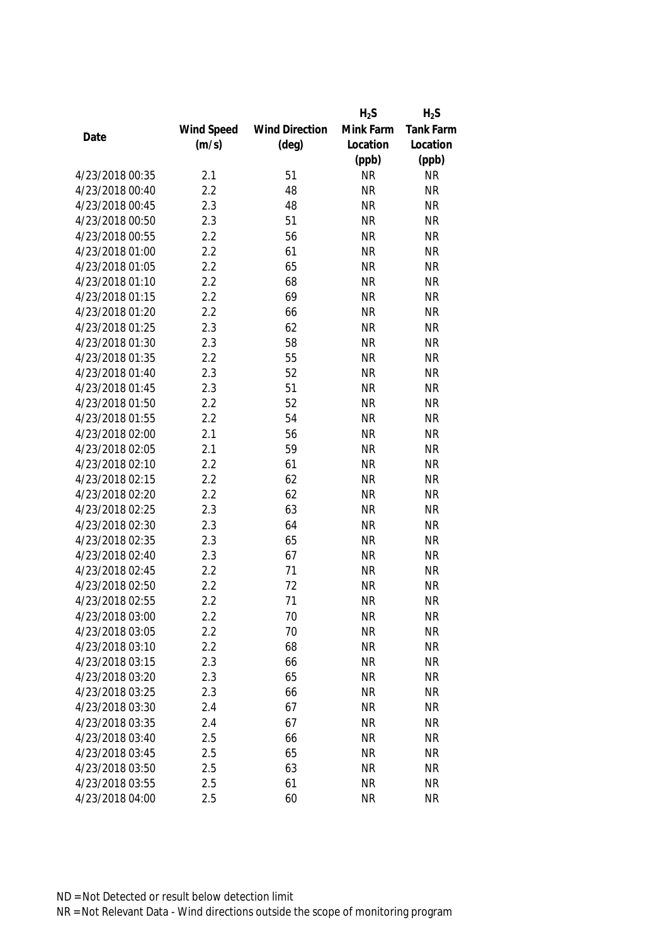|                 |            |                       | $H_2S$    | $H_2S$           |
|-----------------|------------|-----------------------|-----------|------------------|
|                 | Wind Speed | <b>Wind Direction</b> | Mink Farm | <b>Tank Farm</b> |
| Date            | (m/s)      | $(\text{deg})$        | Location  | Location         |
|                 |            |                       | (ppb)     | (ppb)            |
| 4/23/2018 00:35 | 2.1        | 51                    | <b>NR</b> | <b>NR</b>        |
| 4/23/2018 00:40 | 2.2        | 48                    | <b>NR</b> | <b>NR</b>        |
| 4/23/2018 00:45 | 2.3        | 48                    | <b>NR</b> | <b>NR</b>        |
| 4/23/2018 00:50 | 2.3        | 51                    | <b>NR</b> | <b>NR</b>        |
| 4/23/2018 00:55 | 2.2        | 56                    | <b>NR</b> | <b>NR</b>        |
| 4/23/2018 01:00 | 2.2        | 61                    | <b>NR</b> | <b>NR</b>        |
| 4/23/2018 01:05 | 2.2        | 65                    | <b>NR</b> | <b>NR</b>        |
| 4/23/2018 01:10 | 2.2        | 68                    | <b>NR</b> | <b>NR</b>        |
| 4/23/2018 01:15 | 2.2        | 69                    | <b>NR</b> | <b>NR</b>        |
| 4/23/2018 01:20 | 2.2        | 66                    | <b>NR</b> | <b>NR</b>        |
| 4/23/2018 01:25 | 2.3        | 62                    | <b>NR</b> | <b>NR</b>        |
| 4/23/2018 01:30 | 2.3        | 58                    | <b>NR</b> | <b>NR</b>        |
| 4/23/2018 01:35 | 2.2        | 55                    | <b>NR</b> | <b>NR</b>        |
| 4/23/2018 01:40 | 2.3        | 52                    | <b>NR</b> | <b>NR</b>        |
| 4/23/2018 01:45 | 2.3        | 51                    | <b>NR</b> | <b>NR</b>        |
| 4/23/2018 01:50 | 2.2        | 52                    | <b>NR</b> | <b>NR</b>        |
| 4/23/2018 01:55 | 2.2        | 54                    | <b>NR</b> | <b>NR</b>        |
| 4/23/2018 02:00 | 2.1        | 56                    | <b>NR</b> | <b>NR</b>        |
| 4/23/2018 02:05 | 2.1        | 59                    | <b>NR</b> | <b>NR</b>        |
| 4/23/2018 02:10 | 2.2        | 61                    | <b>NR</b> | <b>NR</b>        |
| 4/23/2018 02:15 | 2.2        | 62                    | <b>NR</b> | <b>NR</b>        |
| 4/23/2018 02:20 | 2.2        | 62                    | <b>NR</b> | <b>NR</b>        |
| 4/23/2018 02:25 | 2.3        | 63                    | <b>NR</b> | <b>NR</b>        |
| 4/23/2018 02:30 | 2.3        | 64                    | <b>NR</b> | <b>NR</b>        |
| 4/23/2018 02:35 | 2.3        | 65                    | <b>NR</b> | <b>NR</b>        |
| 4/23/2018 02:40 | 2.3        | 67                    | <b>NR</b> | <b>NR</b>        |
| 4/23/2018 02:45 | 2.2        | 71                    | <b>NR</b> | <b>NR</b>        |
| 4/23/2018 02:50 | 2.2        | 72                    | <b>NR</b> | <b>NR</b>        |
| 4/23/2018 02:55 | 2.2        | 71                    | <b>NR</b> | <b>NR</b>        |
| 4/23/2018 03:00 | 2.2        | 70                    | <b>NR</b> | <b>NR</b>        |
| 4/23/2018 03:05 | 2.2        | 70                    | <b>NR</b> | <b>NR</b>        |
| 4/23/2018 03:10 | 2.2        | 68                    | <b>NR</b> | <b>NR</b>        |
| 4/23/2018 03:15 | 2.3        | 66                    | <b>NR</b> | <b>NR</b>        |
| 4/23/2018 03:20 | 2.3        | 65                    | <b>NR</b> | <b>NR</b>        |
| 4/23/2018 03:25 | 2.3        | 66                    | <b>NR</b> | <b>NR</b>        |
| 4/23/2018 03:30 | 2.4        | 67                    | <b>NR</b> | <b>NR</b>        |
| 4/23/2018 03:35 | 2.4        | 67                    | <b>NR</b> | <b>NR</b>        |
| 4/23/2018 03:40 | 2.5        | 66                    | <b>NR</b> | <b>NR</b>        |
| 4/23/2018 03:45 | 2.5        | 65                    | <b>NR</b> | <b>NR</b>        |
| 4/23/2018 03:50 | 2.5        | 63                    | <b>NR</b> | <b>NR</b>        |
| 4/23/2018 03:55 | 2.5        | 61                    | <b>NR</b> | <b>NR</b>        |
|                 |            |                       |           |                  |
| 4/23/2018 04:00 | 2.5        | 60                    | <b>NR</b> | <b>NR</b>        |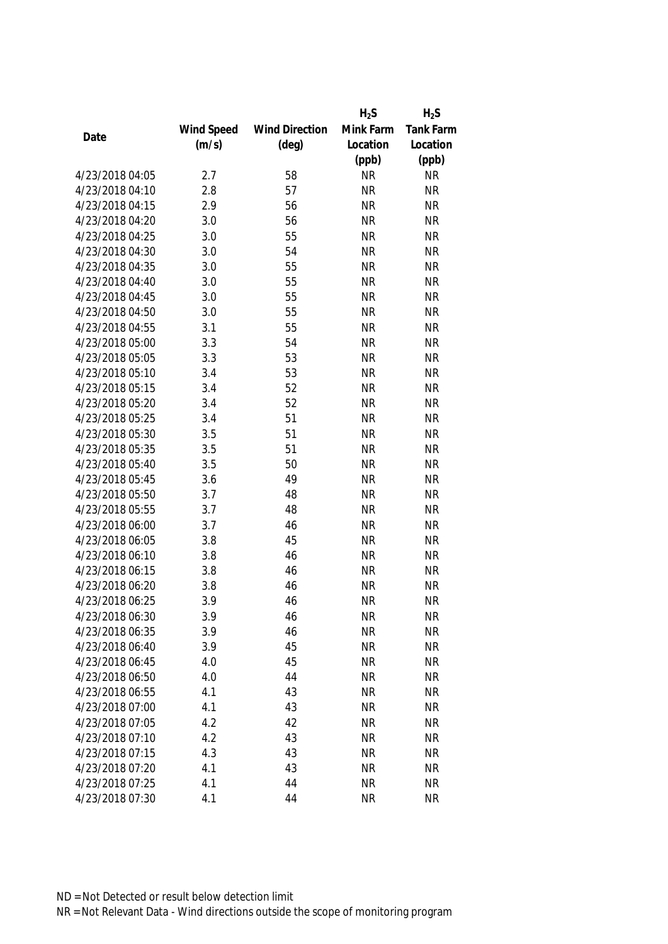|                 |            |                       | $H_2S$    | $H_2S$           |
|-----------------|------------|-----------------------|-----------|------------------|
|                 | Wind Speed | <b>Wind Direction</b> | Mink Farm | <b>Tank Farm</b> |
| Date            | (m/s)      | $(\text{deg})$        | Location  | Location         |
|                 |            |                       | (ppb)     | (ppb)            |
| 4/23/2018 04:05 | 2.7        | 58                    | <b>NR</b> | <b>NR</b>        |
| 4/23/2018 04:10 | 2.8        | 57                    | <b>NR</b> | <b>NR</b>        |
| 4/23/2018 04:15 | 2.9        | 56                    | <b>NR</b> | <b>NR</b>        |
| 4/23/2018 04:20 | 3.0        | 56                    | <b>NR</b> | <b>NR</b>        |
| 4/23/2018 04:25 | 3.0        | 55                    | <b>NR</b> | <b>NR</b>        |
| 4/23/2018 04:30 | 3.0        | 54                    | <b>NR</b> | <b>NR</b>        |
| 4/23/2018 04:35 | 3.0        | 55                    | <b>NR</b> | <b>NR</b>        |
| 4/23/2018 04:40 | 3.0        | 55                    | <b>NR</b> | <b>NR</b>        |
| 4/23/2018 04:45 | 3.0        | 55                    | <b>NR</b> | <b>NR</b>        |
| 4/23/2018 04:50 | 3.0        | 55                    | <b>NR</b> | <b>NR</b>        |
| 4/23/2018 04:55 | 3.1        | 55                    | <b>NR</b> | <b>NR</b>        |
| 4/23/2018 05:00 | 3.3        | 54                    | <b>NR</b> | <b>NR</b>        |
| 4/23/2018 05:05 | 3.3        | 53                    | <b>NR</b> | <b>NR</b>        |
| 4/23/2018 05:10 | 3.4        | 53                    | <b>NR</b> | <b>NR</b>        |
| 4/23/2018 05:15 | 3.4        | 52                    | <b>NR</b> | <b>NR</b>        |
| 4/23/2018 05:20 | 3.4        | 52                    | <b>NR</b> | <b>NR</b>        |
| 4/23/2018 05:25 | 3.4        | 51                    | <b>NR</b> | <b>NR</b>        |
| 4/23/2018 05:30 | 3.5        | 51                    | <b>NR</b> | <b>NR</b>        |
| 4/23/2018 05:35 | 3.5        | 51                    | <b>NR</b> | <b>NR</b>        |
| 4/23/2018 05:40 | 3.5        | 50                    | <b>NR</b> | <b>NR</b>        |
| 4/23/2018 05:45 | 3.6        | 49                    | <b>NR</b> | <b>NR</b>        |
| 4/23/2018 05:50 | 3.7        | 48                    | <b>NR</b> | <b>NR</b>        |
| 4/23/2018 05:55 | 3.7        | 48                    | <b>NR</b> | <b>NR</b>        |
| 4/23/2018 06:00 | 3.7        | 46                    | <b>NR</b> | <b>NR</b>        |
| 4/23/2018 06:05 | 3.8        | 45                    | <b>NR</b> | <b>NR</b>        |
| 4/23/2018 06:10 | 3.8        | 46                    | <b>NR</b> | <b>NR</b>        |
| 4/23/2018 06:15 | 3.8        | 46                    | <b>NR</b> | <b>NR</b>        |
| 4/23/2018 06:20 | 3.8        | 46                    | <b>NR</b> | <b>NR</b>        |
| 4/23/2018 06:25 | 3.9        | 46                    | <b>NR</b> | <b>NR</b>        |
| 4/23/2018 06:30 | 3.9        | 46                    | <b>NR</b> | <b>NR</b>        |
| 4/23/2018 06:35 | 3.9        | 46                    | <b>NR</b> | <b>NR</b>        |
| 4/23/2018 06:40 | 3.9        | 45                    | <b>NR</b> | <b>NR</b>        |
| 4/23/2018 06:45 | 4.0        | 45                    | <b>NR</b> | <b>NR</b>        |
| 4/23/2018 06:50 | 4.0        | 44                    | <b>NR</b> | <b>NR</b>        |
| 4/23/2018 06:55 | 4.1        | 43                    | <b>NR</b> | <b>NR</b>        |
| 4/23/2018 07:00 | 4.1        | 43                    | <b>NR</b> | <b>NR</b>        |
| 4/23/2018 07:05 | 4.2        | 42                    | <b>NR</b> | <b>NR</b>        |
| 4/23/2018 07:10 | 4.2        | 43                    | <b>NR</b> | <b>NR</b>        |
| 4/23/2018 07:15 | 4.3        | 43                    | <b>NR</b> | <b>NR</b>        |
| 4/23/2018 07:20 | 4.1        | 43                    | <b>NR</b> | <b>NR</b>        |
| 4/23/2018 07:25 | 4.1        | 44                    | <b>NR</b> | <b>NR</b>        |
| 4/23/2018 07:30 | 4.1        | 44                    | <b>NR</b> | <b>NR</b>        |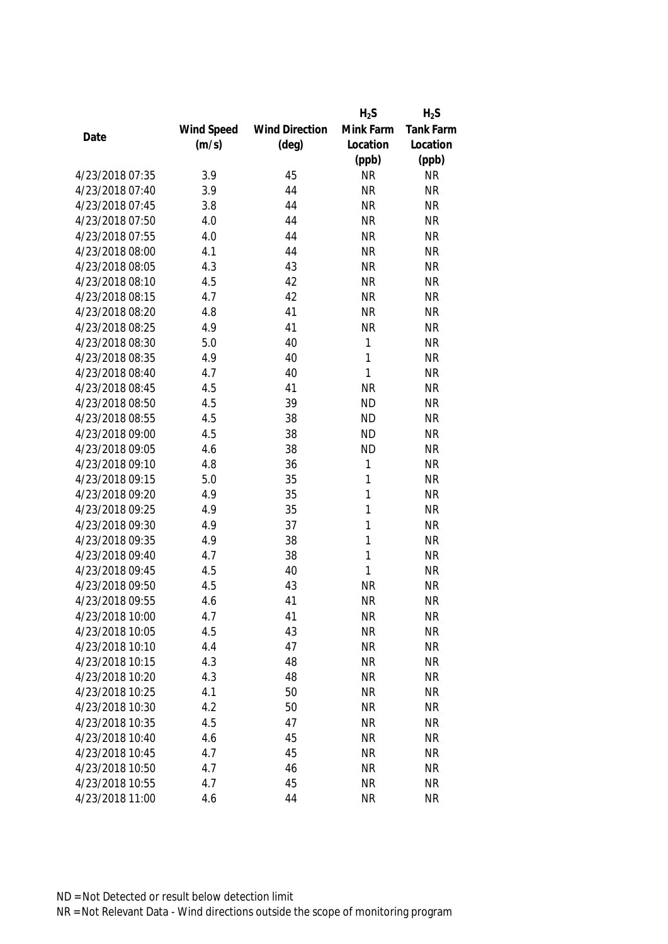|                 |            |                       | $H_2S$       | $H_2S$           |
|-----------------|------------|-----------------------|--------------|------------------|
|                 | Wind Speed | <b>Wind Direction</b> | Mink Farm    | <b>Tank Farm</b> |
| Date            | (m/s)      | $(\text{deg})$        | Location     | Location         |
|                 |            |                       | (ppb)        | (ppb)            |
| 4/23/2018 07:35 | 3.9        | 45                    | <b>NR</b>    | <b>NR</b>        |
| 4/23/2018 07:40 | 3.9        | 44                    | <b>NR</b>    | <b>NR</b>        |
| 4/23/2018 07:45 | 3.8        | 44                    | <b>NR</b>    | <b>NR</b>        |
| 4/23/2018 07:50 | 4.0        | 44                    | <b>NR</b>    | <b>NR</b>        |
| 4/23/2018 07:55 | 4.0        | 44                    | <b>NR</b>    | <b>NR</b>        |
| 4/23/2018 08:00 | 4.1        | 44                    | <b>NR</b>    | <b>NR</b>        |
| 4/23/2018 08:05 | 4.3        | 43                    | <b>NR</b>    | <b>NR</b>        |
| 4/23/2018 08:10 | 4.5        | 42                    | <b>NR</b>    | <b>NR</b>        |
| 4/23/2018 08:15 | 4.7        | 42                    | <b>NR</b>    | <b>NR</b>        |
| 4/23/2018 08:20 | 4.8        | 41                    | <b>NR</b>    | <b>NR</b>        |
| 4/23/2018 08:25 | 4.9        | 41                    | <b>NR</b>    | <b>NR</b>        |
| 4/23/2018 08:30 | 5.0        | 40                    | 1            | <b>NR</b>        |
| 4/23/2018 08:35 | 4.9        | 40                    | 1            | <b>NR</b>        |
| 4/23/2018 08:40 | 4.7        | 40                    | $\mathbf{1}$ | <b>NR</b>        |
| 4/23/2018 08:45 | 4.5        | 41                    | <b>NR</b>    | <b>NR</b>        |
| 4/23/2018 08:50 | 4.5        | 39                    | <b>ND</b>    | <b>NR</b>        |
| 4/23/2018 08:55 | 4.5        | 38                    | <b>ND</b>    | <b>NR</b>        |
| 4/23/2018 09:00 | 4.5        | 38                    | <b>ND</b>    | <b>NR</b>        |
| 4/23/2018 09:05 | 4.6        | 38                    | <b>ND</b>    | <b>NR</b>        |
| 4/23/2018 09:10 | 4.8        | 36                    | 1            | <b>NR</b>        |
| 4/23/2018 09:15 | 5.0        | 35                    | 1            | <b>NR</b>        |
| 4/23/2018 09:20 | 4.9        | 35                    | 1            | <b>NR</b>        |
| 4/23/2018 09:25 | 4.9        | 35                    | 1            | <b>NR</b>        |
| 4/23/2018 09:30 | 4.9        | 37                    | 1            | <b>NR</b>        |
| 4/23/2018 09:35 | 4.9        | 38                    | 1            | <b>NR</b>        |
| 4/23/2018 09:40 | 4.7        | 38                    | 1            | <b>NR</b>        |
| 4/23/2018 09:45 | 4.5        | 40                    | 1            | <b>NR</b>        |
| 4/23/2018 09:50 | 4.5        | 43                    | <b>NR</b>    | <b>NR</b>        |
| 4/23/2018 09:55 | 4.6        | 41                    | <b>NR</b>    | <b>NR</b>        |
| 4/23/2018 10:00 | 4.7        | 41                    | <b>NR</b>    | <b>NR</b>        |
| 4/23/2018 10:05 | 4.5        | 43                    | <b>NR</b>    | <b>NR</b>        |
| 4/23/2018 10:10 | 4.4        | 47                    | <b>NR</b>    | <b>NR</b>        |
| 4/23/2018 10:15 | 4.3        | 48                    | <b>NR</b>    | <b>NR</b>        |
| 4/23/2018 10:20 | 4.3        | 48                    | <b>NR</b>    | <b>NR</b>        |
| 4/23/2018 10:25 | 4.1        | 50                    | <b>NR</b>    | <b>NR</b>        |
| 4/23/2018 10:30 | 4.2        | 50                    | <b>NR</b>    | <b>NR</b>        |
| 4/23/2018 10:35 | 4.5        | 47                    | <b>NR</b>    | <b>NR</b>        |
| 4/23/2018 10:40 | 4.6        | 45                    | <b>NR</b>    | <b>NR</b>        |
| 4/23/2018 10:45 | 4.7        | 45                    | <b>NR</b>    | <b>NR</b>        |
| 4/23/2018 10:50 | 4.7        | 46                    | <b>NR</b>    | <b>NR</b>        |
| 4/23/2018 10:55 | 4.7        | 45                    | <b>NR</b>    | <b>NR</b>        |
|                 |            |                       |              |                  |
| 4/23/2018 11:00 | 4.6        | 44                    | <b>NR</b>    | <b>NR</b>        |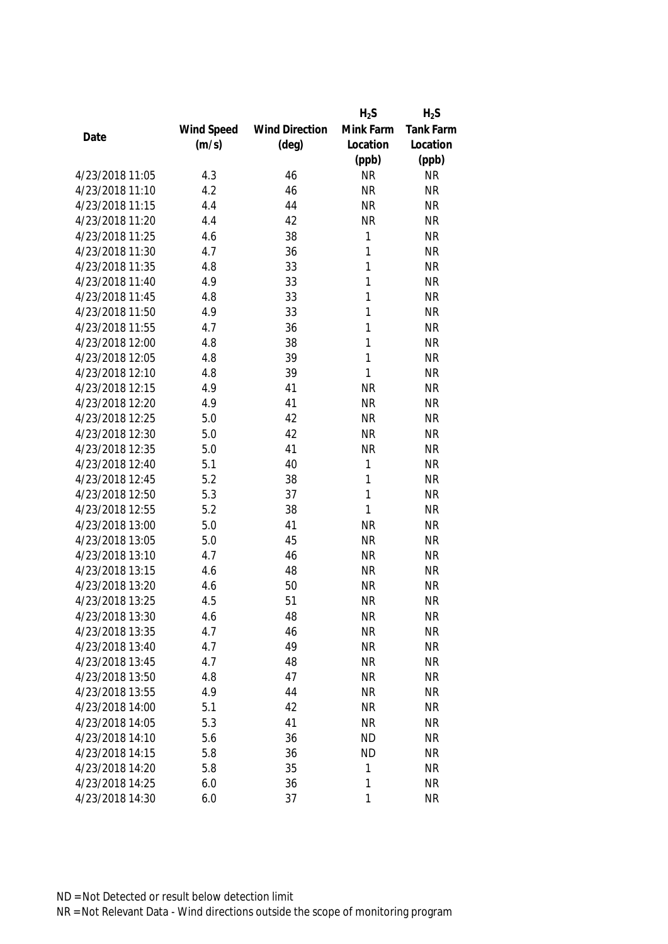|                 |            |                       | $H_2S$       | $H_2S$    |
|-----------------|------------|-----------------------|--------------|-----------|
|                 | Wind Speed | <b>Wind Direction</b> | Mink Farm    | Tank Farm |
| Date            | (m/s)      | $(\text{deg})$        | Location     | Location  |
|                 |            |                       | (ppb)        | (ppb)     |
| 4/23/2018 11:05 | 4.3        | 46                    | <b>NR</b>    | <b>NR</b> |
| 4/23/2018 11:10 | 4.2        | 46                    | <b>NR</b>    | <b>NR</b> |
| 4/23/2018 11:15 | 4.4        | 44                    | <b>NR</b>    | <b>NR</b> |
| 4/23/2018 11:20 | 4.4        | 42                    | <b>NR</b>    | <b>NR</b> |
| 4/23/2018 11:25 | 4.6        | 38                    | 1            | <b>NR</b> |
| 4/23/2018 11:30 | 4.7        | 36                    | 1            | <b>NR</b> |
| 4/23/2018 11:35 | 4.8        | 33                    | 1            | <b>NR</b> |
| 4/23/2018 11:40 | 4.9        | 33                    | 1            | <b>NR</b> |
| 4/23/2018 11:45 | 4.8        | 33                    | $\mathbf{1}$ | <b>NR</b> |
| 4/23/2018 11:50 | 4.9        | 33                    | 1            | <b>NR</b> |
| 4/23/2018 11:55 | 4.7        | 36                    | 1            | <b>NR</b> |
| 4/23/2018 12:00 | 4.8        | 38                    | 1            | <b>NR</b> |
| 4/23/2018 12:05 | 4.8        | 39                    | 1            | <b>NR</b> |
| 4/23/2018 12:10 | 4.8        | 39                    | 1            | <b>NR</b> |
| 4/23/2018 12:15 | 4.9        | 41                    | <b>NR</b>    | <b>NR</b> |
| 4/23/2018 12:20 | 4.9        | 41                    | <b>NR</b>    | <b>NR</b> |
| 4/23/2018 12:25 | 5.0        | 42                    | <b>NR</b>    | <b>NR</b> |
| 4/23/2018 12:30 | 5.0        | 42                    | <b>NR</b>    | <b>NR</b> |
| 4/23/2018 12:35 | 5.0        | 41                    | <b>NR</b>    | <b>NR</b> |
| 4/23/2018 12:40 | 5.1        | 40                    | 1            | <b>NR</b> |
| 4/23/2018 12:45 | 5.2        | 38                    | 1            | <b>NR</b> |
| 4/23/2018 12:50 | 5.3        | 37                    | $\mathbf{1}$ | <b>NR</b> |
| 4/23/2018 12:55 | 5.2        | 38                    | 1            | <b>NR</b> |
| 4/23/2018 13:00 | 5.0        | 41                    | <b>NR</b>    | <b>NR</b> |
| 4/23/2018 13:05 | 5.0        | 45                    | <b>NR</b>    | <b>NR</b> |
| 4/23/2018 13:10 | 4.7        | 46                    | <b>NR</b>    | <b>NR</b> |
| 4/23/2018 13:15 | 4.6        | 48                    | <b>NR</b>    | <b>NR</b> |
| 4/23/2018 13:20 | 4.6        | 50                    | <b>NR</b>    | <b>NR</b> |
| 4/23/2018 13:25 | 4.5        | 51                    | <b>NR</b>    | <b>NR</b> |
| 4/23/2018 13:30 | 4.6        | 48                    | <b>NR</b>    | <b>NR</b> |
| 4/23/2018 13:35 | 4.7        | 46                    | <b>NR</b>    | <b>NR</b> |
| 4/23/2018 13:40 | 4.7        | 49                    | <b>NR</b>    | <b>NR</b> |
| 4/23/2018 13:45 | 4.7        | 48                    | <b>NR</b>    | <b>NR</b> |
| 4/23/2018 13:50 | 4.8        | 47                    | <b>NR</b>    | <b>NR</b> |
| 4/23/2018 13:55 | 4.9        | 44                    | <b>NR</b>    | <b>NR</b> |
| 4/23/2018 14:00 | 5.1        | 42                    | <b>NR</b>    | <b>NR</b> |
| 4/23/2018 14:05 | 5.3        | 41                    | <b>NR</b>    | <b>NR</b> |
| 4/23/2018 14:10 | 5.6        | 36                    | <b>ND</b>    | <b>NR</b> |
| 4/23/2018 14:15 | 5.8        | 36                    | <b>ND</b>    | <b>NR</b> |
| 4/23/2018 14:20 | 5.8        | 35                    | 1            | <b>NR</b> |
| 4/23/2018 14:25 | 6.0        | 36                    | 1            | <b>NR</b> |
| 4/23/2018 14:30 | 6.0        | 37                    | 1            | <b>NR</b> |
|                 |            |                       |              |           |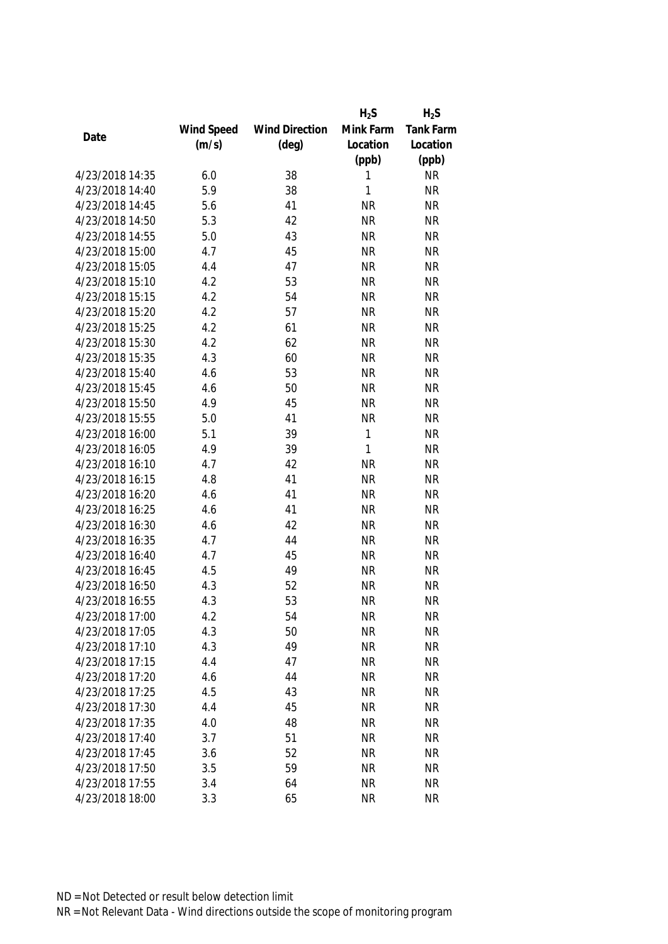|                 |            |                       | $H_2S$    | $H_2S$    |
|-----------------|------------|-----------------------|-----------|-----------|
|                 | Wind Speed | <b>Wind Direction</b> | Mink Farm | Tank Farm |
| Date            | (m/s)      | $(\text{deg})$        | Location  | Location  |
|                 |            |                       | (ppb)     | (ppb)     |
| 4/23/2018 14:35 | 6.0        | 38                    | 1         | <b>NR</b> |
| 4/23/2018 14:40 | 5.9        | 38                    | 1         | <b>NR</b> |
| 4/23/2018 14:45 | 5.6        | 41                    | <b>NR</b> | <b>NR</b> |
| 4/23/2018 14:50 | 5.3        | 42                    | <b>NR</b> | <b>NR</b> |
| 4/23/2018 14:55 | 5.0        | 43                    | <b>NR</b> | <b>NR</b> |
| 4/23/2018 15:00 | 4.7        | 45                    | <b>NR</b> | <b>NR</b> |
| 4/23/2018 15:05 | 4.4        | 47                    | <b>NR</b> | <b>NR</b> |
| 4/23/2018 15:10 | 4.2        | 53                    | <b>NR</b> | <b>NR</b> |
| 4/23/2018 15:15 | 4.2        | 54                    | <b>NR</b> | <b>NR</b> |
| 4/23/2018 15:20 | 4.2        | 57                    | <b>NR</b> | <b>NR</b> |
| 4/23/2018 15:25 | 4.2        | 61                    | <b>NR</b> | <b>NR</b> |
| 4/23/2018 15:30 | 4.2        | 62                    | <b>NR</b> | <b>NR</b> |
| 4/23/2018 15:35 | 4.3        | 60                    | <b>NR</b> | <b>NR</b> |
| 4/23/2018 15:40 | 4.6        | 53                    | <b>NR</b> | <b>NR</b> |
| 4/23/2018 15:45 | 4.6        | 50                    | <b>NR</b> | <b>NR</b> |
| 4/23/2018 15:50 | 4.9        | 45                    | <b>NR</b> | <b>NR</b> |
| 4/23/2018 15:55 | 5.0        | 41                    | <b>NR</b> | <b>NR</b> |
| 4/23/2018 16:00 | 5.1        | 39                    | 1         | <b>NR</b> |
| 4/23/2018 16:05 | 4.9        | 39                    | 1         | <b>NR</b> |
| 4/23/2018 16:10 | 4.7        | 42                    | <b>NR</b> | <b>NR</b> |
| 4/23/2018 16:15 | 4.8        | 41                    | <b>NR</b> | <b>NR</b> |
| 4/23/2018 16:20 | 4.6        | 41                    | <b>NR</b> | <b>NR</b> |
| 4/23/2018 16:25 | 4.6        | 41                    | <b>NR</b> | <b>NR</b> |
| 4/23/2018 16:30 | 4.6        | 42                    | <b>NR</b> | <b>NR</b> |
| 4/23/2018 16:35 | 4.7        | 44                    | <b>NR</b> | <b>NR</b> |
| 4/23/2018 16:40 | 4.7        | 45                    | <b>NR</b> | <b>NR</b> |
| 4/23/2018 16:45 | 4.5        | 49                    | <b>NR</b> | <b>NR</b> |
| 4/23/2018 16:50 | 4.3        | 52                    | <b>NR</b> | <b>NR</b> |
| 4/23/2018 16:55 | 4.3        | 53                    | <b>NR</b> | <b>NR</b> |
| 4/23/2018 17:00 | 4.2        | 54                    | <b>NR</b> | <b>NR</b> |
| 4/23/2018 17:05 | 4.3        | 50                    | <b>NR</b> | <b>NR</b> |
| 4/23/2018 17:10 | 4.3        | 49                    | <b>NR</b> | <b>NR</b> |
| 4/23/2018 17:15 | 4.4        | 47                    | <b>NR</b> | <b>NR</b> |
| 4/23/2018 17:20 | 4.6        | 44                    | <b>NR</b> | <b>NR</b> |
| 4/23/2018 17:25 | 4.5        | 43                    | <b>NR</b> | <b>NR</b> |
| 4/23/2018 17:30 | 4.4        | 45                    | <b>NR</b> | <b>NR</b> |
| 4/23/2018 17:35 | 4.0        | 48                    | <b>NR</b> | <b>NR</b> |
| 4/23/2018 17:40 | 3.7        | 51                    | <b>NR</b> | <b>NR</b> |
| 4/23/2018 17:45 | 3.6        | 52                    | <b>NR</b> | <b>NR</b> |
| 4/23/2018 17:50 | 3.5        | 59                    | <b>NR</b> | <b>NR</b> |
| 4/23/2018 17:55 | 3.4        | 64                    | <b>NR</b> | <b>NR</b> |
| 4/23/2018 18:00 | 3.3        | 65                    | <b>NR</b> | <b>NR</b> |
|                 |            |                       |           |           |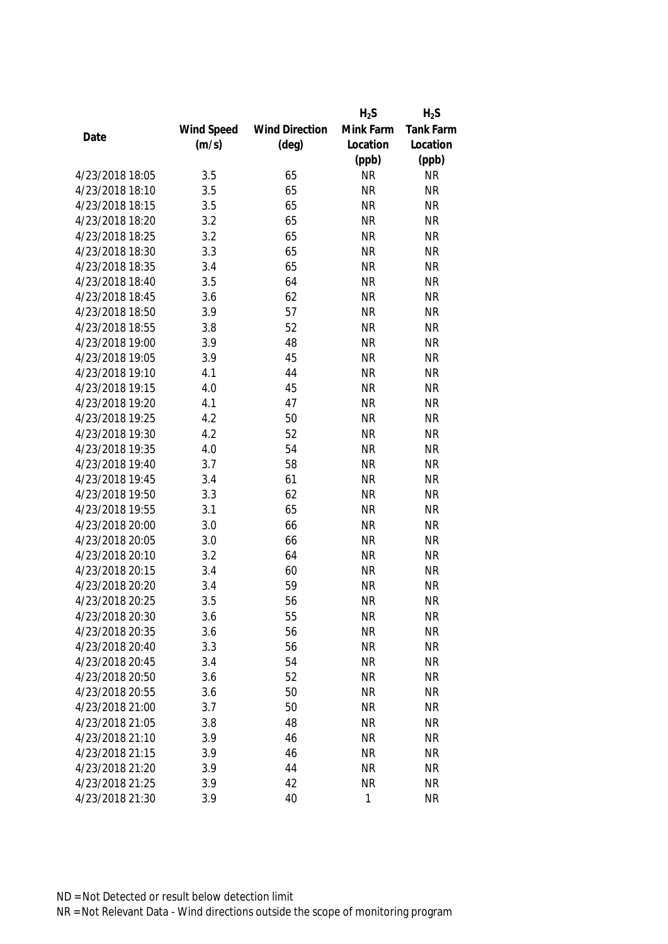|                 |            |                       | $H_2S$    | $H_2S$           |
|-----------------|------------|-----------------------|-----------|------------------|
|                 | Wind Speed | <b>Wind Direction</b> | Mink Farm | <b>Tank Farm</b> |
| Date            | (m/s)      | $(\text{deg})$        | Location  | Location         |
|                 |            |                       | (ppb)     | (ppb)            |
| 4/23/2018 18:05 | 3.5        | 65                    | <b>NR</b> | <b>NR</b>        |
| 4/23/2018 18:10 | 3.5        | 65                    | <b>NR</b> | <b>NR</b>        |
| 4/23/2018 18:15 | 3.5        | 65                    | <b>NR</b> | <b>NR</b>        |
| 4/23/2018 18:20 | 3.2        | 65                    | <b>NR</b> | <b>NR</b>        |
| 4/23/2018 18:25 | 3.2        | 65                    | <b>NR</b> | <b>NR</b>        |
| 4/23/2018 18:30 | 3.3        | 65                    | <b>NR</b> | <b>NR</b>        |
| 4/23/2018 18:35 | 3.4        | 65                    | <b>NR</b> | <b>NR</b>        |
| 4/23/2018 18:40 | 3.5        | 64                    | <b>NR</b> | <b>NR</b>        |
| 4/23/2018 18:45 | 3.6        | 62                    | <b>NR</b> | <b>NR</b>        |
| 4/23/2018 18:50 | 3.9        | 57                    | <b>NR</b> | <b>NR</b>        |
| 4/23/2018 18:55 | 3.8        | 52                    | <b>NR</b> | <b>NR</b>        |
| 4/23/2018 19:00 | 3.9        | 48                    | <b>NR</b> | <b>NR</b>        |
| 4/23/2018 19:05 | 3.9        | 45                    | <b>NR</b> | <b>NR</b>        |
| 4/23/2018 19:10 | 4.1        | 44                    | <b>NR</b> | <b>NR</b>        |
| 4/23/2018 19:15 | 4.0        | 45                    | <b>NR</b> | <b>NR</b>        |
| 4/23/2018 19:20 | 4.1        | 47                    | <b>NR</b> | <b>NR</b>        |
| 4/23/2018 19:25 | 4.2        | 50                    | <b>NR</b> | <b>NR</b>        |
| 4/23/2018 19:30 | 4.2        | 52                    | <b>NR</b> | <b>NR</b>        |
| 4/23/2018 19:35 | 4.0        | 54                    | <b>NR</b> | <b>NR</b>        |
| 4/23/2018 19:40 | 3.7        | 58                    | <b>NR</b> | <b>NR</b>        |
| 4/23/2018 19:45 | 3.4        | 61                    | <b>NR</b> | <b>NR</b>        |
| 4/23/2018 19:50 | 3.3        | 62                    | <b>NR</b> | <b>NR</b>        |
| 4/23/2018 19:55 | 3.1        | 65                    | <b>NR</b> | <b>NR</b>        |
| 4/23/2018 20:00 | 3.0        | 66                    | <b>NR</b> | <b>NR</b>        |
| 4/23/2018 20:05 | 3.0        | 66                    | <b>NR</b> | <b>NR</b>        |
| 4/23/2018 20:10 | 3.2        | 64                    | <b>NR</b> | <b>NR</b>        |
| 4/23/2018 20:15 | 3.4        | 60                    | <b>NR</b> | <b>NR</b>        |
| 4/23/2018 20:20 | 3.4        | 59                    | <b>NR</b> | <b>NR</b>        |
| 4/23/2018 20:25 | 3.5        | 56                    | <b>NR</b> | <b>NR</b>        |
| 4/23/2018 20:30 | 3.6        | 55                    | <b>NR</b> | <b>NR</b>        |
| 4/23/2018 20:35 | 3.6        | 56                    | <b>NR</b> | <b>NR</b>        |
| 4/23/2018 20:40 | 3.3        | 56                    | <b>NR</b> | <b>NR</b>        |
| 4/23/2018 20:45 | 3.4        | 54                    | <b>NR</b> | <b>NR</b>        |
| 4/23/2018 20:50 | 3.6        | 52                    | <b>NR</b> | <b>NR</b>        |
| 4/23/2018 20:55 | 3.6        | 50                    | <b>NR</b> | <b>NR</b>        |
| 4/23/2018 21:00 | 3.7        | 50                    | <b>NR</b> | <b>NR</b>        |
| 4/23/2018 21:05 | 3.8        | 48                    | <b>NR</b> | <b>NR</b>        |
| 4/23/2018 21:10 | 3.9        | 46                    | <b>NR</b> | <b>NR</b>        |
| 4/23/2018 21:15 | 3.9        | 46                    | <b>NR</b> | <b>NR</b>        |
| 4/23/2018 21:20 | 3.9        | 44                    | <b>NR</b> | <b>NR</b>        |
| 4/23/2018 21:25 | 3.9        | 42                    | <b>NR</b> | <b>NR</b>        |
| 4/23/2018 21:30 | 3.9        | 40                    | 1         | <b>NR</b>        |
|                 |            |                       |           |                  |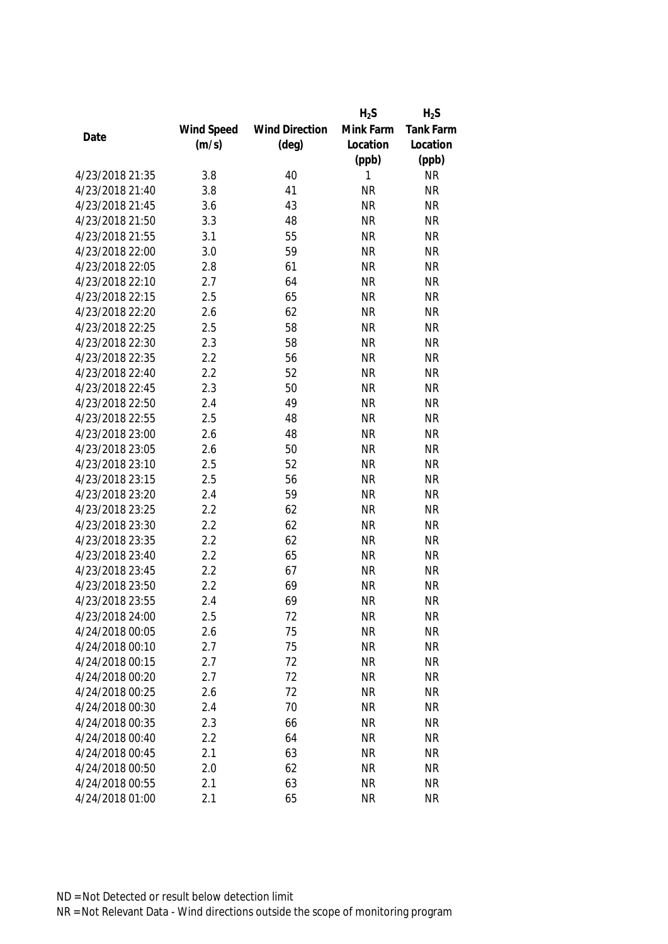|                 |            |                       | $H_2S$    | $H_2S$           |
|-----------------|------------|-----------------------|-----------|------------------|
|                 | Wind Speed | <b>Wind Direction</b> | Mink Farm | <b>Tank Farm</b> |
| Date            | (m/s)      | $(\text{deg})$        | Location  | Location         |
|                 |            |                       | (ppb)     | (ppb)            |
| 4/23/2018 21:35 | 3.8        | 40                    | 1         | <b>NR</b>        |
| 4/23/2018 21:40 | 3.8        | 41                    | <b>NR</b> | <b>NR</b>        |
| 4/23/2018 21:45 | 3.6        | 43                    | <b>NR</b> | <b>NR</b>        |
| 4/23/2018 21:50 | 3.3        | 48                    | <b>NR</b> | <b>NR</b>        |
| 4/23/2018 21:55 | 3.1        | 55                    | <b>NR</b> | <b>NR</b>        |
| 4/23/2018 22:00 | 3.0        | 59                    | <b>NR</b> | <b>NR</b>        |
| 4/23/2018 22:05 | 2.8        | 61                    | <b>NR</b> | <b>NR</b>        |
| 4/23/2018 22:10 | 2.7        | 64                    | <b>NR</b> | <b>NR</b>        |
| 4/23/2018 22:15 | 2.5        | 65                    | <b>NR</b> | <b>NR</b>        |
| 4/23/2018 22:20 | 2.6        | 62                    | <b>NR</b> | <b>NR</b>        |
| 4/23/2018 22:25 | 2.5        | 58                    | <b>NR</b> | <b>NR</b>        |
| 4/23/2018 22:30 | 2.3        | 58                    | <b>NR</b> | <b>NR</b>        |
| 4/23/2018 22:35 | 2.2        | 56                    | <b>NR</b> | <b>NR</b>        |
| 4/23/2018 22:40 | 2.2        | 52                    | <b>NR</b> | <b>NR</b>        |
| 4/23/2018 22:45 | 2.3        | 50                    | <b>NR</b> | <b>NR</b>        |
| 4/23/2018 22:50 | 2.4        | 49                    | <b>NR</b> | <b>NR</b>        |
| 4/23/2018 22:55 | 2.5        | 48                    | <b>NR</b> | <b>NR</b>        |
| 4/23/2018 23:00 | 2.6        | 48                    | <b>NR</b> | <b>NR</b>        |
| 4/23/2018 23:05 | 2.6        | 50                    | <b>NR</b> | <b>NR</b>        |
| 4/23/2018 23:10 | 2.5        | 52                    | <b>NR</b> | <b>NR</b>        |
| 4/23/2018 23:15 | 2.5        | 56                    | <b>NR</b> | <b>NR</b>        |
| 4/23/2018 23:20 | 2.4        | 59                    | <b>NR</b> | <b>NR</b>        |
| 4/23/2018 23:25 | 2.2        | 62                    | <b>NR</b> | <b>NR</b>        |
| 4/23/2018 23:30 | 2.2        | 62                    | <b>NR</b> | <b>NR</b>        |
| 4/23/2018 23:35 | 2.2        | 62                    | <b>NR</b> | <b>NR</b>        |
| 4/23/2018 23:40 | 2.2        | 65                    | <b>NR</b> | <b>NR</b>        |
| 4/23/2018 23:45 | 2.2        | 67                    | <b>NR</b> | <b>NR</b>        |
| 4/23/2018 23:50 | 2.2        | 69                    | <b>NR</b> | <b>NR</b>        |
| 4/23/2018 23:55 | 2.4        | 69                    | <b>NR</b> | <b>NR</b>        |
| 4/23/2018 24:00 | 2.5        | 72                    | <b>NR</b> | <b>NR</b>        |
| 4/24/2018 00:05 | 2.6        | 75                    | <b>NR</b> | <b>NR</b>        |
| 4/24/2018 00:10 | 2.7        | 75                    | <b>NR</b> | <b>NR</b>        |
| 4/24/2018 00:15 | 2.7        | 72                    | <b>NR</b> | <b>NR</b>        |
| 4/24/2018 00:20 | 2.7        | 72                    | <b>NR</b> | <b>NR</b>        |
| 4/24/2018 00:25 | 2.6        | 72                    | <b>NR</b> | <b>NR</b>        |
| 4/24/2018 00:30 | 2.4        | 70                    | <b>NR</b> | <b>NR</b>        |
| 4/24/2018 00:35 | 2.3        | 66                    | <b>NR</b> | <b>NR</b>        |
| 4/24/2018 00:40 | 2.2        | 64                    | <b>NR</b> | <b>NR</b>        |
| 4/24/2018 00:45 | 2.1        | 63                    | <b>NR</b> | <b>NR</b>        |
| 4/24/2018 00:50 | 2.0        | 62                    | <b>NR</b> | <b>NR</b>        |
| 4/24/2018 00:55 | 2.1        | 63                    | <b>NR</b> | <b>NR</b>        |
| 4/24/2018 01:00 | 2.1        | 65                    | <b>NR</b> | <b>NR</b>        |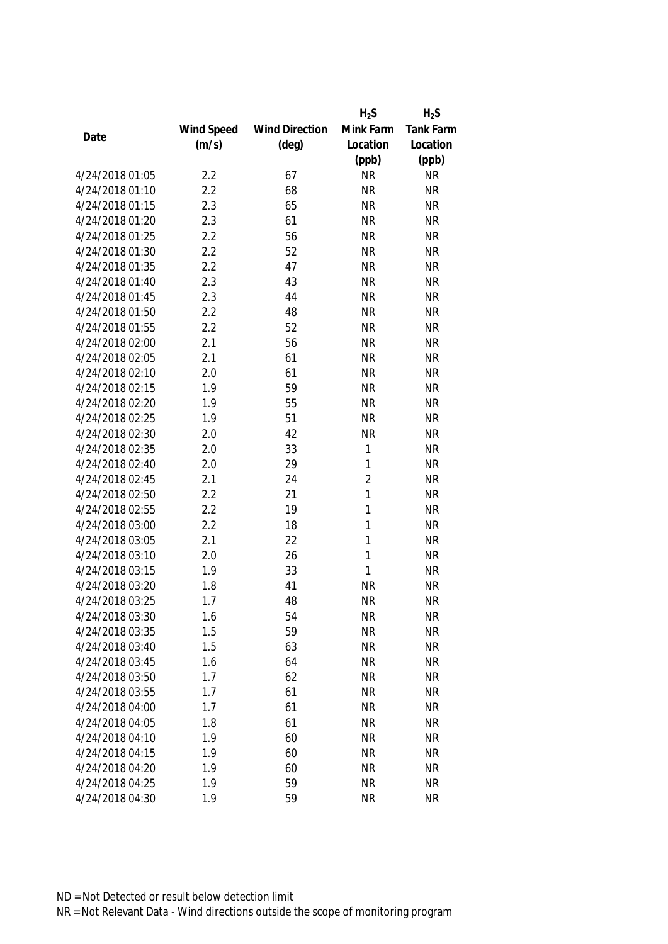|                 |            |                       | $H_2S$    | $H_2S$           |
|-----------------|------------|-----------------------|-----------|------------------|
|                 | Wind Speed | <b>Wind Direction</b> | Mink Farm | <b>Tank Farm</b> |
| Date            | (m/s)      | $(\text{deg})$        | Location  | Location         |
|                 |            |                       | (ppb)     | (ppb)            |
| 4/24/2018 01:05 | 2.2        | 67                    | <b>NR</b> | <b>NR</b>        |
| 4/24/2018 01:10 | 2.2        | 68                    | <b>NR</b> | <b>NR</b>        |
| 4/24/2018 01:15 | 2.3        | 65                    | <b>NR</b> | <b>NR</b>        |
| 4/24/2018 01:20 | 2.3        | 61                    | <b>NR</b> | <b>NR</b>        |
| 4/24/2018 01:25 | 2.2        | 56                    | <b>NR</b> | <b>NR</b>        |
| 4/24/2018 01:30 | 2.2        | 52                    | <b>NR</b> | <b>NR</b>        |
| 4/24/2018 01:35 | 2.2        | 47                    | <b>NR</b> | <b>NR</b>        |
| 4/24/2018 01:40 | 2.3        | 43                    | <b>NR</b> | <b>NR</b>        |
| 4/24/2018 01:45 | 2.3        | 44                    | <b>NR</b> | <b>NR</b>        |
| 4/24/2018 01:50 | 2.2        | 48                    | <b>NR</b> | <b>NR</b>        |
| 4/24/2018 01:55 | 2.2        | 52                    | <b>NR</b> | <b>NR</b>        |
| 4/24/2018 02:00 | 2.1        | 56                    | <b>NR</b> | <b>NR</b>        |
| 4/24/2018 02:05 | 2.1        | 61                    | <b>NR</b> | <b>NR</b>        |
| 4/24/2018 02:10 | 2.0        | 61                    | <b>NR</b> | <b>NR</b>        |
| 4/24/2018 02:15 | 1.9        | 59                    | <b>NR</b> | <b>NR</b>        |
| 4/24/2018 02:20 | 1.9        | 55                    | <b>NR</b> | <b>NR</b>        |
| 4/24/2018 02:25 | 1.9        | 51                    | <b>NR</b> | <b>NR</b>        |
| 4/24/2018 02:30 | 2.0        | 42                    | <b>NR</b> | <b>NR</b>        |
| 4/24/2018 02:35 | 2.0        | 33                    | 1         | <b>NR</b>        |
| 4/24/2018 02:40 | 2.0        | 29                    | 1         | <b>NR</b>        |
| 4/24/2018 02:45 | 2.1        | 24                    | 2         | <b>NR</b>        |
| 4/24/2018 02:50 | 2.2        | 21                    | 1         | <b>NR</b>        |
| 4/24/2018 02:55 | 2.2        | 19                    | 1         | <b>NR</b>        |
| 4/24/2018 03:00 | 2.2        | 18                    | 1         | <b>NR</b>        |
| 4/24/2018 03:05 | 2.1        | 22                    | 1         | <b>NR</b>        |
| 4/24/2018 03:10 | 2.0        | 26                    | 1         | <b>NR</b>        |
| 4/24/2018 03:15 | 1.9        | 33                    | 1         | <b>NR</b>        |
| 4/24/2018 03:20 | 1.8        | 41                    | <b>NR</b> | <b>NR</b>        |
| 4/24/2018 03:25 | 1.7        | 48                    | <b>NR</b> | <b>NR</b>        |
| 4/24/2018 03:30 | 1.6        | 54                    | <b>NR</b> | <b>NR</b>        |
| 4/24/2018 03:35 | 1.5        | 59                    | <b>NR</b> | <b>NR</b>        |
| 4/24/2018 03:40 | 1.5        | 63                    | <b>NR</b> | <b>NR</b>        |
| 4/24/2018 03:45 | 1.6        | 64                    | <b>NR</b> | <b>NR</b>        |
| 4/24/2018 03:50 | 1.7        | 62                    | <b>NR</b> | <b>NR</b>        |
| 4/24/2018 03:55 | 1.7        | 61                    | <b>NR</b> | <b>NR</b>        |
| 4/24/2018 04:00 | 1.7        | 61                    | <b>NR</b> | <b>NR</b>        |
| 4/24/2018 04:05 | 1.8        | 61                    | <b>NR</b> | <b>NR</b>        |
| 4/24/2018 04:10 | 1.9        | 60                    | <b>NR</b> | <b>NR</b>        |
| 4/24/2018 04:15 | 1.9        | 60                    | <b>NR</b> | <b>NR</b>        |
| 4/24/2018 04:20 | 1.9        | 60                    | <b>NR</b> | <b>NR</b>        |
| 4/24/2018 04:25 | 1.9        | 59                    | <b>NR</b> | <b>NR</b>        |
| 4/24/2018 04:30 | 1.9        | 59                    | <b>NR</b> | <b>NR</b>        |
|                 |            |                       |           |                  |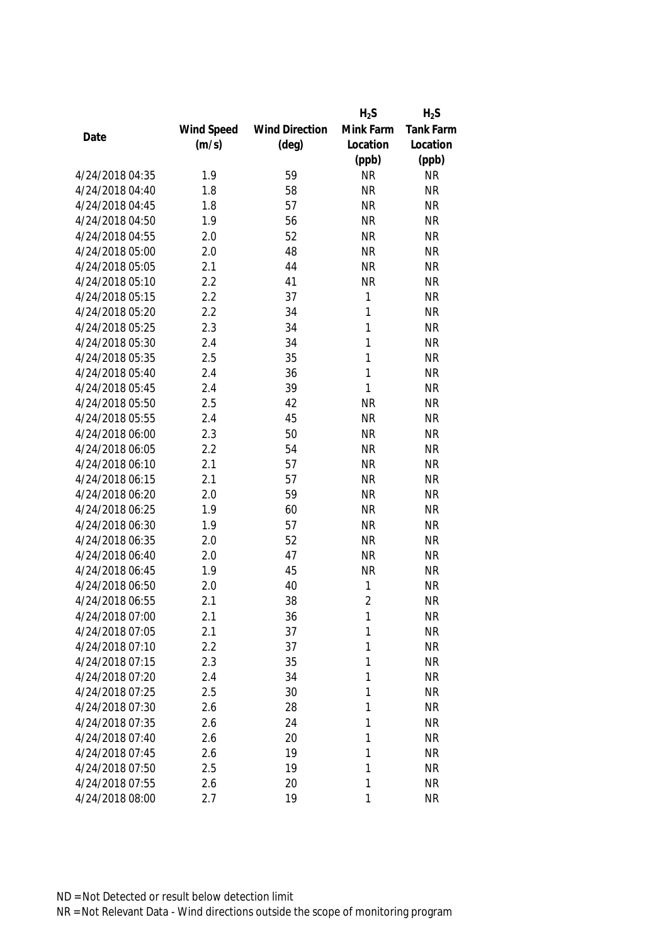|                 |            |                       | $H_2S$         | $H_2S$    |
|-----------------|------------|-----------------------|----------------|-----------|
|                 | Wind Speed | <b>Wind Direction</b> | Mink Farm      | Tank Farm |
| Date            | (m/s)      | $(\text{deg})$        | Location       | Location  |
|                 |            |                       | (ppb)          | (ppb)     |
| 4/24/2018 04:35 | 1.9        | 59                    | <b>NR</b>      | <b>NR</b> |
| 4/24/2018 04:40 | 1.8        | 58                    | <b>NR</b>      | <b>NR</b> |
| 4/24/2018 04:45 | 1.8        | 57                    | <b>NR</b>      | <b>NR</b> |
| 4/24/2018 04:50 | 1.9        | 56                    | <b>NR</b>      | <b>NR</b> |
| 4/24/2018 04:55 | 2.0        | 52                    | <b>NR</b>      | <b>NR</b> |
| 4/24/2018 05:00 | 2.0        | 48                    | <b>NR</b>      | <b>NR</b> |
| 4/24/2018 05:05 | 2.1        | 44                    | <b>NR</b>      | <b>NR</b> |
| 4/24/2018 05:10 | 2.2        | 41                    | <b>NR</b>      | <b>NR</b> |
| 4/24/2018 05:15 | 2.2        | 37                    | 1              | <b>NR</b> |
| 4/24/2018 05:20 | 2.2        | 34                    | $\mathbf{1}$   | <b>NR</b> |
| 4/24/2018 05:25 | 2.3        | 34                    | 1              | <b>NR</b> |
| 4/24/2018 05:30 | 2.4        | 34                    | 1              | <b>NR</b> |
| 4/24/2018 05:35 | 2.5        | 35                    | 1              | <b>NR</b> |
| 4/24/2018 05:40 | 2.4        | 36                    | $\mathbf{1}$   | <b>NR</b> |
| 4/24/2018 05:45 | 2.4        | 39                    | 1              | <b>NR</b> |
| 4/24/2018 05:50 | 2.5        | 42                    | <b>NR</b>      | <b>NR</b> |
| 4/24/2018 05:55 | 2.4        | 45                    | <b>NR</b>      | <b>NR</b> |
| 4/24/2018 06:00 | 2.3        | 50                    | <b>NR</b>      | <b>NR</b> |
| 4/24/2018 06:05 | 2.2        | 54                    | <b>NR</b>      | <b>NR</b> |
| 4/24/2018 06:10 | 2.1        | 57                    | <b>NR</b>      | <b>NR</b> |
| 4/24/2018 06:15 | 2.1        | 57                    | <b>NR</b>      | <b>NR</b> |
| 4/24/2018 06:20 | 2.0        | 59                    | <b>NR</b>      | <b>NR</b> |
| 4/24/2018 06:25 | 1.9        | 60                    | <b>NR</b>      | <b>NR</b> |
| 4/24/2018 06:30 | 1.9        | 57                    | <b>NR</b>      | <b>NR</b> |
| 4/24/2018 06:35 | 2.0        | 52                    | <b>NR</b>      | <b>NR</b> |
| 4/24/2018 06:40 | 2.0        | 47                    | <b>NR</b>      | <b>NR</b> |
| 4/24/2018 06:45 | 1.9        | 45                    | <b>NR</b>      | <b>NR</b> |
| 4/24/2018 06:50 | 2.0        | 40                    | 1              | <b>NR</b> |
| 4/24/2018 06:55 | 2.1        | 38                    | $\overline{2}$ | <b>NR</b> |
| 4/24/2018 07:00 | 2.1        | 36                    | 1              | <b>NR</b> |
| 4/24/2018 07:05 | 2.1        | 37                    | 1              | <b>NR</b> |
| 4/24/2018 07:10 | 2.2        | 37                    | 1              | <b>NR</b> |
| 4/24/2018 07:15 | 2.3        | 35                    | 1              | <b>NR</b> |
| 4/24/2018 07:20 | 2.4        | 34                    | 1              | <b>NR</b> |
| 4/24/2018 07:25 | 2.5        | 30                    | 1              | <b>NR</b> |
| 4/24/2018 07:30 | 2.6        | 28                    | 1              | <b>NR</b> |
| 4/24/2018 07:35 | 2.6        | 24                    | 1              | <b>NR</b> |
| 4/24/2018 07:40 | 2.6        | 20                    | 1              | <b>NR</b> |
| 4/24/2018 07:45 | 2.6        | 19                    | 1              | <b>NR</b> |
| 4/24/2018 07:50 | 2.5        | 19                    | 1              | <b>NR</b> |
| 4/24/2018 07:55 | 2.6        | 20                    | 1              | <b>NR</b> |
| 4/24/2018 08:00 | 2.7        | 19                    | 1              | <b>NR</b> |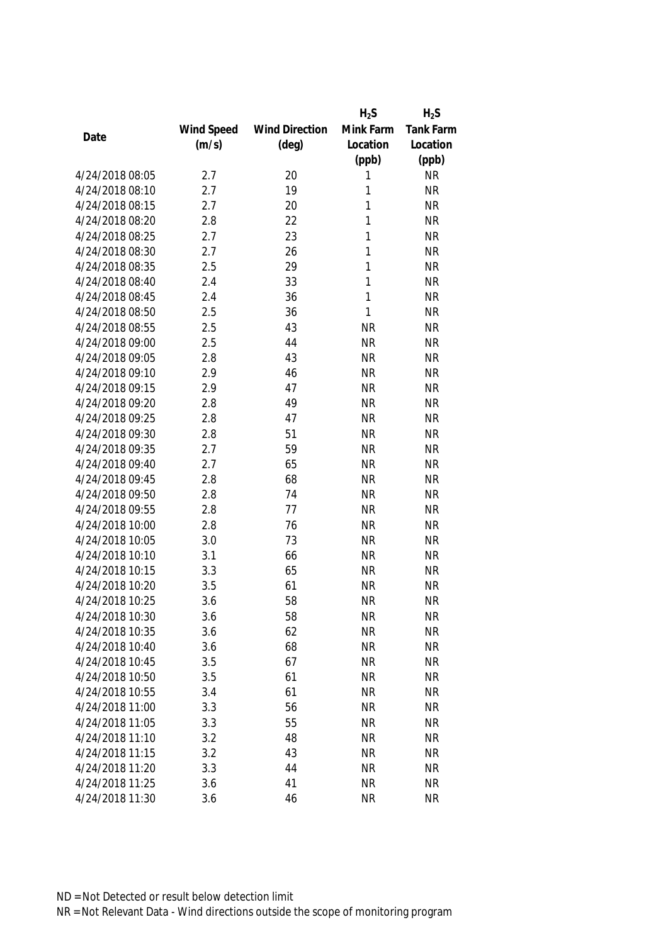|                 |            |                       | $H_2S$    | $H_2S$           |
|-----------------|------------|-----------------------|-----------|------------------|
|                 | Wind Speed | <b>Wind Direction</b> | Mink Farm | <b>Tank Farm</b> |
| Date            | (m/s)      | $(\text{deg})$        | Location  | Location         |
|                 |            |                       | (ppb)     | (ppb)            |
| 4/24/2018 08:05 | 2.7        | 20                    | 1         | <b>NR</b>        |
| 4/24/2018 08:10 | 2.7        | 19                    | 1         | <b>NR</b>        |
| 4/24/2018 08:15 | 2.7        | 20                    | 1         | <b>NR</b>        |
| 4/24/2018 08:20 | 2.8        | 22                    | 1         | <b>NR</b>        |
| 4/24/2018 08:25 | 2.7        | 23                    | 1         | <b>NR</b>        |
| 4/24/2018 08:30 | 2.7        | 26                    | 1         | <b>NR</b>        |
| 4/24/2018 08:35 | 2.5        | 29                    | 1         | <b>NR</b>        |
| 4/24/2018 08:40 | 2.4        | 33                    | 1         | <b>NR</b>        |
| 4/24/2018 08:45 | 2.4        | 36                    | 1         | <b>NR</b>        |
| 4/24/2018 08:50 | 2.5        | 36                    | 1         | <b>NR</b>        |
| 4/24/2018 08:55 | 2.5        | 43                    | <b>NR</b> | <b>NR</b>        |
| 4/24/2018 09:00 | 2.5        | 44                    | <b>NR</b> | <b>NR</b>        |
| 4/24/2018 09:05 | 2.8        | 43                    | <b>NR</b> | <b>NR</b>        |
| 4/24/2018 09:10 | 2.9        | 46                    | <b>NR</b> | <b>NR</b>        |
| 4/24/2018 09:15 | 2.9        | 47                    | <b>NR</b> | <b>NR</b>        |
| 4/24/2018 09:20 | 2.8        | 49                    | <b>NR</b> | <b>NR</b>        |
| 4/24/2018 09:25 | 2.8        | 47                    | <b>NR</b> | <b>NR</b>        |
| 4/24/2018 09:30 | 2.8        | 51                    | <b>NR</b> | <b>NR</b>        |
| 4/24/2018 09:35 | 2.7        | 59                    | <b>NR</b> | <b>NR</b>        |
| 4/24/2018 09:40 | 2.7        | 65                    | <b>NR</b> | <b>NR</b>        |
| 4/24/2018 09:45 | 2.8        | 68                    | <b>NR</b> | <b>NR</b>        |
| 4/24/2018 09:50 | 2.8        | 74                    | <b>NR</b> | <b>NR</b>        |
| 4/24/2018 09:55 | 2.8        | 77                    | <b>NR</b> | <b>NR</b>        |
| 4/24/2018 10:00 | 2.8        | 76                    | <b>NR</b> | <b>NR</b>        |
| 4/24/2018 10:05 | 3.0        | 73                    | <b>NR</b> | <b>NR</b>        |
| 4/24/2018 10:10 | 3.1        | 66                    | <b>NR</b> | <b>NR</b>        |
| 4/24/2018 10:15 | 3.3        | 65                    | <b>NR</b> | <b>NR</b>        |
| 4/24/2018 10:20 | 3.5        | 61                    | <b>NR</b> | <b>NR</b>        |
| 4/24/2018 10:25 | 3.6        | 58                    | <b>NR</b> | <b>NR</b>        |
| 4/24/2018 10:30 | 3.6        | 58                    | <b>NR</b> | <b>NR</b>        |
| 4/24/2018 10:35 | 3.6        | 62                    | <b>NR</b> | <b>NR</b>        |
| 4/24/2018 10:40 | 3.6        | 68                    | <b>NR</b> | <b>NR</b>        |
| 4/24/2018 10:45 | 3.5        | 67                    | <b>NR</b> | <b>NR</b>        |
| 4/24/2018 10:50 | 3.5        | 61                    | <b>NR</b> | <b>NR</b>        |
| 4/24/2018 10:55 | 3.4        | 61                    | <b>NR</b> | <b>NR</b>        |
| 4/24/2018 11:00 | 3.3        | 56                    | <b>NR</b> | <b>NR</b>        |
| 4/24/2018 11:05 | 3.3        | 55                    | <b>NR</b> | <b>NR</b>        |
| 4/24/2018 11:10 | 3.2        | 48                    | <b>NR</b> | <b>NR</b>        |
| 4/24/2018 11:15 | 3.2        | 43                    | <b>NR</b> | <b>NR</b>        |
| 4/24/2018 11:20 | 3.3        | 44                    | <b>NR</b> | <b>NR</b>        |
| 4/24/2018 11:25 | 3.6        | 41                    | <b>NR</b> | <b>NR</b>        |
| 4/24/2018 11:30 | 3.6        | 46                    | <b>NR</b> | <b>NR</b>        |
|                 |            |                       |           |                  |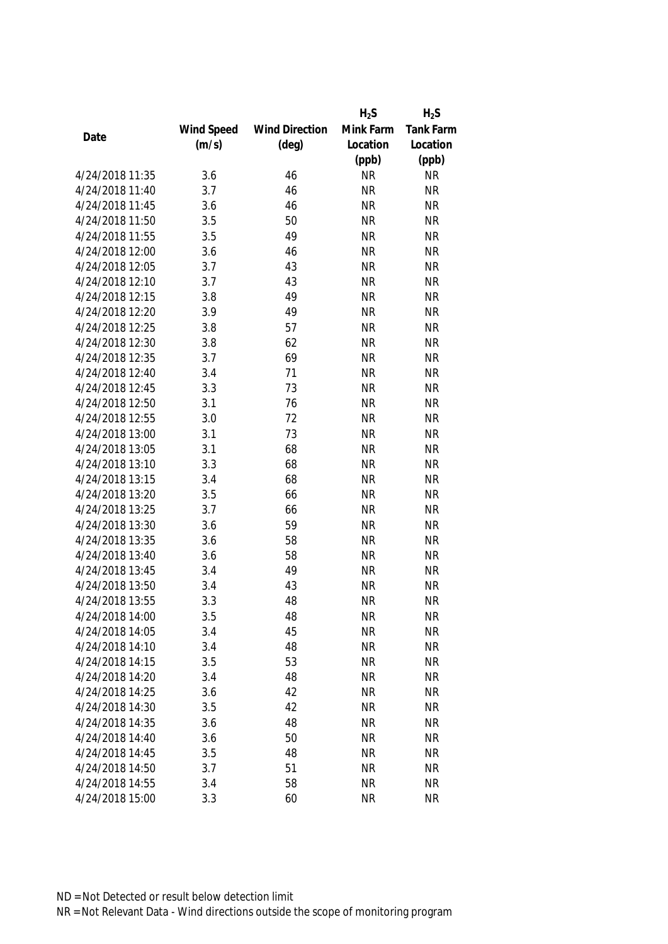|                 |            |                       | $H_2S$    | $H_2S$           |
|-----------------|------------|-----------------------|-----------|------------------|
|                 | Wind Speed | <b>Wind Direction</b> | Mink Farm | <b>Tank Farm</b> |
| Date            | (m/s)      | $(\text{deg})$        | Location  | Location         |
|                 |            |                       | (ppb)     | (ppb)            |
| 4/24/2018 11:35 | 3.6        | 46                    | <b>NR</b> | <b>NR</b>        |
| 4/24/2018 11:40 | 3.7        | 46                    | <b>NR</b> | <b>NR</b>        |
| 4/24/2018 11:45 | 3.6        | 46                    | <b>NR</b> | <b>NR</b>        |
| 4/24/2018 11:50 | 3.5        | 50                    | <b>NR</b> | <b>NR</b>        |
| 4/24/2018 11:55 | 3.5        | 49                    | <b>NR</b> | <b>NR</b>        |
| 4/24/2018 12:00 | 3.6        | 46                    | <b>NR</b> | <b>NR</b>        |
| 4/24/2018 12:05 | 3.7        | 43                    | <b>NR</b> | <b>NR</b>        |
| 4/24/2018 12:10 | 3.7        | 43                    | <b>NR</b> | <b>NR</b>        |
| 4/24/2018 12:15 | 3.8        | 49                    | <b>NR</b> | <b>NR</b>        |
| 4/24/2018 12:20 | 3.9        | 49                    | <b>NR</b> | <b>NR</b>        |
| 4/24/2018 12:25 | 3.8        | 57                    | <b>NR</b> | <b>NR</b>        |
| 4/24/2018 12:30 | 3.8        | 62                    | <b>NR</b> | <b>NR</b>        |
| 4/24/2018 12:35 | 3.7        | 69                    | <b>NR</b> | <b>NR</b>        |
| 4/24/2018 12:40 | 3.4        | 71                    | <b>NR</b> | <b>NR</b>        |
| 4/24/2018 12:45 | 3.3        | 73                    | <b>NR</b> | <b>NR</b>        |
| 4/24/2018 12:50 | 3.1        | 76                    | <b>NR</b> | <b>NR</b>        |
| 4/24/2018 12:55 | 3.0        | 72                    | <b>NR</b> | <b>NR</b>        |
| 4/24/2018 13:00 | 3.1        | 73                    | <b>NR</b> | <b>NR</b>        |
| 4/24/2018 13:05 | 3.1        | 68                    | <b>NR</b> | <b>NR</b>        |
| 4/24/2018 13:10 | 3.3        | 68                    | <b>NR</b> | <b>NR</b>        |
| 4/24/2018 13:15 | 3.4        | 68                    | <b>NR</b> | <b>NR</b>        |
| 4/24/2018 13:20 | 3.5        | 66                    | <b>NR</b> | <b>NR</b>        |
| 4/24/2018 13:25 | 3.7        | 66                    | <b>NR</b> | <b>NR</b>        |
| 4/24/2018 13:30 | 3.6        | 59                    | <b>NR</b> | <b>NR</b>        |
| 4/24/2018 13:35 | 3.6        | 58                    | <b>NR</b> | <b>NR</b>        |
| 4/24/2018 13:40 | 3.6        | 58                    | <b>NR</b> | <b>NR</b>        |
| 4/24/2018 13:45 | 3.4        | 49                    | <b>NR</b> | <b>NR</b>        |
| 4/24/2018 13:50 | 3.4        | 43                    | <b>NR</b> | <b>NR</b>        |
| 4/24/2018 13:55 | 3.3        | 48                    | <b>NR</b> | <b>NR</b>        |
| 4/24/2018 14:00 | 3.5        | 48                    | <b>NR</b> | <b>NR</b>        |
| 4/24/2018 14:05 | 3.4        | 45                    | <b>NR</b> | <b>NR</b>        |
| 4/24/2018 14:10 | 3.4        | 48                    | <b>NR</b> | <b>NR</b>        |
| 4/24/2018 14:15 | 3.5        | 53                    | <b>NR</b> | <b>NR</b>        |
| 4/24/2018 14:20 | 3.4        | 48                    | <b>NR</b> | <b>NR</b>        |
| 4/24/2018 14:25 | 3.6        | 42                    | <b>NR</b> | <b>NR</b>        |
| 4/24/2018 14:30 | 3.5        | 42                    | <b>NR</b> | <b>NR</b>        |
| 4/24/2018 14:35 | 3.6        | 48                    | <b>NR</b> | <b>NR</b>        |
| 4/24/2018 14:40 | 3.6        | 50                    | <b>NR</b> | <b>NR</b>        |
| 4/24/2018 14:45 | 3.5        | 48                    | <b>NR</b> | <b>NR</b>        |
| 4/24/2018 14:50 | 3.7        | 51                    | <b>NR</b> | <b>NR</b>        |
| 4/24/2018 14:55 | 3.4        | 58                    | <b>NR</b> | <b>NR</b>        |
| 4/24/2018 15:00 | 3.3        | 60                    | <b>NR</b> | <b>NR</b>        |
|                 |            |                       |           |                  |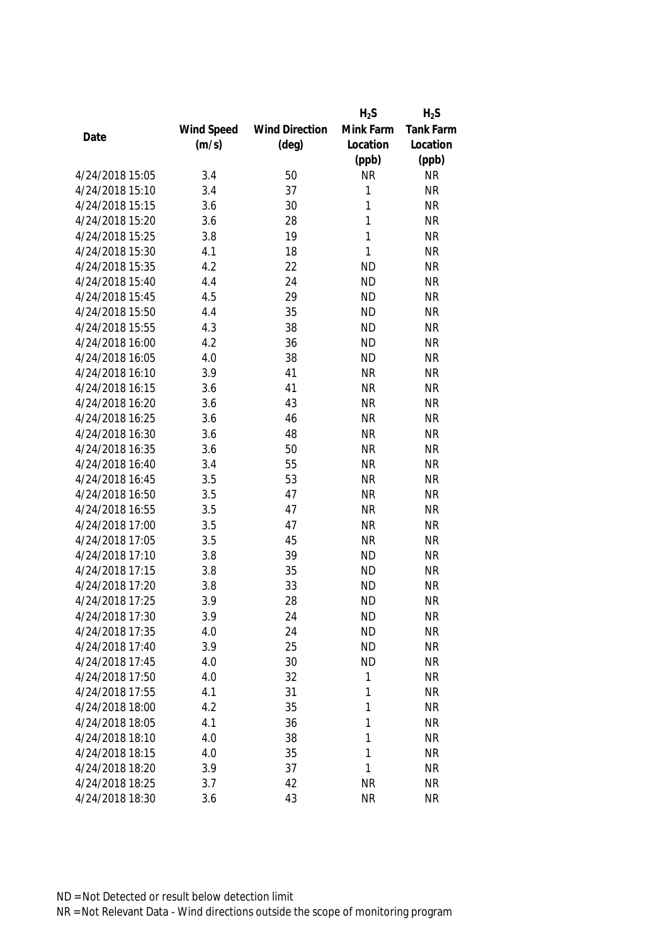|                 |            |                       | $H_2S$       | $H_2S$           |
|-----------------|------------|-----------------------|--------------|------------------|
|                 | Wind Speed | <b>Wind Direction</b> | Mink Farm    | <b>Tank Farm</b> |
| Date            | (m/s)      | $(\text{deg})$        | Location     | Location         |
|                 |            |                       | (ppb)        | (ppb)            |
| 4/24/2018 15:05 | 3.4        | 50                    | <b>NR</b>    | <b>NR</b>        |
| 4/24/2018 15:10 | 3.4        | 37                    | 1            | <b>NR</b>        |
| 4/24/2018 15:15 | 3.6        | 30                    | 1            | <b>NR</b>        |
| 4/24/2018 15:20 | 3.6        | 28                    | 1            | <b>NR</b>        |
| 4/24/2018 15:25 | 3.8        | 19                    | 1            | <b>NR</b>        |
| 4/24/2018 15:30 | 4.1        | 18                    | $\mathbf{1}$ | <b>NR</b>        |
| 4/24/2018 15:35 | 4.2        | 22                    | <b>ND</b>    | <b>NR</b>        |
| 4/24/2018 15:40 | 4.4        | 24                    | <b>ND</b>    | <b>NR</b>        |
| 4/24/2018 15:45 | 4.5        | 29                    | <b>ND</b>    | <b>NR</b>        |
| 4/24/2018 15:50 | 4.4        | 35                    | <b>ND</b>    | <b>NR</b>        |
| 4/24/2018 15:55 | 4.3        | 38                    | <b>ND</b>    | <b>NR</b>        |
| 4/24/2018 16:00 | 4.2        | 36                    | <b>ND</b>    | <b>NR</b>        |
| 4/24/2018 16:05 | 4.0        | 38                    | <b>ND</b>    | <b>NR</b>        |
| 4/24/2018 16:10 | 3.9        | 41                    | <b>NR</b>    | <b>NR</b>        |
| 4/24/2018 16:15 | 3.6        | 41                    | <b>NR</b>    | <b>NR</b>        |
| 4/24/2018 16:20 | 3.6        | 43                    | <b>NR</b>    | <b>NR</b>        |
| 4/24/2018 16:25 | 3.6        | 46                    | <b>NR</b>    | <b>NR</b>        |
| 4/24/2018 16:30 | 3.6        | 48                    | <b>NR</b>    | <b>NR</b>        |
| 4/24/2018 16:35 | 3.6        | 50                    | <b>NR</b>    | <b>NR</b>        |
| 4/24/2018 16:40 | 3.4        | 55                    | <b>NR</b>    | <b>NR</b>        |
| 4/24/2018 16:45 | 3.5        | 53                    | <b>NR</b>    | <b>NR</b>        |
| 4/24/2018 16:50 | 3.5        | 47                    | <b>NR</b>    | <b>NR</b>        |
| 4/24/2018 16:55 | 3.5        | 47                    | <b>NR</b>    | <b>NR</b>        |
| 4/24/2018 17:00 | 3.5        | 47                    | <b>NR</b>    | <b>NR</b>        |
| 4/24/2018 17:05 | 3.5        | 45                    | <b>NR</b>    | <b>NR</b>        |
| 4/24/2018 17:10 | 3.8        | 39                    | <b>ND</b>    | <b>NR</b>        |
| 4/24/2018 17:15 | 3.8        | 35                    | <b>ND</b>    | <b>NR</b>        |
| 4/24/2018 17:20 | 3.8        | 33                    | <b>ND</b>    | <b>NR</b>        |
| 4/24/2018 17:25 | 3.9        | 28                    | <b>ND</b>    | <b>NR</b>        |
| 4/24/2018 17:30 | 3.9        | 24                    | <b>ND</b>    | <b>NR</b>        |
| 4/24/2018 17:35 | 4.0        | 24                    | <b>ND</b>    | <b>NR</b>        |
| 4/24/2018 17:40 | 3.9        | 25                    | <b>ND</b>    | <b>NR</b>        |
| 4/24/2018 17:45 | 4.0        | 30                    | <b>ND</b>    | <b>NR</b>        |
| 4/24/2018 17:50 | 4.0        | 32                    | 1            | <b>NR</b>        |
| 4/24/2018 17:55 | 4.1        | 31                    | 1            | <b>NR</b>        |
| 4/24/2018 18:00 | 4.2        | 35                    | 1            | <b>NR</b>        |
| 4/24/2018 18:05 | 4.1        | 36                    | 1            | <b>NR</b>        |
| 4/24/2018 18:10 | 4.0        | 38                    | 1            | <b>NR</b>        |
| 4/24/2018 18:15 | 4.0        | 35                    | 1            | <b>NR</b>        |
| 4/24/2018 18:20 | 3.9        | 37                    | 1            | <b>NR</b>        |
|                 |            |                       |              |                  |
| 4/24/2018 18:25 | 3.7        | 42                    | <b>NR</b>    | <b>NR</b>        |
| 4/24/2018 18:30 | 3.6        | 43                    | <b>NR</b>    | <b>NR</b>        |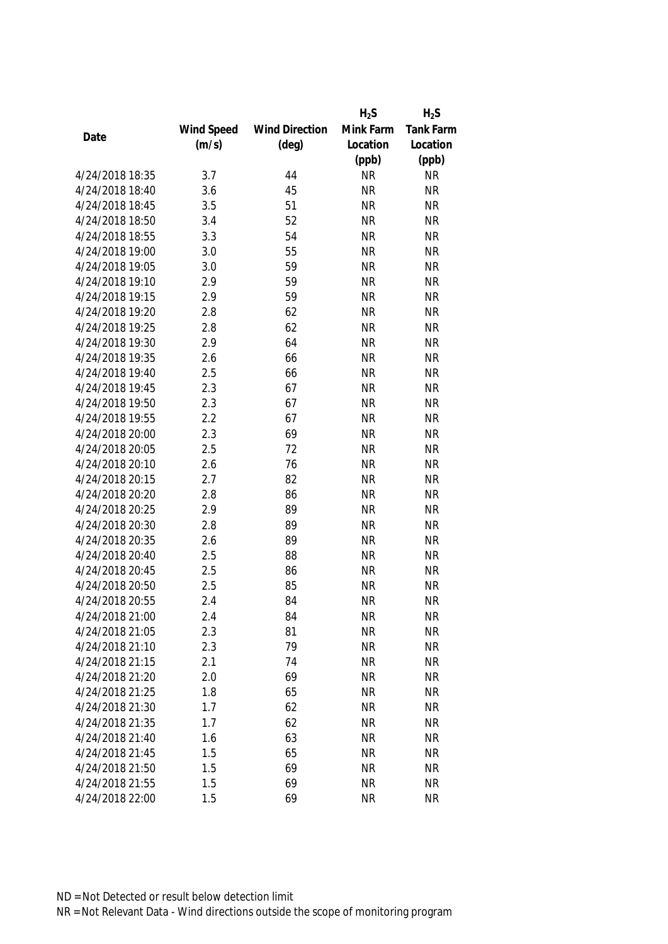|                 |            |                       | $H_2S$    | $H_2S$           |
|-----------------|------------|-----------------------|-----------|------------------|
|                 | Wind Speed | <b>Wind Direction</b> | Mink Farm | <b>Tank Farm</b> |
| Date            | (m/s)      | $(\text{deg})$        | Location  | Location         |
|                 |            |                       | (ppb)     | (ppb)            |
| 4/24/2018 18:35 | 3.7        | 44                    | <b>NR</b> | <b>NR</b>        |
| 4/24/2018 18:40 | 3.6        | 45                    | <b>NR</b> | <b>NR</b>        |
| 4/24/2018 18:45 | 3.5        | 51                    | <b>NR</b> | <b>NR</b>        |
| 4/24/2018 18:50 | 3.4        | 52                    | <b>NR</b> | <b>NR</b>        |
| 4/24/2018 18:55 | 3.3        | 54                    | <b>NR</b> | <b>NR</b>        |
| 4/24/2018 19:00 | 3.0        | 55                    | <b>NR</b> | <b>NR</b>        |
| 4/24/2018 19:05 | 3.0        | 59                    | <b>NR</b> | <b>NR</b>        |
| 4/24/2018 19:10 | 2.9        | 59                    | <b>NR</b> | <b>NR</b>        |
| 4/24/2018 19:15 | 2.9        | 59                    | <b>NR</b> | <b>NR</b>        |
| 4/24/2018 19:20 | 2.8        | 62                    | <b>NR</b> | <b>NR</b>        |
| 4/24/2018 19:25 | 2.8        | 62                    | <b>NR</b> | <b>NR</b>        |
| 4/24/2018 19:30 | 2.9        | 64                    | <b>NR</b> | <b>NR</b>        |
| 4/24/2018 19:35 | 2.6        | 66                    | <b>NR</b> | <b>NR</b>        |
| 4/24/2018 19:40 | 2.5        | 66                    | <b>NR</b> | <b>NR</b>        |
| 4/24/2018 19:45 | 2.3        | 67                    | <b>NR</b> | <b>NR</b>        |
| 4/24/2018 19:50 | 2.3        | 67                    | <b>NR</b> | <b>NR</b>        |
| 4/24/2018 19:55 | 2.2        | 67                    | <b>NR</b> | <b>NR</b>        |
| 4/24/2018 20:00 | 2.3        | 69                    | <b>NR</b> | <b>NR</b>        |
| 4/24/2018 20:05 | 2.5        | 72                    | <b>NR</b> | <b>NR</b>        |
| 4/24/2018 20:10 | 2.6        | 76                    | <b>NR</b> | <b>NR</b>        |
| 4/24/2018 20:15 | 2.7        | 82                    | <b>NR</b> | <b>NR</b>        |
| 4/24/2018 20:20 | 2.8        | 86                    | <b>NR</b> | <b>NR</b>        |
| 4/24/2018 20:25 | 2.9        | 89                    | <b>NR</b> | <b>NR</b>        |
| 4/24/2018 20:30 | 2.8        | 89                    | <b>NR</b> | <b>NR</b>        |
| 4/24/2018 20:35 | 2.6        | 89                    | <b>NR</b> | <b>NR</b>        |
| 4/24/2018 20:40 | 2.5        | 88                    | <b>NR</b> | <b>NR</b>        |
| 4/24/2018 20:45 | 2.5        | 86                    | <b>NR</b> | <b>NR</b>        |
| 4/24/2018 20:50 | 2.5        | 85                    | <b>NR</b> | <b>NR</b>        |
| 4/24/2018 20:55 | 2.4        | 84                    | <b>NR</b> | <b>NR</b>        |
| 4/24/2018 21:00 | 2.4        | 84                    | <b>NR</b> | <b>NR</b>        |
| 4/24/2018 21:05 | 2.3        | 81                    | <b>NR</b> | <b>NR</b>        |
| 4/24/2018 21:10 | 2.3        | 79                    | <b>NR</b> | <b>NR</b>        |
| 4/24/2018 21:15 | 2.1        | 74                    | <b>NR</b> | <b>NR</b>        |
| 4/24/2018 21:20 | 2.0        | 69                    | <b>NR</b> | <b>NR</b>        |
| 4/24/2018 21:25 | 1.8        | 65                    | <b>NR</b> | <b>NR</b>        |
| 4/24/2018 21:30 | 1.7        | 62                    | <b>NR</b> | <b>NR</b>        |
| 4/24/2018 21:35 | 1.7        | 62                    | <b>NR</b> | <b>NR</b>        |
| 4/24/2018 21:40 | 1.6        | 63                    | <b>NR</b> | <b>NR</b>        |
| 4/24/2018 21:45 | 1.5        | 65                    | <b>NR</b> | <b>NR</b>        |
| 4/24/2018 21:50 | 1.5        | 69                    | <b>NR</b> | <b>NR</b>        |
| 4/24/2018 21:55 | 1.5        | 69                    | <b>NR</b> | <b>NR</b>        |
| 4/24/2018 22:00 | 1.5        | 69                    | <b>NR</b> | <b>NR</b>        |
|                 |            |                       |           |                  |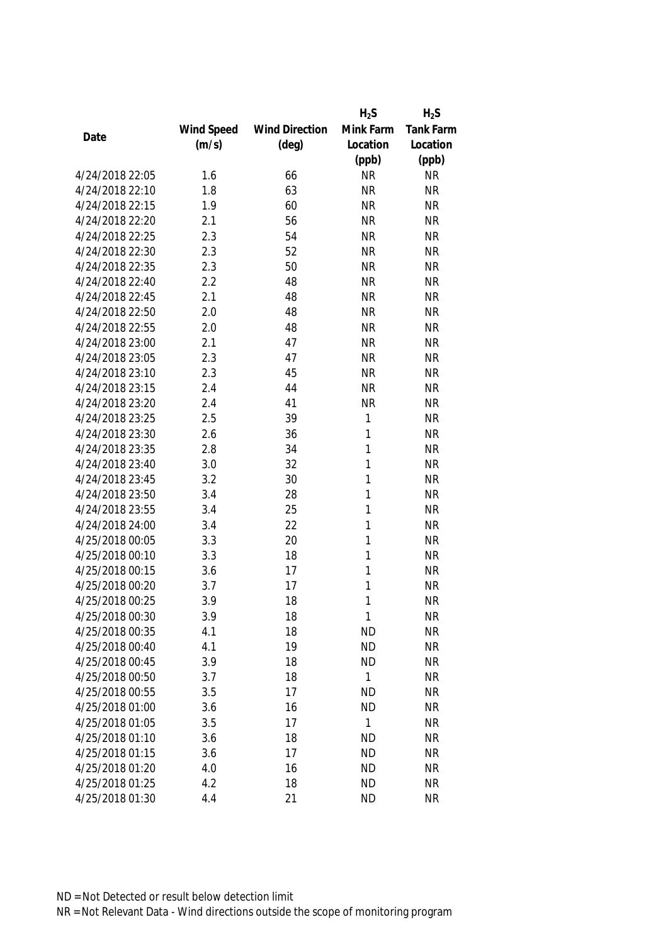|                 |            |                       | $H_2S$       | $H_2S$    |
|-----------------|------------|-----------------------|--------------|-----------|
|                 | Wind Speed | <b>Wind Direction</b> | Mink Farm    | Tank Farm |
| Date            | (m/s)      | $(\text{deg})$        | Location     | Location  |
|                 |            |                       | (ppb)        | (ppb)     |
| 4/24/2018 22:05 | 1.6        | 66                    | <b>NR</b>    | <b>NR</b> |
| 4/24/2018 22:10 | 1.8        | 63                    | <b>NR</b>    | <b>NR</b> |
| 4/24/2018 22:15 | 1.9        | 60                    | <b>NR</b>    | <b>NR</b> |
| 4/24/2018 22:20 | 2.1        | 56                    | <b>NR</b>    | <b>NR</b> |
| 4/24/2018 22:25 | 2.3        | 54                    | <b>NR</b>    | <b>NR</b> |
| 4/24/2018 22:30 | 2.3        | 52                    | <b>NR</b>    | <b>NR</b> |
| 4/24/2018 22:35 | 2.3        | 50                    | <b>NR</b>    | <b>NR</b> |
| 4/24/2018 22:40 | 2.2        | 48                    | <b>NR</b>    | <b>NR</b> |
| 4/24/2018 22:45 | 2.1        | 48                    | <b>NR</b>    | <b>NR</b> |
| 4/24/2018 22:50 | 2.0        | 48                    | <b>NR</b>    | <b>NR</b> |
| 4/24/2018 22:55 | 2.0        | 48                    | <b>NR</b>    | <b>NR</b> |
| 4/24/2018 23:00 | 2.1        | 47                    | <b>NR</b>    | <b>NR</b> |
| 4/24/2018 23:05 | 2.3        | 47                    | <b>NR</b>    | <b>NR</b> |
| 4/24/2018 23:10 | 2.3        | 45                    | <b>NR</b>    | <b>NR</b> |
| 4/24/2018 23:15 | 2.4        | 44                    | <b>NR</b>    | <b>NR</b> |
| 4/24/2018 23:20 | 2.4        | 41                    | <b>NR</b>    | <b>NR</b> |
| 4/24/2018 23:25 | 2.5        | 39                    | $\mathbf 1$  | <b>NR</b> |
| 4/24/2018 23:30 | 2.6        | 36                    | 1            | <b>NR</b> |
| 4/24/2018 23:35 | 2.8        | 34                    | 1            | <b>NR</b> |
| 4/24/2018 23:40 | 3.0        | 32                    | 1            | <b>NR</b> |
| 4/24/2018 23:45 | 3.2        | 30                    | 1            | <b>NR</b> |
| 4/24/2018 23:50 | 3.4        | 28                    | 1            | <b>NR</b> |
| 4/24/2018 23:55 | 3.4        | 25                    | 1            | <b>NR</b> |
| 4/24/2018 24:00 | 3.4        | 22                    | 1            | <b>NR</b> |
| 4/25/2018 00:05 | 3.3        | 20                    | 1            | <b>NR</b> |
| 4/25/2018 00:10 | 3.3        | 18                    | 1            | <b>NR</b> |
| 4/25/2018 00:15 | 3.6        | 17                    | 1            | <b>NR</b> |
| 4/25/2018 00:20 | 3.7        | 17                    | 1            | <b>NR</b> |
| 4/25/2018 00:25 | 3.9        | 18                    | 1            | <b>NR</b> |
| 4/25/2018 00:30 | 3.9        | 18                    | 1            | <b>NR</b> |
| 4/25/2018 00:35 | 4.1        | 18                    | <b>ND</b>    | <b>NR</b> |
| 4/25/2018 00:40 | 4.1        | 19                    | <b>ND</b>    | <b>NR</b> |
| 4/25/2018 00:45 | 3.9        | 18                    | <b>ND</b>    | <b>NR</b> |
| 4/25/2018 00:50 | 3.7        | 18                    | $\mathbf{1}$ | <b>NR</b> |
| 4/25/2018 00:55 | 3.5        | 17                    | <b>ND</b>    | <b>NR</b> |
| 4/25/2018 01:00 | 3.6        | 16                    | <b>ND</b>    | <b>NR</b> |
| 4/25/2018 01:05 | 3.5        | 17                    | 1            | <b>NR</b> |
| 4/25/2018 01:10 | 3.6        | 18                    | <b>ND</b>    | <b>NR</b> |
| 4/25/2018 01:15 | 3.6        | 17                    | <b>ND</b>    | <b>NR</b> |
| 4/25/2018 01:20 | 4.0        | 16                    | <b>ND</b>    | <b>NR</b> |
| 4/25/2018 01:25 | 4.2        | 18                    | <b>ND</b>    | <b>NR</b> |
| 4/25/2018 01:30 | 4.4        | 21                    | <b>ND</b>    | <b>NR</b> |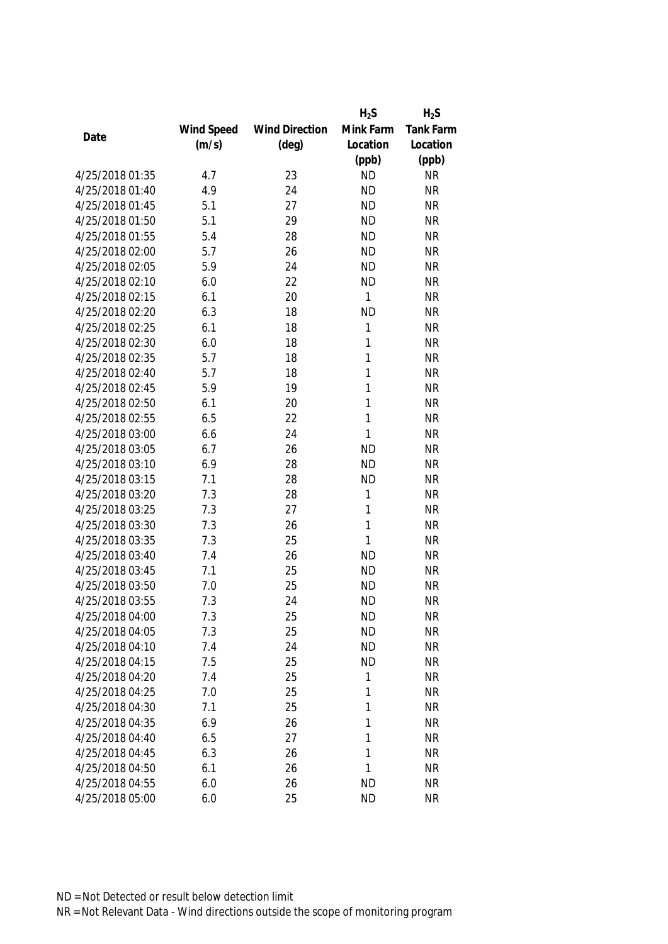|                                    |            |                       | $H_2S$       | $H_2S$    |
|------------------------------------|------------|-----------------------|--------------|-----------|
|                                    | Wind Speed | <b>Wind Direction</b> | Mink Farm    | Tank Farm |
| Date                               | (m/s)      | $(\text{deg})$        | Location     | Location  |
|                                    |            |                       | (ppb)        | (ppb)     |
| 4/25/2018 01:35                    | 4.7        | 23                    | <b>ND</b>    | <b>NR</b> |
| 4/25/2018 01:40                    | 4.9        | 24                    | <b>ND</b>    | <b>NR</b> |
| 4/25/2018 01:45                    | 5.1        | 27                    | <b>ND</b>    | <b>NR</b> |
| 4/25/2018 01:50                    | 5.1        | 29                    | <b>ND</b>    | <b>NR</b> |
| 4/25/2018 01:55                    | 5.4        | 28                    | <b>ND</b>    | <b>NR</b> |
| 4/25/2018 02:00                    | 5.7        | 26                    | <b>ND</b>    | <b>NR</b> |
| 4/25/2018 02:05                    | 5.9        | 24                    | <b>ND</b>    | <b>NR</b> |
| 4/25/2018 02:10                    | 6.0        | 22                    | <b>ND</b>    | <b>NR</b> |
| 4/25/2018 02:15                    | 6.1        | 20                    | 1            | <b>NR</b> |
| 4/25/2018 02:20                    | 6.3        | 18                    | <b>ND</b>    | <b>NR</b> |
| 4/25/2018 02:25                    | 6.1        | 18                    | 1            | <b>NR</b> |
| 4/25/2018 02:30                    | 6.0        | 18                    | 1            | <b>NR</b> |
| 4/25/2018 02:35                    | 5.7        | 18                    | 1            | <b>NR</b> |
| 4/25/2018 02:40                    | 5.7        | 18                    | 1            | <b>NR</b> |
| 4/25/2018 02:45                    | 5.9        | 19                    | 1            | <b>NR</b> |
| 4/25/2018 02:50                    | 6.1        | 20                    | $\mathbf{1}$ | <b>NR</b> |
| 4/25/2018 02:55                    | 6.5        | 22                    | 1            | <b>NR</b> |
| 4/25/2018 03:00                    | 6.6        | 24                    | 1            | <b>NR</b> |
| 4/25/2018 03:05                    | 6.7        | 26                    | <b>ND</b>    | <b>NR</b> |
| 4/25/2018 03:10                    | 6.9        | 28                    | <b>ND</b>    | <b>NR</b> |
| 4/25/2018 03:15                    | 7.1        | 28                    | <b>ND</b>    | <b>NR</b> |
| 4/25/2018 03:20                    | 7.3        | 28                    | 1            | <b>NR</b> |
| 4/25/2018 03:25                    | 7.3        | 27                    | 1            | <b>NR</b> |
| 4/25/2018 03:30                    | 7.3        | 26                    | $\mathbf{1}$ | <b>NR</b> |
| 4/25/2018 03:35                    | 7.3        | 25                    | 1            | <b>NR</b> |
| 4/25/2018 03:40                    | 7.4        | 26                    | <b>ND</b>    | <b>NR</b> |
| 4/25/2018 03:45                    | 7.1        | 25                    | <b>ND</b>    | <b>NR</b> |
| 4/25/2018 03:50                    | 7.0        | 25                    | <b>ND</b>    | <b>NR</b> |
| 4/25/2018 03:55                    | 7.3        | 24                    | <b>ND</b>    | <b>NR</b> |
| 4/25/2018 04:00                    | 7.3        | 25                    | <b>ND</b>    | <b>NR</b> |
| 4/25/2018 04:05                    | 7.3        | 25                    | <b>ND</b>    | <b>NR</b> |
| 4/25/2018 04:10                    | 7.4        | 24                    | <b>ND</b>    | <b>NR</b> |
| 4/25/2018 04:15                    | 7.5        | 25                    | <b>ND</b>    | <b>NR</b> |
| 4/25/2018 04:20                    | 7.4        | 25                    | 1            | <b>NR</b> |
| 4/25/2018 04:25                    | 7.0        | 25                    | 1            | <b>NR</b> |
| 4/25/2018 04:30                    | 7.1        | 25                    | 1            | <b>NR</b> |
| 4/25/2018 04:35                    | 6.9        | 26                    |              | <b>NR</b> |
|                                    |            |                       | 1            |           |
| 4/25/2018 04:40<br>4/25/2018 04:45 | 6.5        | 27                    | 1<br>1       | <b>NR</b> |
|                                    | 6.3        | 26                    |              | <b>NR</b> |
| 4/25/2018 04:50                    | 6.1        | 26                    | 1            | <b>NR</b> |
| 4/25/2018 04:55                    | 6.0        | 26                    | <b>ND</b>    | <b>NR</b> |
| 4/25/2018 05:00                    | 6.0        | 25                    | <b>ND</b>    | <b>NR</b> |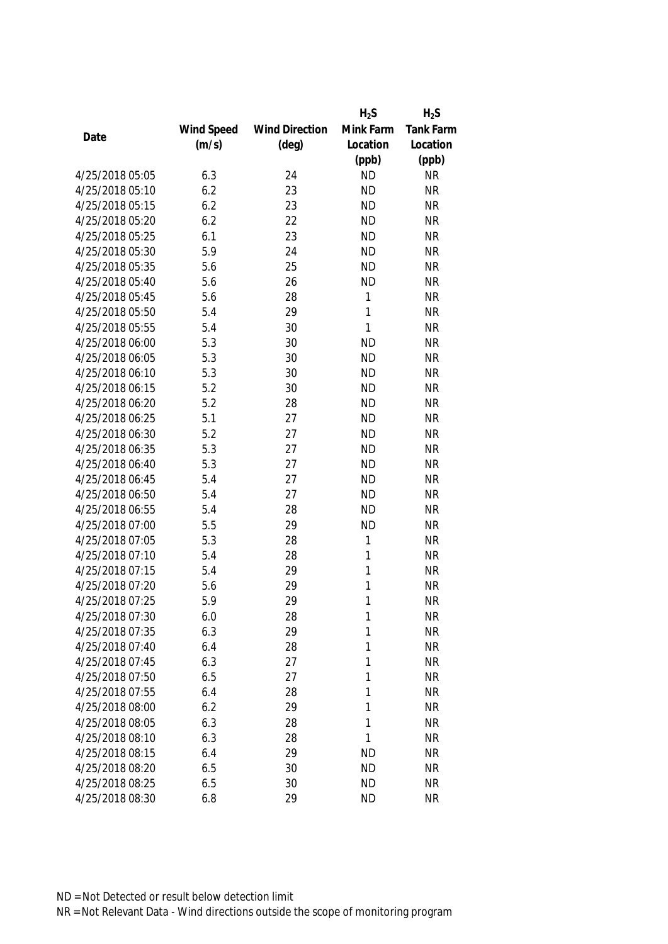|                 |            |                       | $H_2S$      | $H_2S$           |
|-----------------|------------|-----------------------|-------------|------------------|
|                 | Wind Speed | <b>Wind Direction</b> | Mink Farm   | <b>Tank Farm</b> |
| Date            | (m/s)      | $(\text{deg})$        | Location    | Location         |
|                 |            |                       | (ppb)       | (ppb)            |
| 4/25/2018 05:05 | 6.3        | 24                    | <b>ND</b>   | <b>NR</b>        |
| 4/25/2018 05:10 | 6.2        | 23                    | <b>ND</b>   | <b>NR</b>        |
| 4/25/2018 05:15 | 6.2        | 23                    | <b>ND</b>   | <b>NR</b>        |
| 4/25/2018 05:20 | 6.2        | 22                    | <b>ND</b>   | <b>NR</b>        |
| 4/25/2018 05:25 | 6.1        | 23                    | <b>ND</b>   | <b>NR</b>        |
| 4/25/2018 05:30 | 5.9        | 24                    | <b>ND</b>   | <b>NR</b>        |
| 4/25/2018 05:35 | 5.6        | 25                    | <b>ND</b>   | <b>NR</b>        |
| 4/25/2018 05:40 | 5.6        | 26                    | <b>ND</b>   | <b>NR</b>        |
| 4/25/2018 05:45 | 5.6        | 28                    | 1           | <b>NR</b>        |
| 4/25/2018 05:50 | 5.4        | 29                    | 1           | <b>NR</b>        |
| 4/25/2018 05:55 | 5.4        | 30                    | 1           | <b>NR</b>        |
| 4/25/2018 06:00 | 5.3        | 30                    | <b>ND</b>   | <b>NR</b>        |
| 4/25/2018 06:05 | 5.3        | 30                    | <b>ND</b>   | <b>NR</b>        |
| 4/25/2018 06:10 | 5.3        | 30                    | <b>ND</b>   | <b>NR</b>        |
| 4/25/2018 06:15 | 5.2        | 30                    | <b>ND</b>   | <b>NR</b>        |
| 4/25/2018 06:20 | 5.2        | 28                    | <b>ND</b>   | <b>NR</b>        |
| 4/25/2018 06:25 | 5.1        | 27                    | <b>ND</b>   | <b>NR</b>        |
| 4/25/2018 06:30 | 5.2        | 27                    | <b>ND</b>   | <b>NR</b>        |
| 4/25/2018 06:35 | 5.3        | 27                    | <b>ND</b>   | <b>NR</b>        |
| 4/25/2018 06:40 | 5.3        | 27                    | <b>ND</b>   | <b>NR</b>        |
| 4/25/2018 06:45 | 5.4        | 27                    | <b>ND</b>   | <b>NR</b>        |
| 4/25/2018 06:50 | 5.4        | 27                    | <b>ND</b>   | <b>NR</b>        |
| 4/25/2018 06:55 | 5.4        | 28                    | <b>ND</b>   | <b>NR</b>        |
| 4/25/2018 07:00 | 5.5        | 29                    | <b>ND</b>   | <b>NR</b>        |
| 4/25/2018 07:05 | 5.3        | 28                    | $\mathbf 1$ | <b>NR</b>        |
| 4/25/2018 07:10 | 5.4        | 28                    | 1           | <b>NR</b>        |
| 4/25/2018 07:15 | 5.4        | 29                    | 1           | <b>NR</b>        |
| 4/25/2018 07:20 | 5.6        | 29                    | 1           | <b>NR</b>        |
| 4/25/2018 07:25 | 5.9        | 29                    | 1           | <b>NR</b>        |
| 4/25/2018 07:30 | 6.0        | 28                    | 1           | <b>NR</b>        |
| 4/25/2018 07:35 | 6.3        | 29                    | 1           | <b>NR</b>        |
| 4/25/2018 07:40 | 6.4        | 28                    | 1           | <b>NR</b>        |
| 4/25/2018 07:45 | 6.3        | 27                    | 1           | <b>NR</b>        |
| 4/25/2018 07:50 | 6.5        | 27                    | 1           | <b>NR</b>        |
| 4/25/2018 07:55 | 6.4        | 28                    | 1           | <b>NR</b>        |
| 4/25/2018 08:00 | 6.2        | 29                    | 1           | <b>NR</b>        |
| 4/25/2018 08:05 | 6.3        | 28                    | 1           | <b>NR</b>        |
| 4/25/2018 08:10 | 6.3        | 28                    | 1           | <b>NR</b>        |
| 4/25/2018 08:15 | 6.4        | 29                    | <b>ND</b>   | <b>NR</b>        |
| 4/25/2018 08:20 | 6.5        | 30                    | <b>ND</b>   | <b>NR</b>        |
| 4/25/2018 08:25 | 6.5        | 30                    | <b>ND</b>   | <b>NR</b>        |
| 4/25/2018 08:30 | 6.8        | 29                    | <b>ND</b>   | <b>NR</b>        |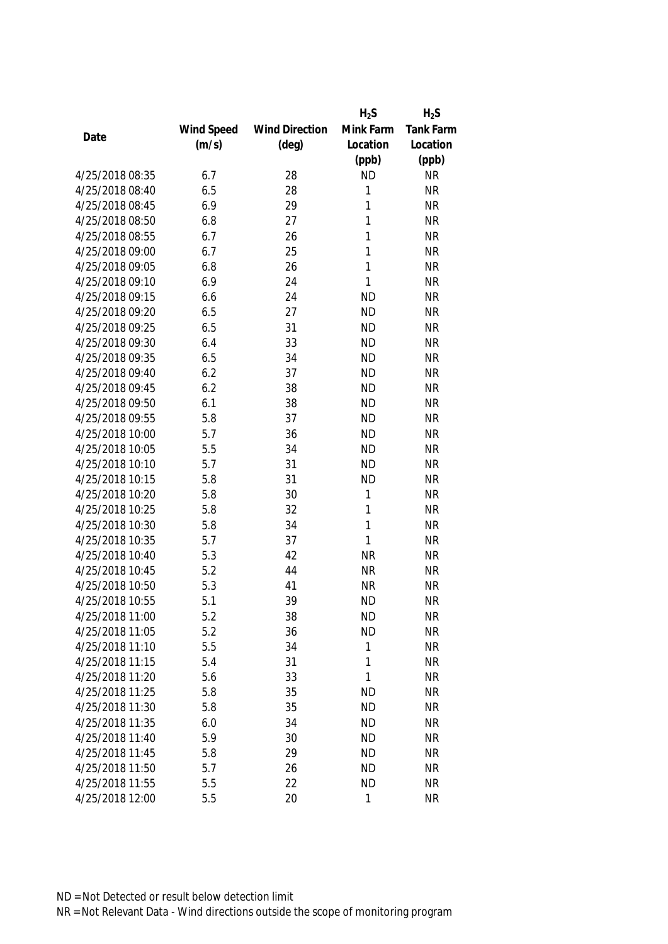|                 |            |                       | $H_2S$    | $H_2S$    |
|-----------------|------------|-----------------------|-----------|-----------|
|                 | Wind Speed | <b>Wind Direction</b> | Mink Farm | Tank Farm |
| Date            | (m/s)      | $(\text{deg})$        | Location  | Location  |
|                 |            |                       | (ppb)     | (ppb)     |
| 4/25/2018 08:35 | 6.7        | 28                    | <b>ND</b> | <b>NR</b> |
| 4/25/2018 08:40 | 6.5        | 28                    | 1         | <b>NR</b> |
| 4/25/2018 08:45 | 6.9        | 29                    | 1         | <b>NR</b> |
| 4/25/2018 08:50 | 6.8        | 27                    | 1         | <b>NR</b> |
| 4/25/2018 08:55 | 6.7        | 26                    | 1         | <b>NR</b> |
| 4/25/2018 09:00 | 6.7        | 25                    | 1         | <b>NR</b> |
| 4/25/2018 09:05 | 6.8        | 26                    | 1         | <b>NR</b> |
| 4/25/2018 09:10 | 6.9        | 24                    | 1         | <b>NR</b> |
| 4/25/2018 09:15 | 6.6        | 24                    | <b>ND</b> | <b>NR</b> |
| 4/25/2018 09:20 | 6.5        | 27                    | <b>ND</b> | <b>NR</b> |
| 4/25/2018 09:25 | 6.5        | 31                    | <b>ND</b> | <b>NR</b> |
| 4/25/2018 09:30 | 6.4        | 33                    | <b>ND</b> | <b>NR</b> |
| 4/25/2018 09:35 | 6.5        | 34                    | <b>ND</b> | <b>NR</b> |
| 4/25/2018 09:40 | 6.2        | 37                    | <b>ND</b> | <b>NR</b> |
| 4/25/2018 09:45 | 6.2        | 38                    | <b>ND</b> | <b>NR</b> |
| 4/25/2018 09:50 | 6.1        | 38                    | <b>ND</b> | <b>NR</b> |
| 4/25/2018 09:55 | 5.8        | 37                    | <b>ND</b> | <b>NR</b> |
| 4/25/2018 10:00 | 5.7        | 36                    | <b>ND</b> | <b>NR</b> |
| 4/25/2018 10:05 | 5.5        | 34                    | <b>ND</b> | <b>NR</b> |
| 4/25/2018 10:10 | 5.7        | 31                    | <b>ND</b> | <b>NR</b> |
| 4/25/2018 10:15 | 5.8        | 31                    | <b>ND</b> | <b>NR</b> |
| 4/25/2018 10:20 | 5.8        | 30                    | 1         | <b>NR</b> |
| 4/25/2018 10:25 | 5.8        | 32                    | 1         | <b>NR</b> |
| 4/25/2018 10:30 | 5.8        | 34                    | 1         | <b>NR</b> |
| 4/25/2018 10:35 | 5.7        | 37                    | 1         | <b>NR</b> |
| 4/25/2018 10:40 | 5.3        | 42                    | <b>NR</b> | <b>NR</b> |
| 4/25/2018 10:45 | 5.2        | 44                    | <b>NR</b> | <b>NR</b> |
| 4/25/2018 10:50 | 5.3        | 41                    | <b>NR</b> | <b>NR</b> |
| 4/25/2018 10:55 | 5.1        | 39                    | <b>ND</b> | <b>NR</b> |
| 4/25/2018 11:00 | 5.2        | 38                    | <b>ND</b> | <b>NR</b> |
| 4/25/2018 11:05 | 5.2        | 36                    | <b>ND</b> | <b>NR</b> |
| 4/25/2018 11:10 | 5.5        | 34                    | 1         | <b>NR</b> |
| 4/25/2018 11:15 | 5.4        | 31                    | 1         | <b>NR</b> |
| 4/25/2018 11:20 | 5.6        | 33                    | 1         | <b>NR</b> |
| 4/25/2018 11:25 | 5.8        | 35                    | <b>ND</b> | <b>NR</b> |
| 4/25/2018 11:30 | 5.8        | 35                    | <b>ND</b> | <b>NR</b> |
| 4/25/2018 11:35 | 6.0        | 34                    | <b>ND</b> | <b>NR</b> |
| 4/25/2018 11:40 | 5.9        | 30                    | <b>ND</b> | <b>NR</b> |
| 4/25/2018 11:45 | 5.8        | 29                    | <b>ND</b> | <b>NR</b> |
| 4/25/2018 11:50 | 5.7        | 26                    | <b>ND</b> | <b>NR</b> |
| 4/25/2018 11:55 | 5.5        | 22                    | <b>ND</b> | <b>NR</b> |
| 4/25/2018 12:00 | 5.5        | 20                    | 1         | <b>NR</b> |
|                 |            |                       |           |           |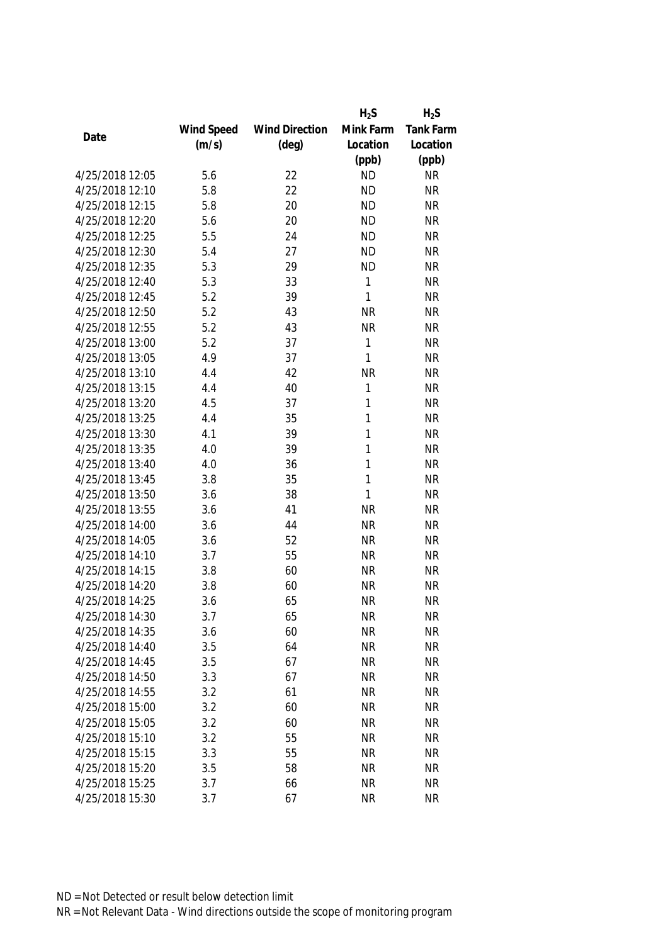|                 |            |                       | $H_2S$    | $H_2S$    |
|-----------------|------------|-----------------------|-----------|-----------|
|                 | Wind Speed | <b>Wind Direction</b> | Mink Farm | Tank Farm |
| Date            | (m/s)      | $(\text{deg})$        | Location  | Location  |
|                 |            |                       | (ppb)     | (ppb)     |
| 4/25/2018 12:05 | 5.6        | 22                    | <b>ND</b> | <b>NR</b> |
| 4/25/2018 12:10 | 5.8        | 22                    | <b>ND</b> | <b>NR</b> |
| 4/25/2018 12:15 | 5.8        | 20                    | <b>ND</b> | <b>NR</b> |
| 4/25/2018 12:20 | 5.6        | 20                    | <b>ND</b> | <b>NR</b> |
| 4/25/2018 12:25 | 5.5        | 24                    | <b>ND</b> | <b>NR</b> |
| 4/25/2018 12:30 | 5.4        | 27                    | <b>ND</b> | <b>NR</b> |
| 4/25/2018 12:35 | 5.3        | 29                    | <b>ND</b> | <b>NR</b> |
| 4/25/2018 12:40 | 5.3        | 33                    | 1         | <b>NR</b> |
| 4/25/2018 12:45 | 5.2        | 39                    | 1         | <b>NR</b> |
| 4/25/2018 12:50 | 5.2        | 43                    | <b>NR</b> | <b>NR</b> |
| 4/25/2018 12:55 | 5.2        | 43                    | <b>NR</b> | <b>NR</b> |
| 4/25/2018 13:00 | 5.2        | 37                    | 1         | <b>NR</b> |
| 4/25/2018 13:05 | 4.9        | 37                    | 1         | <b>NR</b> |
| 4/25/2018 13:10 | 4.4        | 42                    | <b>NR</b> | <b>NR</b> |
| 4/25/2018 13:15 | 4.4        | 40                    | 1         | <b>NR</b> |
| 4/25/2018 13:20 | 4.5        | 37                    | 1         | <b>NR</b> |
| 4/25/2018 13:25 | 4.4        | 35                    | 1         | <b>NR</b> |
| 4/25/2018 13:30 | 4.1        | 39                    | 1         | <b>NR</b> |
| 4/25/2018 13:35 | 4.0        | 39                    | 1         | <b>NR</b> |
| 4/25/2018 13:40 | 4.0        | 36                    | 1         | <b>NR</b> |
| 4/25/2018 13:45 | 3.8        | 35                    | 1         | <b>NR</b> |
| 4/25/2018 13:50 | 3.6        | 38                    | 1         | <b>NR</b> |
| 4/25/2018 13:55 | 3.6        | 41                    | <b>NR</b> | <b>NR</b> |
| 4/25/2018 14:00 | 3.6        | 44                    | <b>NR</b> | <b>NR</b> |
| 4/25/2018 14:05 | 3.6        | 52                    | <b>NR</b> | <b>NR</b> |
| 4/25/2018 14:10 | 3.7        | 55                    | <b>NR</b> | <b>NR</b> |
| 4/25/2018 14:15 | 3.8        | 60                    | <b>NR</b> | <b>NR</b> |
| 4/25/2018 14:20 | 3.8        | 60                    | <b>NR</b> | <b>NR</b> |
| 4/25/2018 14:25 | 3.6        | 65                    | <b>NR</b> | <b>NR</b> |
| 4/25/2018 14:30 | 3.7        | 65                    | <b>NR</b> | <b>NR</b> |
| 4/25/2018 14:35 | 3.6        | 60                    | <b>NR</b> | <b>NR</b> |
| 4/25/2018 14:40 | 3.5        | 64                    | <b>NR</b> | <b>NR</b> |
| 4/25/2018 14:45 | 3.5        | 67                    | <b>NR</b> | <b>NR</b> |
| 4/25/2018 14:50 | 3.3        | 67                    | <b>NR</b> | <b>NR</b> |
| 4/25/2018 14:55 | 3.2        | 61                    | <b>NR</b> | <b>NR</b> |
| 4/25/2018 15:00 | 3.2        | 60                    | <b>NR</b> | <b>NR</b> |
| 4/25/2018 15:05 | 3.2        | 60                    | <b>NR</b> | <b>NR</b> |
| 4/25/2018 15:10 | 3.2        | 55                    | <b>NR</b> | <b>NR</b> |
| 4/25/2018 15:15 | 3.3        | 55                    | <b>NR</b> | <b>NR</b> |
| 4/25/2018 15:20 | 3.5        | 58                    | <b>NR</b> | <b>NR</b> |
| 4/25/2018 15:25 | 3.7        | 66                    | <b>NR</b> | <b>NR</b> |
| 4/25/2018 15:30 | 3.7        | 67                    | <b>NR</b> | <b>NR</b> |
|                 |            |                       |           |           |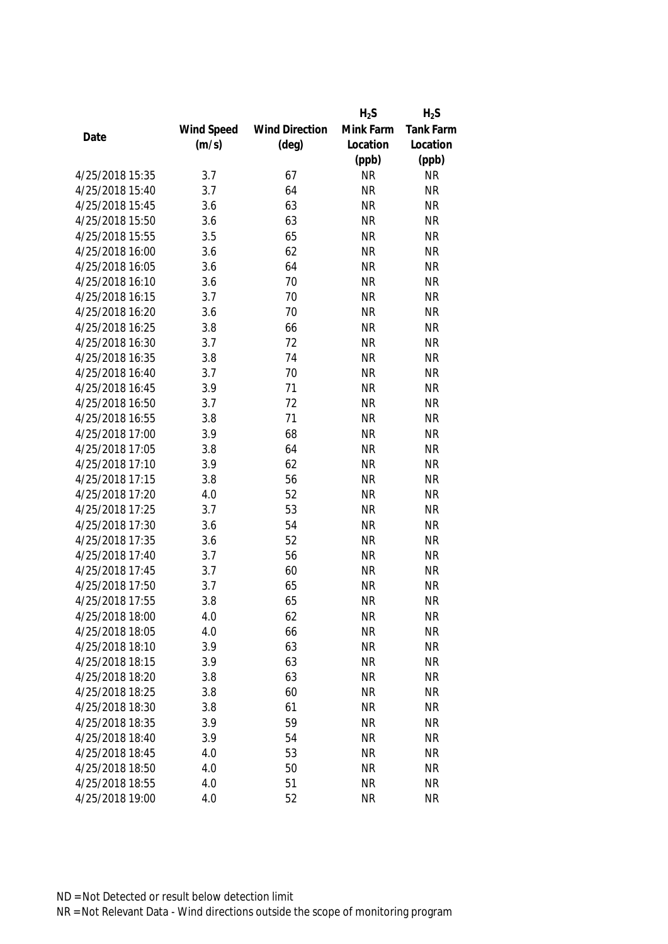|                 |            |                       | $H_2S$    | $H_2S$           |
|-----------------|------------|-----------------------|-----------|------------------|
|                 | Wind Speed | <b>Wind Direction</b> | Mink Farm | <b>Tank Farm</b> |
| Date            | (m/s)      | $(\text{deg})$        | Location  | Location         |
|                 |            |                       | (ppb)     | (ppb)            |
| 4/25/2018 15:35 | 3.7        | 67                    | <b>NR</b> | <b>NR</b>        |
| 4/25/2018 15:40 | 3.7        | 64                    | <b>NR</b> | <b>NR</b>        |
| 4/25/2018 15:45 | 3.6        | 63                    | <b>NR</b> | <b>NR</b>        |
| 4/25/2018 15:50 | 3.6        | 63                    | <b>NR</b> | <b>NR</b>        |
| 4/25/2018 15:55 | 3.5        | 65                    | <b>NR</b> | <b>NR</b>        |
| 4/25/2018 16:00 | 3.6        | 62                    | <b>NR</b> | <b>NR</b>        |
| 4/25/2018 16:05 | 3.6        | 64                    | <b>NR</b> | <b>NR</b>        |
| 4/25/2018 16:10 | 3.6        | 70                    | <b>NR</b> | <b>NR</b>        |
| 4/25/2018 16:15 | 3.7        | 70                    | <b>NR</b> | <b>NR</b>        |
| 4/25/2018 16:20 | 3.6        | 70                    | <b>NR</b> | <b>NR</b>        |
| 4/25/2018 16:25 | 3.8        | 66                    | <b>NR</b> | <b>NR</b>        |
| 4/25/2018 16:30 | 3.7        | 72                    | <b>NR</b> | <b>NR</b>        |
| 4/25/2018 16:35 | 3.8        | 74                    | <b>NR</b> | <b>NR</b>        |
| 4/25/2018 16:40 | 3.7        | 70                    | <b>NR</b> | <b>NR</b>        |
| 4/25/2018 16:45 | 3.9        | 71                    | <b>NR</b> | <b>NR</b>        |
| 4/25/2018 16:50 | 3.7        | 72                    | <b>NR</b> | <b>NR</b>        |
| 4/25/2018 16:55 | 3.8        | 71                    | <b>NR</b> | <b>NR</b>        |
| 4/25/2018 17:00 | 3.9        | 68                    | <b>NR</b> | <b>NR</b>        |
| 4/25/2018 17:05 | 3.8        | 64                    | <b>NR</b> | <b>NR</b>        |
| 4/25/2018 17:10 | 3.9        | 62                    | <b>NR</b> | <b>NR</b>        |
| 4/25/2018 17:15 | 3.8        | 56                    | <b>NR</b> | <b>NR</b>        |
| 4/25/2018 17:20 | 4.0        | 52                    | <b>NR</b> | <b>NR</b>        |
| 4/25/2018 17:25 | 3.7        | 53                    | <b>NR</b> | <b>NR</b>        |
| 4/25/2018 17:30 | 3.6        | 54                    | <b>NR</b> | <b>NR</b>        |
| 4/25/2018 17:35 | 3.6        | 52                    | <b>NR</b> | <b>NR</b>        |
| 4/25/2018 17:40 | 3.7        | 56                    | <b>NR</b> | <b>NR</b>        |
| 4/25/2018 17:45 | 3.7        | 60                    | <b>NR</b> | <b>NR</b>        |
| 4/25/2018 17:50 | 3.7        | 65                    | <b>NR</b> | <b>NR</b>        |
| 4/25/2018 17:55 | 3.8        | 65                    | <b>NR</b> | <b>NR</b>        |
| 4/25/2018 18:00 | 4.0        | 62                    | <b>NR</b> | <b>NR</b>        |
| 4/25/2018 18:05 | 4.0        | 66                    | <b>NR</b> | <b>NR</b>        |
| 4/25/2018 18:10 | 3.9        | 63                    | <b>NR</b> | <b>NR</b>        |
| 4/25/2018 18:15 | 3.9        | 63                    | <b>NR</b> | <b>NR</b>        |
| 4/25/2018 18:20 | 3.8        | 63                    | <b>NR</b> | <b>NR</b>        |
| 4/25/2018 18:25 | 3.8        | 60                    | <b>NR</b> | <b>NR</b>        |
| 4/25/2018 18:30 | 3.8        | 61                    | <b>NR</b> | <b>NR</b>        |
| 4/25/2018 18:35 | 3.9        | 59                    | <b>NR</b> | <b>NR</b>        |
| 4/25/2018 18:40 | 3.9        | 54                    | <b>NR</b> | <b>NR</b>        |
| 4/25/2018 18:45 | 4.0        | 53                    | <b>NR</b> | <b>NR</b>        |
| 4/25/2018 18:50 | 4.0        | 50                    | <b>NR</b> | <b>NR</b>        |
| 4/25/2018 18:55 | 4.0        | 51                    | <b>NR</b> | <b>NR</b>        |
|                 |            |                       |           |                  |
| 4/25/2018 19:00 | 4.0        | 52                    | <b>NR</b> | <b>NR</b>        |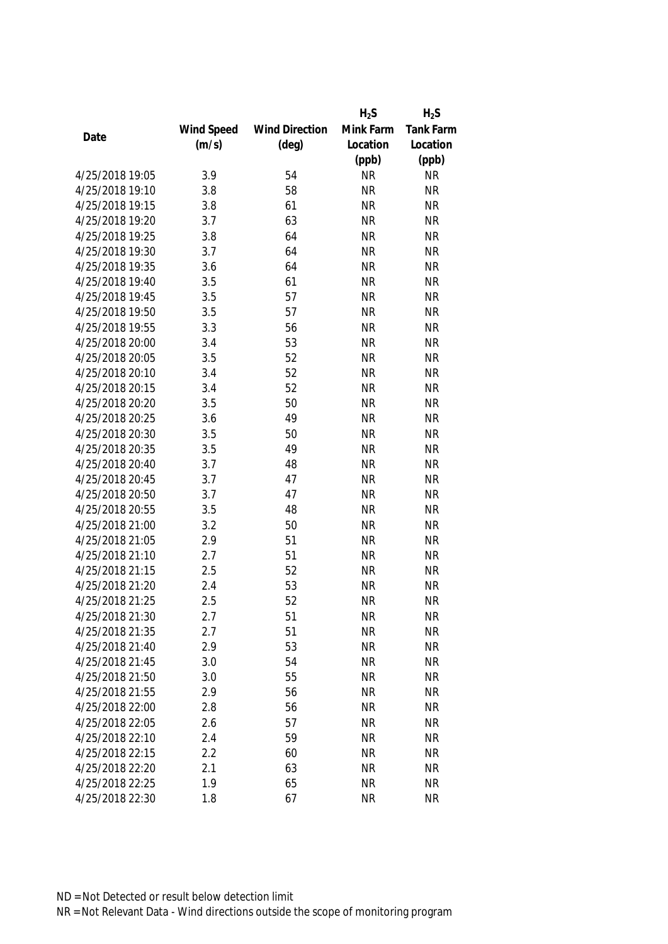|                 |            |                       | $H_2S$    | $H_2S$           |
|-----------------|------------|-----------------------|-----------|------------------|
|                 | Wind Speed | <b>Wind Direction</b> | Mink Farm | <b>Tank Farm</b> |
| Date            | (m/s)      | $(\text{deg})$        | Location  | Location         |
|                 |            |                       | (ppb)     | (ppb)            |
| 4/25/2018 19:05 | 3.9        | 54                    | <b>NR</b> | <b>NR</b>        |
| 4/25/2018 19:10 | 3.8        | 58                    | <b>NR</b> | <b>NR</b>        |
| 4/25/2018 19:15 | 3.8        | 61                    | <b>NR</b> | <b>NR</b>        |
| 4/25/2018 19:20 | 3.7        | 63                    | <b>NR</b> | <b>NR</b>        |
| 4/25/2018 19:25 | 3.8        | 64                    | <b>NR</b> | <b>NR</b>        |
| 4/25/2018 19:30 | 3.7        | 64                    | <b>NR</b> | <b>NR</b>        |
| 4/25/2018 19:35 | 3.6        | 64                    | <b>NR</b> | <b>NR</b>        |
| 4/25/2018 19:40 | 3.5        | 61                    | <b>NR</b> | <b>NR</b>        |
| 4/25/2018 19:45 | 3.5        | 57                    | <b>NR</b> | <b>NR</b>        |
| 4/25/2018 19:50 | 3.5        | 57                    | <b>NR</b> | <b>NR</b>        |
| 4/25/2018 19:55 | 3.3        | 56                    | <b>NR</b> | <b>NR</b>        |
| 4/25/2018 20:00 | 3.4        | 53                    | <b>NR</b> | <b>NR</b>        |
| 4/25/2018 20:05 | 3.5        | 52                    | <b>NR</b> | <b>NR</b>        |
| 4/25/2018 20:10 | 3.4        | 52                    | <b>NR</b> | <b>NR</b>        |
| 4/25/2018 20:15 | 3.4        | 52                    | <b>NR</b> | <b>NR</b>        |
| 4/25/2018 20:20 | 3.5        | 50                    | <b>NR</b> | <b>NR</b>        |
| 4/25/2018 20:25 | 3.6        | 49                    | <b>NR</b> | <b>NR</b>        |
| 4/25/2018 20:30 | 3.5        | 50                    | <b>NR</b> | <b>NR</b>        |
| 4/25/2018 20:35 | 3.5        | 49                    | <b>NR</b> | <b>NR</b>        |
| 4/25/2018 20:40 | 3.7        | 48                    | <b>NR</b> | <b>NR</b>        |
| 4/25/2018 20:45 | 3.7        | 47                    | <b>NR</b> | <b>NR</b>        |
| 4/25/2018 20:50 | 3.7        | 47                    | <b>NR</b> | <b>NR</b>        |
| 4/25/2018 20:55 | 3.5        | 48                    | <b>NR</b> | <b>NR</b>        |
| 4/25/2018 21:00 | 3.2        | 50                    | <b>NR</b> | <b>NR</b>        |
| 4/25/2018 21:05 | 2.9        | 51                    | <b>NR</b> | <b>NR</b>        |
| 4/25/2018 21:10 | 2.7        | 51                    | <b>NR</b> | <b>NR</b>        |
| 4/25/2018 21:15 | 2.5        | 52                    | <b>NR</b> | <b>NR</b>        |
| 4/25/2018 21:20 | 2.4        | 53                    | <b>NR</b> | <b>NR</b>        |
| 4/25/2018 21:25 | 2.5        | 52                    | <b>NR</b> | <b>NR</b>        |
| 4/25/2018 21:30 | 2.7        | 51                    | <b>NR</b> | <b>NR</b>        |
| 4/25/2018 21:35 | 2.7        | 51                    | <b>NR</b> | <b>NR</b>        |
| 4/25/2018 21:40 | 2.9        | 53                    | <b>NR</b> | <b>NR</b>        |
| 4/25/2018 21:45 | 3.0        | 54                    | <b>NR</b> | <b>NR</b>        |
| 4/25/2018 21:50 | 3.0        | 55                    | <b>NR</b> | <b>NR</b>        |
| 4/25/2018 21:55 | 2.9        | 56                    | <b>NR</b> | <b>NR</b>        |
| 4/25/2018 22:00 | 2.8        | 56                    | <b>NR</b> | <b>NR</b>        |
| 4/25/2018 22:05 | 2.6        | 57                    | <b>NR</b> | <b>NR</b>        |
| 4/25/2018 22:10 | 2.4        | 59                    | <b>NR</b> | <b>NR</b>        |
| 4/25/2018 22:15 | 2.2        | 60                    | <b>NR</b> | <b>NR</b>        |
| 4/25/2018 22:20 | 2.1        | 63                    | <b>NR</b> | <b>NR</b>        |
| 4/25/2018 22:25 | 1.9        | 65                    | <b>NR</b> | <b>NR</b>        |
|                 |            |                       |           |                  |
| 4/25/2018 22:30 | 1.8        | 67                    | <b>NR</b> | <b>NR</b>        |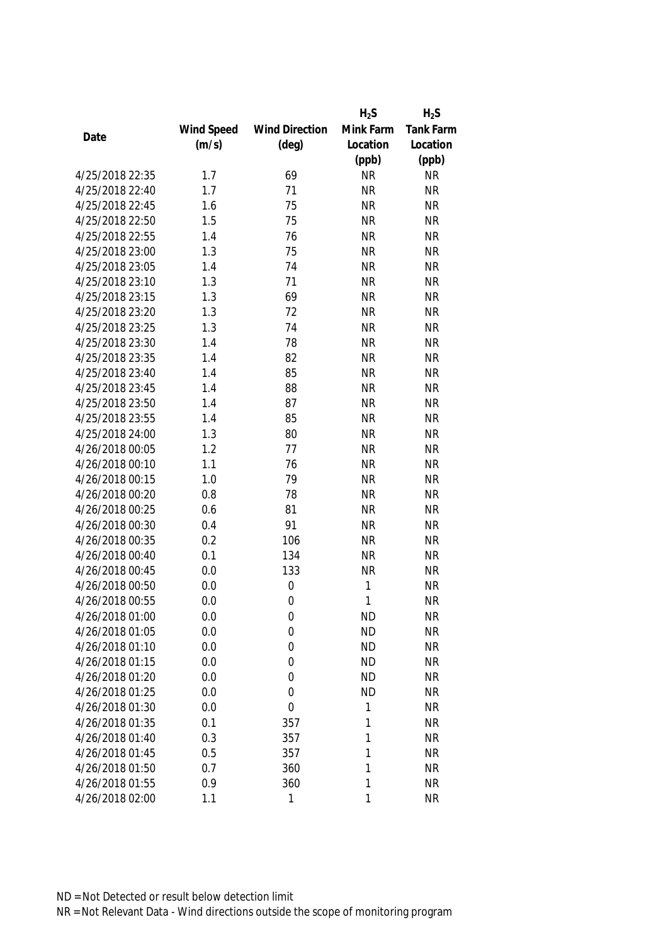|                 |            |                       | $H_2S$    | $H_2S$    |
|-----------------|------------|-----------------------|-----------|-----------|
|                 | Wind Speed | <b>Wind Direction</b> | Mink Farm | Tank Farm |
| Date            | (m/s)      | $(\text{deg})$        | Location  | Location  |
|                 |            |                       | (ppb)     | (ppb)     |
| 4/25/2018 22:35 | 1.7        | 69                    | <b>NR</b> | <b>NR</b> |
| 4/25/2018 22:40 | 1.7        | 71                    | <b>NR</b> | <b>NR</b> |
| 4/25/2018 22:45 | 1.6        | 75                    | <b>NR</b> | <b>NR</b> |
| 4/25/2018 22:50 | 1.5        | 75                    | <b>NR</b> | <b>NR</b> |
| 4/25/2018 22:55 | 1.4        | 76                    | <b>NR</b> | <b>NR</b> |
| 4/25/2018 23:00 | 1.3        | 75                    | <b>NR</b> | <b>NR</b> |
| 4/25/2018 23:05 | 1.4        | 74                    | <b>NR</b> | <b>NR</b> |
| 4/25/2018 23:10 | 1.3        | 71                    | <b>NR</b> | <b>NR</b> |
| 4/25/2018 23:15 | 1.3        | 69                    | <b>NR</b> | <b>NR</b> |
| 4/25/2018 23:20 | 1.3        | 72                    | <b>NR</b> | <b>NR</b> |
| 4/25/2018 23:25 | 1.3        | 74                    | <b>NR</b> | <b>NR</b> |
| 4/25/2018 23:30 | 1.4        | 78                    | <b>NR</b> | <b>NR</b> |
| 4/25/2018 23:35 | 1.4        | 82                    | <b>NR</b> | <b>NR</b> |
| 4/25/2018 23:40 | 1.4        | 85                    | <b>NR</b> | <b>NR</b> |
| 4/25/2018 23:45 | 1.4        | 88                    | <b>NR</b> | <b>NR</b> |
| 4/25/2018 23:50 | 1.4        | 87                    | <b>NR</b> | <b>NR</b> |
| 4/25/2018 23:55 | 1.4        | 85                    | <b>NR</b> | <b>NR</b> |
| 4/25/2018 24:00 | 1.3        | 80                    | <b>NR</b> | <b>NR</b> |
| 4/26/2018 00:05 | 1.2        | 77                    | <b>NR</b> | <b>NR</b> |
| 4/26/2018 00:10 | 1.1        | 76                    | <b>NR</b> | <b>NR</b> |
| 4/26/2018 00:15 | 1.0        | 79                    | <b>NR</b> | <b>NR</b> |
| 4/26/2018 00:20 | 0.8        | 78                    | <b>NR</b> | <b>NR</b> |
| 4/26/2018 00:25 | 0.6        | 81                    | <b>NR</b> | <b>NR</b> |
| 4/26/2018 00:30 | 0.4        | 91                    | <b>NR</b> | <b>NR</b> |
| 4/26/2018 00:35 | 0.2        | 106                   | <b>NR</b> | <b>NR</b> |
| 4/26/2018 00:40 | 0.1        | 134                   | <b>NR</b> | <b>NR</b> |
| 4/26/2018 00:45 | 0.0        | 133                   | <b>NR</b> | <b>NR</b> |
| 4/26/2018 00:50 | 0.0        | $\mathbf 0$           | 1         | <b>NR</b> |
| 4/26/2018 00:55 | 0.0        | $\mathbf 0$           | 1         | <b>NR</b> |
| 4/26/2018 01:00 | 0.0        | 0                     | <b>ND</b> | <b>NR</b> |
| 4/26/2018 01:05 | 0.0        | 0                     | <b>ND</b> | <b>NR</b> |
| 4/26/2018 01:10 | 0.0        | 0                     | <b>ND</b> | <b>NR</b> |
| 4/26/2018 01:15 | 0.0        | 0                     | <b>ND</b> | <b>NR</b> |
| 4/26/2018 01:20 | 0.0        | 0                     | <b>ND</b> | <b>NR</b> |
| 4/26/2018 01:25 | 0.0        | 0                     | <b>ND</b> | <b>NR</b> |
| 4/26/2018 01:30 | 0.0        | 0                     | 1         | <b>NR</b> |
| 4/26/2018 01:35 | 0.1        | 357                   | 1         | <b>NR</b> |
| 4/26/2018 01:40 | 0.3        | 357                   | 1         | <b>NR</b> |
| 4/26/2018 01:45 | 0.5        | 357                   | 1         | <b>NR</b> |
| 4/26/2018 01:50 | 0.7        | 360                   | 1         | <b>NR</b> |
| 4/26/2018 01:55 | 0.9        | 360                   | 1         | <b>NR</b> |
| 4/26/2018 02:00 | 1.1        | 1                     | 1         | <b>NR</b> |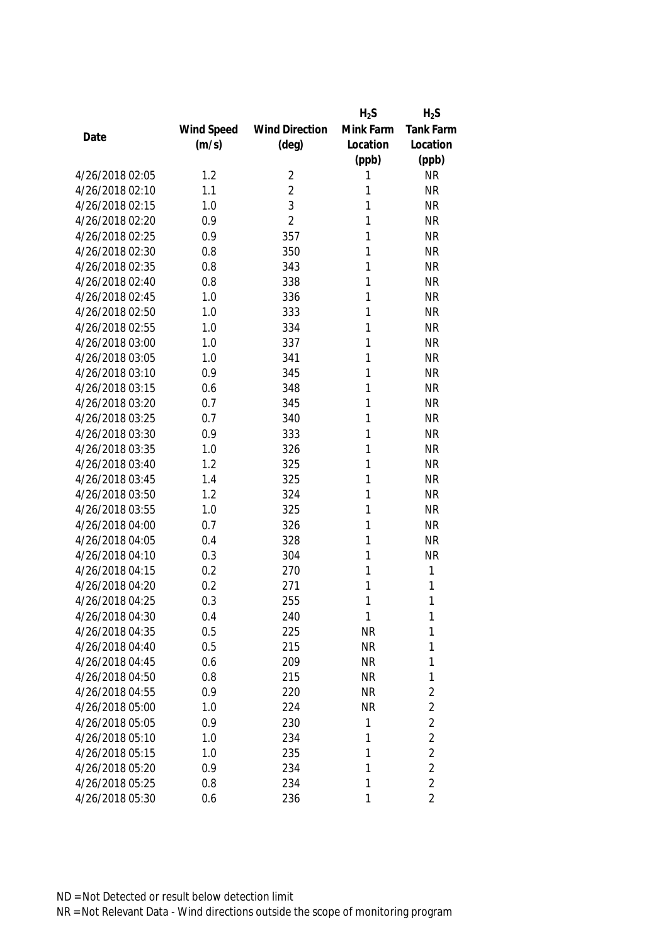|                 |            |                       | $H_2S$    | $H_2S$           |
|-----------------|------------|-----------------------|-----------|------------------|
|                 | Wind Speed | <b>Wind Direction</b> | Mink Farm | <b>Tank Farm</b> |
| Date            | (m/s)      | $(\text{deg})$        | Location  | Location         |
|                 |            |                       | (ppb)     | (ppb)            |
| 4/26/2018 02:05 | 1.2        | 2                     | 1         | <b>NR</b>        |
| 4/26/2018 02:10 | 1.1        | $\overline{2}$        | 1         | <b>NR</b>        |
| 4/26/2018 02:15 | 1.0        | 3                     | 1         | <b>NR</b>        |
| 4/26/2018 02:20 | 0.9        | $\overline{2}$        | 1         | <b>NR</b>        |
| 4/26/2018 02:25 | 0.9        | 357                   | 1         | <b>NR</b>        |
| 4/26/2018 02:30 | 0.8        | 350                   | 1         | <b>NR</b>        |
| 4/26/2018 02:35 | 0.8        | 343                   | 1         | <b>NR</b>        |
| 4/26/2018 02:40 | 0.8        | 338                   | 1         | <b>NR</b>        |
| 4/26/2018 02:45 | 1.0        | 336                   | 1         | <b>NR</b>        |
| 4/26/2018 02:50 | 1.0        | 333                   | 1         | <b>NR</b>        |
| 4/26/2018 02:55 | 1.0        | 334                   | 1         | <b>NR</b>        |
| 4/26/2018 03:00 | 1.0        | 337                   | 1         | <b>NR</b>        |
| 4/26/2018 03:05 | 1.0        | 341                   | 1         | <b>NR</b>        |
| 4/26/2018 03:10 | 0.9        | 345                   | 1         | <b>NR</b>        |
| 4/26/2018 03:15 | 0.6        | 348                   | 1         | <b>NR</b>        |
| 4/26/2018 03:20 | 0.7        | 345                   | 1         | <b>NR</b>        |
| 4/26/2018 03:25 | 0.7        | 340                   | 1         | <b>NR</b>        |
| 4/26/2018 03:30 | 0.9        | 333                   | 1         | <b>NR</b>        |
| 4/26/2018 03:35 | 1.0        | 326                   | 1         | <b>NR</b>        |
| 4/26/2018 03:40 | 1.2        | 325                   | 1         | <b>NR</b>        |
| 4/26/2018 03:45 | 1.4        | 325                   | 1         | <b>NR</b>        |
| 4/26/2018 03:50 | 1.2        | 324                   | 1         | <b>NR</b>        |
| 4/26/2018 03:55 | 1.0        | 325                   | 1         | <b>NR</b>        |
| 4/26/2018 04:00 | 0.7        | 326                   | 1         | <b>NR</b>        |
| 4/26/2018 04:05 | 0.4        | 328                   | 1         | <b>NR</b>        |
| 4/26/2018 04:10 | 0.3        | 304                   | 1         | <b>NR</b>        |
| 4/26/2018 04:15 | 0.2        | 270                   | 1         | 1                |
| 4/26/2018 04:20 | 0.2        | 271                   | 1         | 1                |
| 4/26/2018 04:25 | 0.3        | 255                   | 1         | 1                |
| 4/26/2018 04:30 | 0.4        | 240                   | 1         | 1                |
| 4/26/2018 04:35 | 0.5        | 225                   | NR        | 1                |
| 4/26/2018 04:40 | 0.5        | 215                   | <b>NR</b> | 1                |
| 4/26/2018 04:45 | 0.6        | 209                   | <b>NR</b> | 1                |
| 4/26/2018 04:50 | 0.8        | 215                   | NR        | 1                |
| 4/26/2018 04:55 | 0.9        | 220                   | <b>NR</b> | $\overline{2}$   |
| 4/26/2018 05:00 | 1.0        | 224                   | <b>NR</b> | $\overline{2}$   |
| 4/26/2018 05:05 | 0.9        | 230                   | 1         | $\overline{2}$   |
| 4/26/2018 05:10 | 1.0        | 234                   | 1         | $\overline{2}$   |
| 4/26/2018 05:15 | 1.0        | 235                   | 1         | $\overline{2}$   |
| 4/26/2018 05:20 | 0.9        | 234                   | 1         | $\overline{2}$   |
| 4/26/2018 05:25 | 0.8        | 234                   | 1         | $\overline{2}$   |
| 4/26/2018 05:30 | 0.6        | 236                   | 1         | $\overline{2}$   |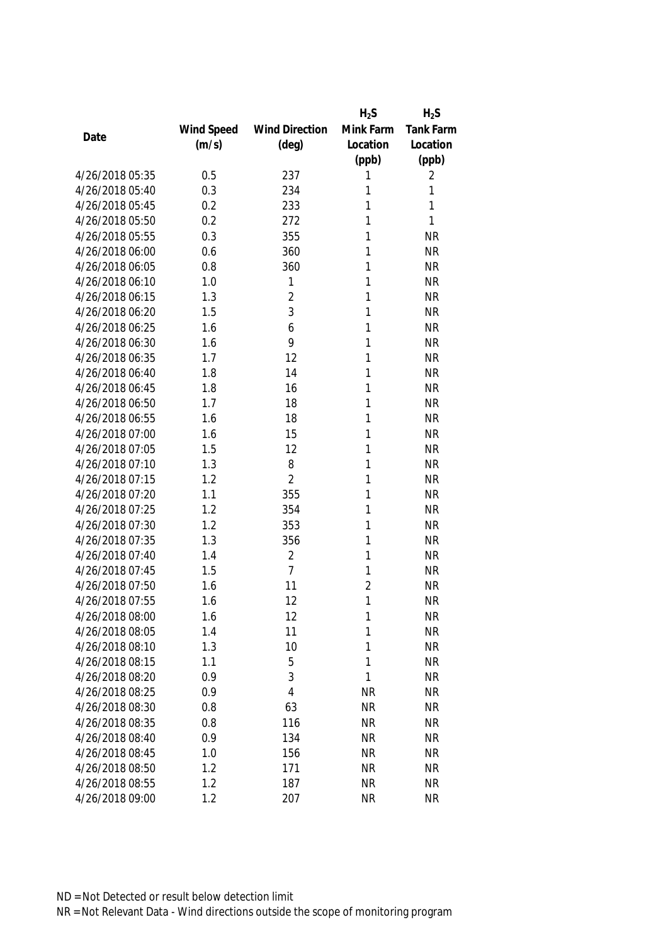|                 |            |                       | $H_2S$         | $H_2S$    |
|-----------------|------------|-----------------------|----------------|-----------|
|                 | Wind Speed | <b>Wind Direction</b> | Mink Farm      | Tank Farm |
| Date            | (m/s)      | $(\text{deg})$        | Location       | Location  |
|                 |            |                       | (ppb)          | (ppb)     |
| 4/26/2018 05:35 | 0.5        | 237                   | 1              | 2         |
| 4/26/2018 05:40 | 0.3        | 234                   | 1              | 1         |
| 4/26/2018 05:45 | 0.2        | 233                   | 1              | 1         |
| 4/26/2018 05:50 | 0.2        | 272                   | 1              | 1         |
| 4/26/2018 05:55 | 0.3        | 355                   | 1              | <b>NR</b> |
| 4/26/2018 06:00 | 0.6        | 360                   | 1              | <b>NR</b> |
| 4/26/2018 06:05 | 0.8        | 360                   | 1              | <b>NR</b> |
| 4/26/2018 06:10 | 1.0        | 1                     | 1              | <b>NR</b> |
| 4/26/2018 06:15 | 1.3        | $\overline{2}$        | 1              | <b>NR</b> |
| 4/26/2018 06:20 | 1.5        | 3                     | 1              | <b>NR</b> |
| 4/26/2018 06:25 | 1.6        | 6                     | 1              | <b>NR</b> |
| 4/26/2018 06:30 | 1.6        | 9                     | 1              | <b>NR</b> |
| 4/26/2018 06:35 | 1.7        | 12                    | 1              | <b>NR</b> |
| 4/26/2018 06:40 | 1.8        | 14                    | 1              | <b>NR</b> |
| 4/26/2018 06:45 | 1.8        | 16                    | 1              | <b>NR</b> |
| 4/26/2018 06:50 | 1.7        | 18                    | 1              | <b>NR</b> |
| 4/26/2018 06:55 | 1.6        | 18                    | 1              | <b>NR</b> |
| 4/26/2018 07:00 | 1.6        | 15                    | 1              | <b>NR</b> |
| 4/26/2018 07:05 | 1.5        | 12                    | 1              | <b>NR</b> |
| 4/26/2018 07:10 | 1.3        | 8                     | 1              | <b>NR</b> |
| 4/26/2018 07:15 | 1.2        | $\overline{2}$        | 1              | <b>NR</b> |
| 4/26/2018 07:20 | 1.1        | 355                   | 1              | <b>NR</b> |
| 4/26/2018 07:25 | 1.2        | 354                   | 1              | <b>NR</b> |
| 4/26/2018 07:30 | 1.2        | 353                   | 1              | <b>NR</b> |
| 4/26/2018 07:35 | 1.3        | 356                   | 1              | <b>NR</b> |
| 4/26/2018 07:40 | 1.4        | $\overline{2}$        | 1              | <b>NR</b> |
| 4/26/2018 07:45 | 1.5        | $\overline{7}$        | 1              | <b>NR</b> |
| 4/26/2018 07:50 | 1.6        | 11                    | $\overline{2}$ | <b>NR</b> |
| 4/26/2018 07:55 | 1.6        | 12                    | 1              | <b>NR</b> |
| 4/26/2018 08:00 | 1.6        | 12                    | 1              | <b>NR</b> |
| 4/26/2018 08:05 | 1.4        | 11                    | 1              | <b>NR</b> |
| 4/26/2018 08:10 | 1.3        | 10                    | 1              | <b>NR</b> |
| 4/26/2018 08:15 | 1.1        | 5                     | 1              | <b>NR</b> |
| 4/26/2018 08:20 | 0.9        | 3                     | 1              | <b>NR</b> |
| 4/26/2018 08:25 | 0.9        | 4                     | <b>NR</b>      | <b>NR</b> |
| 4/26/2018 08:30 | 0.8        | 63                    | <b>NR</b>      | <b>NR</b> |
| 4/26/2018 08:35 | 0.8        | 116                   | <b>NR</b>      | <b>NR</b> |
| 4/26/2018 08:40 | 0.9        | 134                   | <b>NR</b>      | <b>NR</b> |
| 4/26/2018 08:45 | 1.0        | 156                   | <b>NR</b>      | <b>NR</b> |
| 4/26/2018 08:50 | 1.2        | 171                   | <b>NR</b>      | <b>NR</b> |
| 4/26/2018 08:55 | 1.2        | 187                   | <b>NR</b>      | <b>NR</b> |
| 4/26/2018 09:00 | 1.2        | 207                   | <b>NR</b>      | <b>NR</b> |
|                 |            |                       |                |           |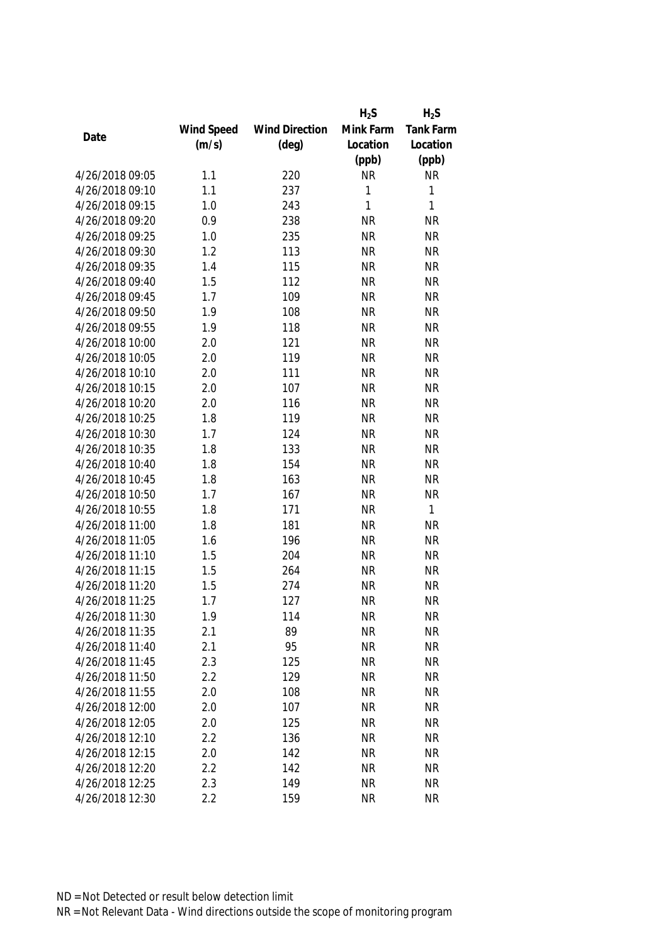|                 |            |                       | $H_2S$    | $H_2S$       |
|-----------------|------------|-----------------------|-----------|--------------|
|                 | Wind Speed | <b>Wind Direction</b> | Mink Farm | Tank Farm    |
| Date            | (m/s)      | $(\text{deg})$        | Location  | Location     |
|                 |            |                       | (ppb)     | (ppb)        |
| 4/26/2018 09:05 | 1.1        | 220                   | <b>NR</b> | <b>NR</b>    |
| 4/26/2018 09:10 | 1.1        | 237                   | 1         | 1            |
| 4/26/2018 09:15 | 1.0        | 243                   | 1         | 1            |
| 4/26/2018 09:20 | 0.9        | 238                   | <b>NR</b> | <b>NR</b>    |
| 4/26/2018 09:25 | 1.0        | 235                   | <b>NR</b> | <b>NR</b>    |
| 4/26/2018 09:30 | 1.2        | 113                   | <b>NR</b> | <b>NR</b>    |
| 4/26/2018 09:35 | 1.4        | 115                   | <b>NR</b> | <b>NR</b>    |
| 4/26/2018 09:40 | 1.5        | 112                   | <b>NR</b> | <b>NR</b>    |
| 4/26/2018 09:45 | 1.7        | 109                   | <b>NR</b> | <b>NR</b>    |
| 4/26/2018 09:50 | 1.9        | 108                   | <b>NR</b> | <b>NR</b>    |
| 4/26/2018 09:55 | 1.9        | 118                   | <b>NR</b> | <b>NR</b>    |
| 4/26/2018 10:00 | 2.0        | 121                   | <b>NR</b> | <b>NR</b>    |
| 4/26/2018 10:05 | 2.0        | 119                   | <b>NR</b> | <b>NR</b>    |
| 4/26/2018 10:10 | 2.0        | 111                   | <b>NR</b> | <b>NR</b>    |
| 4/26/2018 10:15 | 2.0        | 107                   | <b>NR</b> | <b>NR</b>    |
| 4/26/2018 10:20 | 2.0        | 116                   | <b>NR</b> | <b>NR</b>    |
| 4/26/2018 10:25 | 1.8        | 119                   | <b>NR</b> | <b>NR</b>    |
| 4/26/2018 10:30 | 1.7        | 124                   | <b>NR</b> | <b>NR</b>    |
| 4/26/2018 10:35 | 1.8        | 133                   | <b>NR</b> | <b>NR</b>    |
| 4/26/2018 10:40 | 1.8        | 154                   | <b>NR</b> | <b>NR</b>    |
| 4/26/2018 10:45 | 1.8        | 163                   | <b>NR</b> | <b>NR</b>    |
| 4/26/2018 10:50 | 1.7        | 167                   | <b>NR</b> | <b>NR</b>    |
| 4/26/2018 10:55 | 1.8        | 171                   | <b>NR</b> | $\mathbf{1}$ |
| 4/26/2018 11:00 | 1.8        | 181                   | <b>NR</b> | <b>NR</b>    |
| 4/26/2018 11:05 | 1.6        | 196                   | <b>NR</b> | <b>NR</b>    |
| 4/26/2018 11:10 | 1.5        | 204                   | <b>NR</b> | <b>NR</b>    |
| 4/26/2018 11:15 | 1.5        | 264                   | <b>NR</b> | <b>NR</b>    |
| 4/26/2018 11:20 | 1.5        | 274                   | <b>NR</b> | <b>NR</b>    |
| 4/26/2018 11:25 | 1.7        | 127                   | <b>NR</b> | <b>NR</b>    |
| 4/26/2018 11:30 | 1.9        | 114                   | <b>NR</b> | <b>NR</b>    |
| 4/26/2018 11:35 | 2.1        | 89                    | <b>NR</b> | <b>NR</b>    |
| 4/26/2018 11:40 | 2.1        | 95                    | <b>NR</b> | <b>NR</b>    |
| 4/26/2018 11:45 | 2.3        | 125                   | <b>NR</b> | <b>NR</b>    |
| 4/26/2018 11:50 | 2.2        | 129                   | <b>NR</b> | <b>NR</b>    |
| 4/26/2018 11:55 | 2.0        | 108                   | <b>NR</b> | <b>NR</b>    |
| 4/26/2018 12:00 | 2.0        | 107                   | <b>NR</b> | <b>NR</b>    |
| 4/26/2018 12:05 | 2.0        | 125                   | <b>NR</b> | <b>NR</b>    |
| 4/26/2018 12:10 | 2.2        | 136                   | <b>NR</b> | <b>NR</b>    |
| 4/26/2018 12:15 | 2.0        | 142                   | <b>NR</b> | <b>NR</b>    |
| 4/26/2018 12:20 | 2.2        | 142                   | <b>NR</b> | <b>NR</b>    |
| 4/26/2018 12:25 | 2.3        | 149                   | <b>NR</b> | <b>NR</b>    |
| 4/26/2018 12:30 | 2.2        | 159                   | <b>NR</b> | <b>NR</b>    |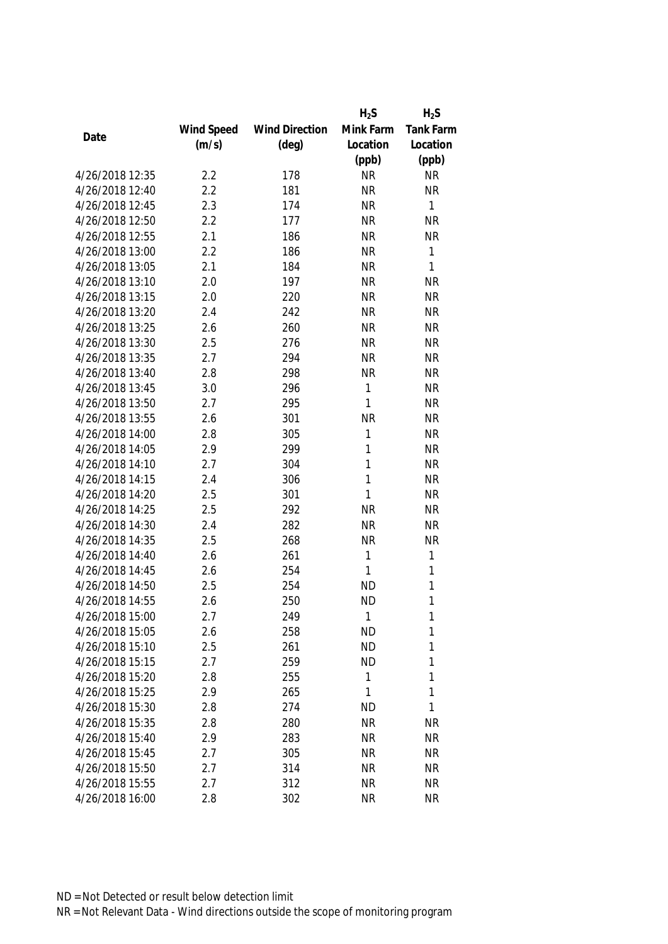|                 |            |                       | $H_2S$       | $H_2S$    |
|-----------------|------------|-----------------------|--------------|-----------|
|                 | Wind Speed | <b>Wind Direction</b> | Mink Farm    | Tank Farm |
| Date            | (m/s)      | $(\text{deg})$        | Location     | Location  |
|                 |            |                       | (ppb)        | (ppb)     |
| 4/26/2018 12:35 | 2.2        | 178                   | <b>NR</b>    | <b>NR</b> |
| 4/26/2018 12:40 | 2.2        | 181                   | <b>NR</b>    | <b>NR</b> |
| 4/26/2018 12:45 | 2.3        | 174                   | <b>NR</b>    | 1         |
| 4/26/2018 12:50 | 2.2        | 177                   | <b>NR</b>    | <b>NR</b> |
| 4/26/2018 12:55 | 2.1        | 186                   | <b>NR</b>    | <b>NR</b> |
| 4/26/2018 13:00 | 2.2        | 186                   | <b>NR</b>    | 1         |
| 4/26/2018 13:05 | 2.1        | 184                   | <b>NR</b>    | 1         |
| 4/26/2018 13:10 | 2.0        | 197                   | <b>NR</b>    | <b>NR</b> |
| 4/26/2018 13:15 | 2.0        | 220                   | <b>NR</b>    | <b>NR</b> |
| 4/26/2018 13:20 | 2.4        | 242                   | <b>NR</b>    | <b>NR</b> |
| 4/26/2018 13:25 | 2.6        | 260                   | <b>NR</b>    | <b>NR</b> |
| 4/26/2018 13:30 | 2.5        | 276                   | <b>NR</b>    | <b>NR</b> |
| 4/26/2018 13:35 | 2.7        | 294                   | <b>NR</b>    | <b>NR</b> |
| 4/26/2018 13:40 | 2.8        | 298                   | <b>NR</b>    | <b>NR</b> |
| 4/26/2018 13:45 | 3.0        | 296                   | 1            | <b>NR</b> |
| 4/26/2018 13:50 | 2.7        | 295                   | $\mathbf{1}$ | <b>NR</b> |
| 4/26/2018 13:55 | 2.6        | 301                   | <b>NR</b>    | <b>NR</b> |
| 4/26/2018 14:00 | 2.8        | 305                   | 1            | <b>NR</b> |
| 4/26/2018 14:05 | 2.9        | 299                   | 1            | <b>NR</b> |
| 4/26/2018 14:10 | 2.7        | 304                   | 1            | <b>NR</b> |
| 4/26/2018 14:15 | 2.4        | 306                   | 1            | <b>NR</b> |
| 4/26/2018 14:20 | 2.5        | 301                   | 1            | <b>NR</b> |
| 4/26/2018 14:25 | 2.5        | 292                   | <b>NR</b>    | <b>NR</b> |
| 4/26/2018 14:30 | 2.4        | 282                   | <b>NR</b>    | <b>NR</b> |
| 4/26/2018 14:35 | 2.5        | 268                   | <b>NR</b>    | <b>NR</b> |
| 4/26/2018 14:40 | 2.6        | 261                   | 1            | 1         |
| 4/26/2018 14:45 | 2.6        | 254                   | 1            | 1         |
| 4/26/2018 14:50 | 2.5        | 254                   | <b>ND</b>    | 1         |
| 4/26/2018 14:55 | 2.6        | 250                   | <b>ND</b>    | 1         |
| 4/26/2018 15:00 | 2.7        | 249                   | 1            | 1         |
| 4/26/2018 15:05 | 2.6        | 258                   | <b>ND</b>    | 1         |
| 4/26/2018 15:10 | 2.5        | 261                   | <b>ND</b>    | 1         |
| 4/26/2018 15:15 | 2.7        | 259                   | <b>ND</b>    | 1         |
| 4/26/2018 15:20 | 2.8        | 255                   | 1            | 1         |
| 4/26/2018 15:25 | 2.9        | 265                   | 1            | 1         |
| 4/26/2018 15:30 | 2.8        | 274                   | <b>ND</b>    | 1         |
| 4/26/2018 15:35 | 2.8        | 280                   | <b>NR</b>    | <b>NR</b> |
| 4/26/2018 15:40 | 2.9        | 283                   | <b>NR</b>    | <b>NR</b> |
| 4/26/2018 15:45 | 2.7        | 305                   | <b>NR</b>    | <b>NR</b> |
| 4/26/2018 15:50 | 2.7        | 314                   | <b>NR</b>    | <b>NR</b> |
| 4/26/2018 15:55 | 2.7        | 312                   | <b>NR</b>    | <b>NR</b> |
| 4/26/2018 16:00 | 2.8        | 302                   | <b>NR</b>    | <b>NR</b> |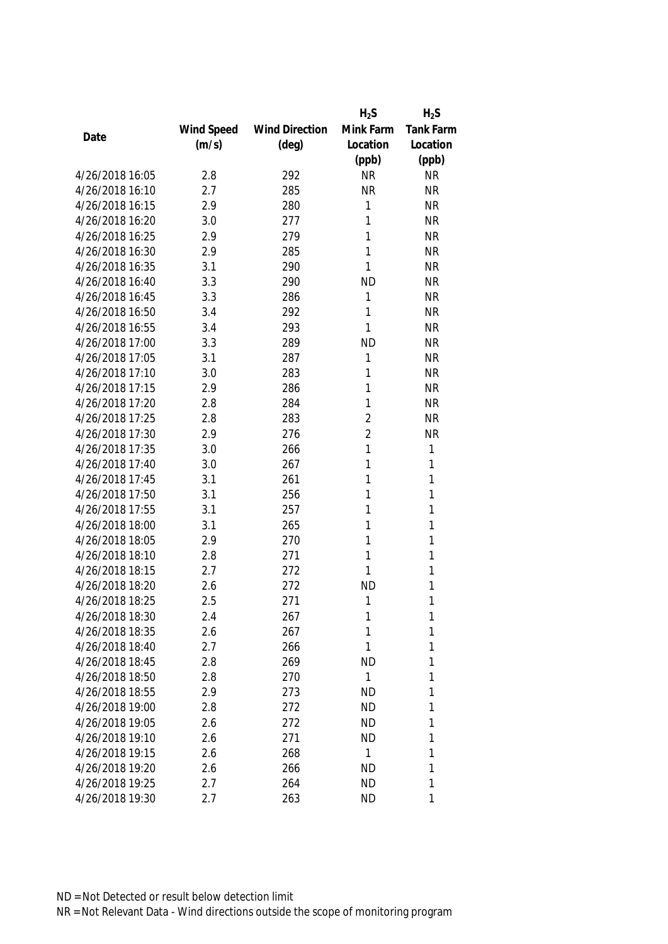|                 |            |                       | $H_2S$         | $H_2S$           |
|-----------------|------------|-----------------------|----------------|------------------|
|                 | Wind Speed | <b>Wind Direction</b> | Mink Farm      | <b>Tank Farm</b> |
| Date            | (m/s)      | $(\text{deg})$        | Location       | Location         |
|                 |            |                       | (ppb)          | (ppb)            |
| 4/26/2018 16:05 | 2.8        | 292                   | <b>NR</b>      | <b>NR</b>        |
| 4/26/2018 16:10 | 2.7        | 285                   | <b>NR</b>      | <b>NR</b>        |
| 4/26/2018 16:15 | 2.9        | 280                   | 1              | <b>NR</b>        |
| 4/26/2018 16:20 | 3.0        | 277                   | 1              | <b>NR</b>        |
| 4/26/2018 16:25 | 2.9        | 279                   | 1              | <b>NR</b>        |
| 4/26/2018 16:30 | 2.9        | 285                   | 1              | <b>NR</b>        |
| 4/26/2018 16:35 | 3.1        | 290                   | 1              | <b>NR</b>        |
| 4/26/2018 16:40 | 3.3        | 290                   | <b>ND</b>      | <b>NR</b>        |
| 4/26/2018 16:45 | 3.3        | 286                   | 1              | <b>NR</b>        |
| 4/26/2018 16:50 | 3.4        | 292                   | 1              | <b>NR</b>        |
| 4/26/2018 16:55 | 3.4        | 293                   | 1              | <b>NR</b>        |
| 4/26/2018 17:00 | 3.3        | 289                   | <b>ND</b>      | <b>NR</b>        |
| 4/26/2018 17:05 | 3.1        | 287                   | 1              | <b>NR</b>        |
| 4/26/2018 17:10 | 3.0        | 283                   | 1              | <b>NR</b>        |
| 4/26/2018 17:15 | 2.9        | 286                   | 1              | <b>NR</b>        |
| 4/26/2018 17:20 | 2.8        | 284                   | 1              | <b>NR</b>        |
| 4/26/2018 17:25 | 2.8        | 283                   | $\overline{2}$ | <b>NR</b>        |
| 4/26/2018 17:30 | 2.9        | 276                   | $\overline{2}$ | <b>NR</b>        |
| 4/26/2018 17:35 | 3.0        | 266                   | 1              | 1                |
| 4/26/2018 17:40 | 3.0        | 267                   | 1              | 1                |
| 4/26/2018 17:45 | 3.1        | 261                   | 1              | 1                |
| 4/26/2018 17:50 | 3.1        | 256                   | 1              | 1                |
| 4/26/2018 17:55 | 3.1        | 257                   | 1              | 1                |
| 4/26/2018 18:00 | 3.1        | 265                   | 1              | 1                |
| 4/26/2018 18:05 | 2.9        | 270                   | 1              | 1                |
| 4/26/2018 18:10 | 2.8        | 271                   | 1              | 1                |
| 4/26/2018 18:15 | 2.7        | 272                   | 1              | 1                |
| 4/26/2018 18:20 | 2.6        | 272                   | <b>ND</b>      | 1                |
| 4/26/2018 18:25 | 2.5        | 271                   | 1              | 1                |
| 4/26/2018 18:30 | 2.4        | 267                   | 1              | 1                |
| 4/26/2018 18:35 | 2.6        | 267                   | 1              | 1                |
| 4/26/2018 18:40 | 2.7        | 266                   | 1              | 1                |
| 4/26/2018 18:45 | 2.8        | 269                   | <b>ND</b>      | 1                |
| 4/26/2018 18:50 | 2.8        | 270                   | 1              | 1                |
| 4/26/2018 18:55 | 2.9        | 273                   | <b>ND</b>      | 1                |
| 4/26/2018 19:00 | 2.8        | 272                   | <b>ND</b>      | 1                |
| 4/26/2018 19:05 | 2.6        | 272                   | <b>ND</b>      | 1                |
| 4/26/2018 19:10 | 2.6        | 271                   | <b>ND</b>      | 1                |
| 4/26/2018 19:15 | 2.6        | 268                   | 1              | 1                |
| 4/26/2018 19:20 | 2.6        | 266                   | <b>ND</b>      | 1                |
| 4/26/2018 19:25 | 2.7        | 264                   | <b>ND</b>      | 1                |
| 4/26/2018 19:30 | 2.7        | 263                   | <b>ND</b>      | 1                |
|                 |            |                       |                |                  |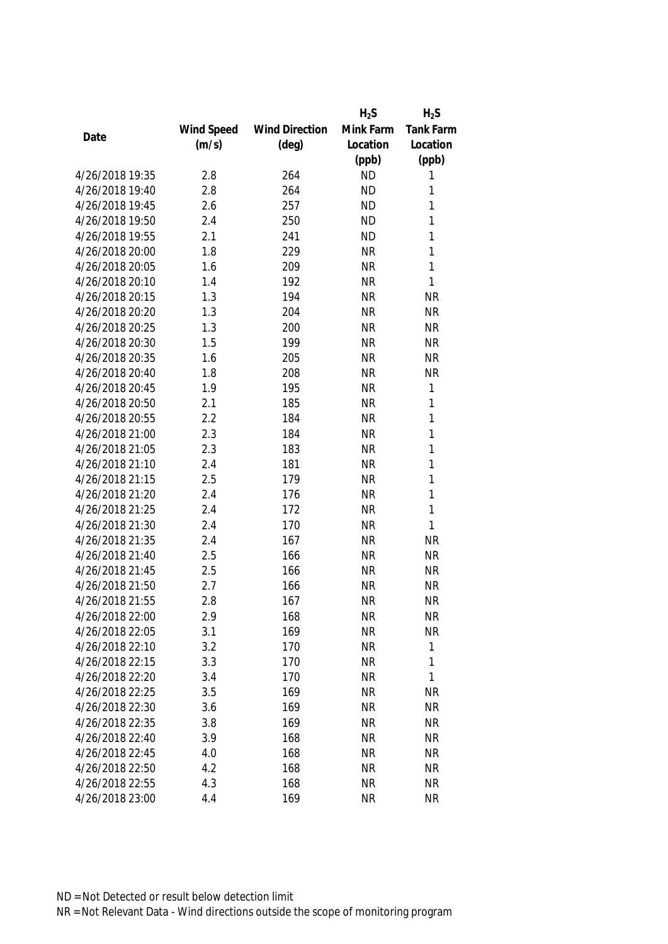|                 |            |                       | $H_2S$    | $H_2S$       |
|-----------------|------------|-----------------------|-----------|--------------|
|                 | Wind Speed | <b>Wind Direction</b> | Mink Farm | Tank Farm    |
| Date            | (m/s)      | $(\text{deg})$        | Location  | Location     |
|                 |            |                       | (ppb)     | (ppb)        |
| 4/26/2018 19:35 | 2.8        | 264                   | <b>ND</b> | 1            |
| 4/26/2018 19:40 | 2.8        | 264                   | <b>ND</b> | 1            |
| 4/26/2018 19:45 | 2.6        | 257                   | <b>ND</b> | 1            |
| 4/26/2018 19:50 | 2.4        | 250                   | <b>ND</b> | 1            |
| 4/26/2018 19:55 | 2.1        | 241                   | <b>ND</b> | 1            |
| 4/26/2018 20:00 | 1.8        | 229                   | <b>NR</b> | 1            |
| 4/26/2018 20:05 | 1.6        | 209                   | <b>NR</b> | 1            |
| 4/26/2018 20:10 | 1.4        | 192                   | <b>NR</b> | 1            |
| 4/26/2018 20:15 | 1.3        | 194                   | <b>NR</b> | <b>NR</b>    |
| 4/26/2018 20:20 | 1.3        | 204                   | <b>NR</b> | <b>NR</b>    |
| 4/26/2018 20:25 | 1.3        | 200                   | <b>NR</b> | <b>NR</b>    |
| 4/26/2018 20:30 | 1.5        | 199                   | <b>NR</b> | <b>NR</b>    |
| 4/26/2018 20:35 | 1.6        | 205                   | <b>NR</b> | <b>NR</b>    |
| 4/26/2018 20:40 | 1.8        | 208                   | <b>NR</b> | <b>NR</b>    |
| 4/26/2018 20:45 | 1.9        | 195                   | <b>NR</b> | $\mathbf{1}$ |
| 4/26/2018 20:50 | 2.1        | 185                   | <b>NR</b> | $\mathbf{1}$ |
| 4/26/2018 20:55 | 2.2        | 184                   | <b>NR</b> | 1            |
| 4/26/2018 21:00 | 2.3        | 184                   | <b>NR</b> | 1            |
| 4/26/2018 21:05 | 2.3        | 183                   | <b>NR</b> | 1            |
| 4/26/2018 21:10 | 2.4        | 181                   | <b>NR</b> | 1            |
| 4/26/2018 21:15 | 2.5        | 179                   | <b>NR</b> | 1            |
| 4/26/2018 21:20 | 2.4        | 176                   | <b>NR</b> | $\mathbf{1}$ |
| 4/26/2018 21:25 | 2.4        | 172                   | <b>NR</b> | 1            |
| 4/26/2018 21:30 | 2.4        | 170                   | <b>NR</b> | 1            |
| 4/26/2018 21:35 | 2.4        | 167                   | <b>NR</b> | <b>NR</b>    |
| 4/26/2018 21:40 | 2.5        | 166                   | <b>NR</b> | <b>NR</b>    |
| 4/26/2018 21:45 | 2.5        | 166                   | <b>NR</b> | <b>NR</b>    |
| 4/26/2018 21:50 | 2.7        | 166                   | <b>NR</b> | <b>NR</b>    |
| 4/26/2018 21:55 | 2.8        | 167                   | <b>NR</b> | <b>NR</b>    |
| 4/26/2018 22:00 | 2.9        | 168                   | <b>NR</b> | <b>NR</b>    |
| 4/26/2018 22:05 | 3.1        | 169                   | <b>NR</b> | <b>NR</b>    |
| 4/26/2018 22:10 | 3.2        | 170                   | <b>NR</b> | 1            |
| 4/26/2018 22:15 | 3.3        | 170                   | <b>NR</b> | 1            |
| 4/26/2018 22:20 | 3.4        | 170                   | <b>NR</b> | 1            |
| 4/26/2018 22:25 | 3.5        | 169                   | <b>NR</b> | <b>NR</b>    |
| 4/26/2018 22:30 | 3.6        | 169                   | <b>NR</b> | <b>NR</b>    |
| 4/26/2018 22:35 | 3.8        | 169                   | <b>NR</b> | <b>NR</b>    |
| 4/26/2018 22:40 | 3.9        | 168                   | <b>NR</b> | <b>NR</b>    |
| 4/26/2018 22:45 | 4.0        | 168                   | <b>NR</b> | <b>NR</b>    |
| 4/26/2018 22:50 | 4.2        | 168                   | <b>NR</b> | <b>NR</b>    |
| 4/26/2018 22:55 | 4.3        | 168                   | <b>NR</b> | <b>NR</b>    |
| 4/26/2018 23:00 | 4.4        | 169                   | <b>NR</b> | <b>NR</b>    |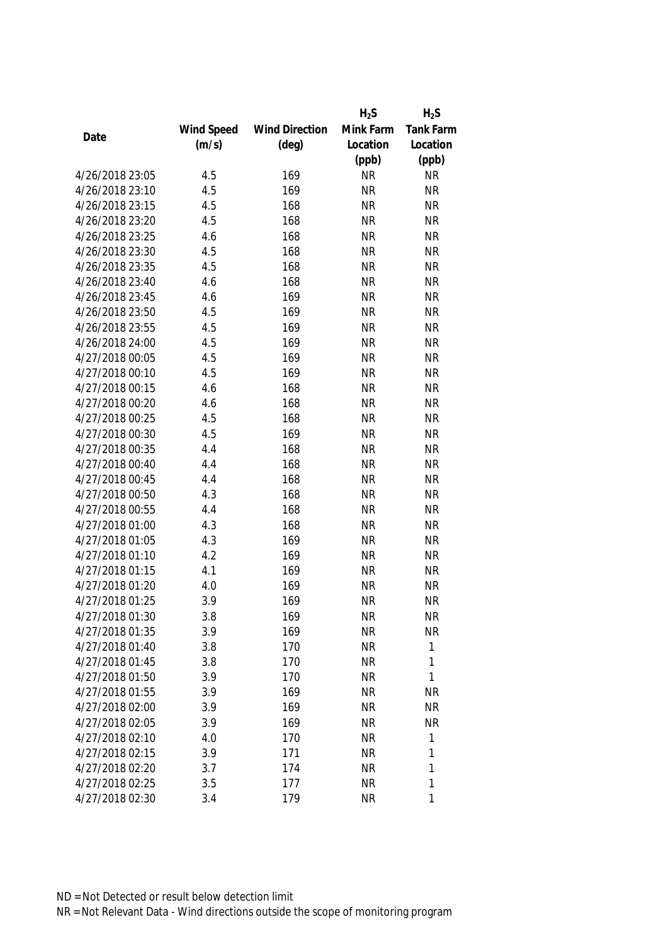|                 |            |                       | $H_2S$    | $H_2S$       |
|-----------------|------------|-----------------------|-----------|--------------|
|                 | Wind Speed | <b>Wind Direction</b> | Mink Farm | Tank Farm    |
| Date            | (m/s)      | $(\text{deg})$        | Location  | Location     |
|                 |            |                       | (ppb)     | (ppb)        |
| 4/26/2018 23:05 | 4.5        | 169                   | <b>NR</b> | <b>NR</b>    |
| 4/26/2018 23:10 | 4.5        | 169                   | <b>NR</b> | <b>NR</b>    |
| 4/26/2018 23:15 | 4.5        | 168                   | <b>NR</b> | <b>NR</b>    |
| 4/26/2018 23:20 | 4.5        | 168                   | <b>NR</b> | <b>NR</b>    |
| 4/26/2018 23:25 | 4.6        | 168                   | <b>NR</b> | <b>NR</b>    |
| 4/26/2018 23:30 | 4.5        | 168                   | <b>NR</b> | <b>NR</b>    |
| 4/26/2018 23:35 | 4.5        | 168                   | <b>NR</b> | <b>NR</b>    |
| 4/26/2018 23:40 | 4.6        | 168                   | <b>NR</b> | <b>NR</b>    |
| 4/26/2018 23:45 | 4.6        | 169                   | <b>NR</b> | <b>NR</b>    |
| 4/26/2018 23:50 | 4.5        | 169                   | <b>NR</b> | <b>NR</b>    |
| 4/26/2018 23:55 | 4.5        | 169                   | <b>NR</b> | <b>NR</b>    |
| 4/26/2018 24:00 | 4.5        | 169                   | <b>NR</b> | <b>NR</b>    |
| 4/27/2018 00:05 | 4.5        | 169                   | <b>NR</b> | <b>NR</b>    |
| 4/27/2018 00:10 | 4.5        | 169                   | <b>NR</b> | <b>NR</b>    |
| 4/27/2018 00:15 | 4.6        | 168                   | <b>NR</b> | <b>NR</b>    |
| 4/27/2018 00:20 | 4.6        | 168                   | <b>NR</b> | <b>NR</b>    |
| 4/27/2018 00:25 | 4.5        | 168                   | <b>NR</b> | <b>NR</b>    |
| 4/27/2018 00:30 | 4.5        | 169                   | <b>NR</b> | <b>NR</b>    |
| 4/27/2018 00:35 | 4.4        | 168                   | <b>NR</b> | <b>NR</b>    |
| 4/27/2018 00:40 | 4.4        | 168                   | <b>NR</b> | <b>NR</b>    |
| 4/27/2018 00:45 | 4.4        | 168                   | <b>NR</b> | <b>NR</b>    |
| 4/27/2018 00:50 | 4.3        | 168                   | <b>NR</b> | <b>NR</b>    |
| 4/27/2018 00:55 | 4.4        | 168                   | <b>NR</b> | <b>NR</b>    |
| 4/27/2018 01:00 | 4.3        | 168                   | <b>NR</b> | <b>NR</b>    |
| 4/27/2018 01:05 | 4.3        | 169                   | <b>NR</b> | <b>NR</b>    |
| 4/27/2018 01:10 | 4.2        | 169                   | <b>NR</b> | <b>NR</b>    |
| 4/27/2018 01:15 | 4.1        | 169                   | <b>NR</b> | <b>NR</b>    |
| 4/27/2018 01:20 | 4.0        | 169                   | <b>NR</b> | <b>NR</b>    |
| 4/27/2018 01:25 | 3.9        | 169                   | <b>NR</b> | <b>NR</b>    |
| 4/27/2018 01:30 | 3.8        | 169                   | <b>NR</b> | <b>NR</b>    |
| 4/27/2018 01:35 | 3.9        | 169                   | <b>NR</b> | <b>NR</b>    |
| 4/27/2018 01:40 | 3.8        | 170                   | <b>NR</b> | 1            |
| 4/27/2018 01:45 | 3.8        | 170                   | <b>NR</b> | 1            |
| 4/27/2018 01:50 | 3.9        | 170                   | <b>NR</b> | 1            |
| 4/27/2018 01:55 | 3.9        | 169                   | <b>NR</b> | <b>NR</b>    |
| 4/27/2018 02:00 | 3.9        | 169                   | <b>NR</b> | <b>NR</b>    |
| 4/27/2018 02:05 | 3.9        | 169                   | <b>NR</b> | <b>NR</b>    |
| 4/27/2018 02:10 | 4.0        | 170                   | <b>NR</b> | $\mathbf{1}$ |
| 4/27/2018 02:15 | 3.9        | 171                   | <b>NR</b> | 1            |
| 4/27/2018 02:20 | 3.7        | 174                   | <b>NR</b> | 1            |
| 4/27/2018 02:25 | 3.5        | 177                   | <b>NR</b> | 1            |
| 4/27/2018 02:30 | 3.4        | 179                   | <b>NR</b> | 1            |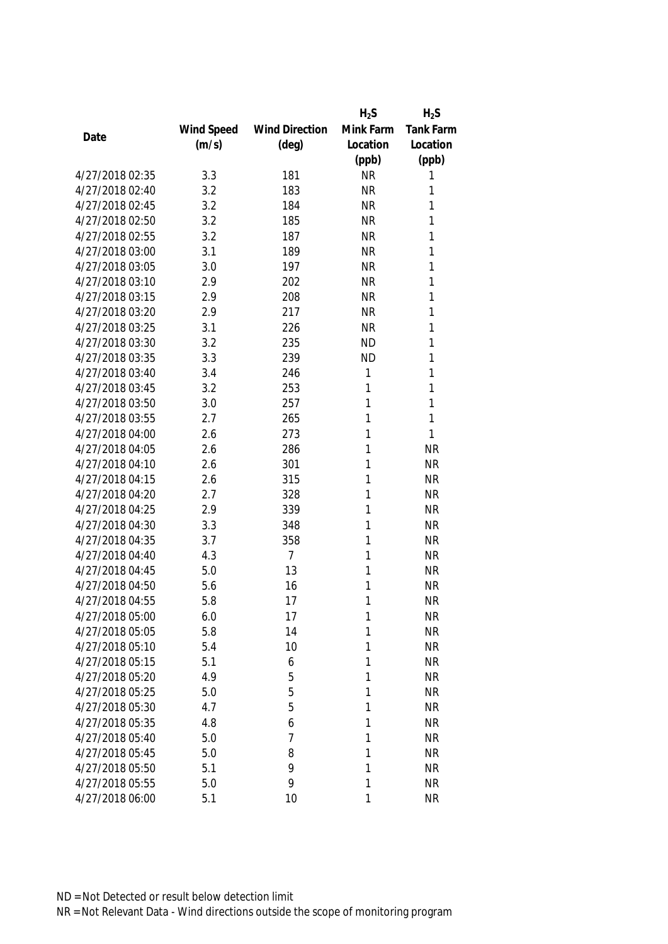|                 |            |                       | $H_2S$    | $H_2S$    |
|-----------------|------------|-----------------------|-----------|-----------|
|                 | Wind Speed | <b>Wind Direction</b> | Mink Farm | Tank Farm |
| Date            | (m/s)      | $(\text{deg})$        | Location  | Location  |
|                 |            |                       | (ppb)     | (ppb)     |
| 4/27/2018 02:35 | 3.3        | 181                   | <b>NR</b> | 1         |
| 4/27/2018 02:40 | 3.2        | 183                   | <b>NR</b> | 1         |
| 4/27/2018 02:45 | 3.2        | 184                   | <b>NR</b> | 1         |
| 4/27/2018 02:50 | 3.2        | 185                   | <b>NR</b> | 1         |
| 4/27/2018 02:55 | 3.2        | 187                   | <b>NR</b> | 1         |
| 4/27/2018 03:00 | 3.1        | 189                   | <b>NR</b> | 1         |
| 4/27/2018 03:05 | 3.0        | 197                   | <b>NR</b> | 1         |
| 4/27/2018 03:10 | 2.9        | 202                   | <b>NR</b> | 1         |
| 4/27/2018 03:15 | 2.9        | 208                   | <b>NR</b> | 1         |
| 4/27/2018 03:20 | 2.9        | 217                   | <b>NR</b> | 1         |
| 4/27/2018 03:25 | 3.1        | 226                   | <b>NR</b> | 1         |
| 4/27/2018 03:30 | 3.2        | 235                   | <b>ND</b> | 1         |
| 4/27/2018 03:35 | 3.3        | 239                   | <b>ND</b> | 1         |
| 4/27/2018 03:40 | 3.4        | 246                   | 1         | 1         |
| 4/27/2018 03:45 | 3.2        | 253                   | 1         | 1         |
| 4/27/2018 03:50 | 3.0        | 257                   | 1         | 1         |
| 4/27/2018 03:55 | 2.7        | 265                   | 1         | 1         |
| 4/27/2018 04:00 | 2.6        | 273                   | 1         | 1         |
| 4/27/2018 04:05 | 2.6        | 286                   | 1         | <b>NR</b> |
| 4/27/2018 04:10 | 2.6        | 301                   | 1         | <b>NR</b> |
| 4/27/2018 04:15 | 2.6        | 315                   | 1         | <b>NR</b> |
| 4/27/2018 04:20 | 2.7        | 328                   | 1         | <b>NR</b> |
| 4/27/2018 04:25 | 2.9        | 339                   | 1         | <b>NR</b> |
| 4/27/2018 04:30 | 3.3        | 348                   | 1         | <b>NR</b> |
| 4/27/2018 04:35 | 3.7        | 358                   | 1         | <b>NR</b> |
| 4/27/2018 04:40 | 4.3        | $\overline{7}$        | 1         | <b>NR</b> |
| 4/27/2018 04:45 | 5.0        | 13                    | 1         | <b>NR</b> |
| 4/27/2018 04:50 | 5.6        | 16                    | 1         | <b>NR</b> |
| 4/27/2018 04:55 | 5.8        | 17                    | 1         | <b>NR</b> |
| 4/27/2018 05:00 | 6.0        | 17                    | 1         | <b>NR</b> |
| 4/27/2018 05:05 | 5.8        | 14                    | 1         | <b>NR</b> |
| 4/27/2018 05:10 | 5.4        | 10                    | 1         | <b>NR</b> |
| 4/27/2018 05:15 | 5.1        | 6                     | 1         | <b>NR</b> |
| 4/27/2018 05:20 | 4.9        | 5                     | 1         | <b>NR</b> |
| 4/27/2018 05:25 | 5.0        | 5                     | 1         | <b>NR</b> |
| 4/27/2018 05:30 | 4.7        | 5                     | 1         | <b>NR</b> |
| 4/27/2018 05:35 | 4.8        | 6                     | 1         | <b>NR</b> |
| 4/27/2018 05:40 | 5.0        | 7                     | 1         | <b>NR</b> |
| 4/27/2018 05:45 | 5.0        | 8                     | 1         | <b>NR</b> |
| 4/27/2018 05:50 | 5.1        | 9                     | 1         | <b>NR</b> |
| 4/27/2018 05:55 | 5.0        | 9                     | 1         | <b>NR</b> |
| 4/27/2018 06:00 | 5.1        | 10                    | 1         | <b>NR</b> |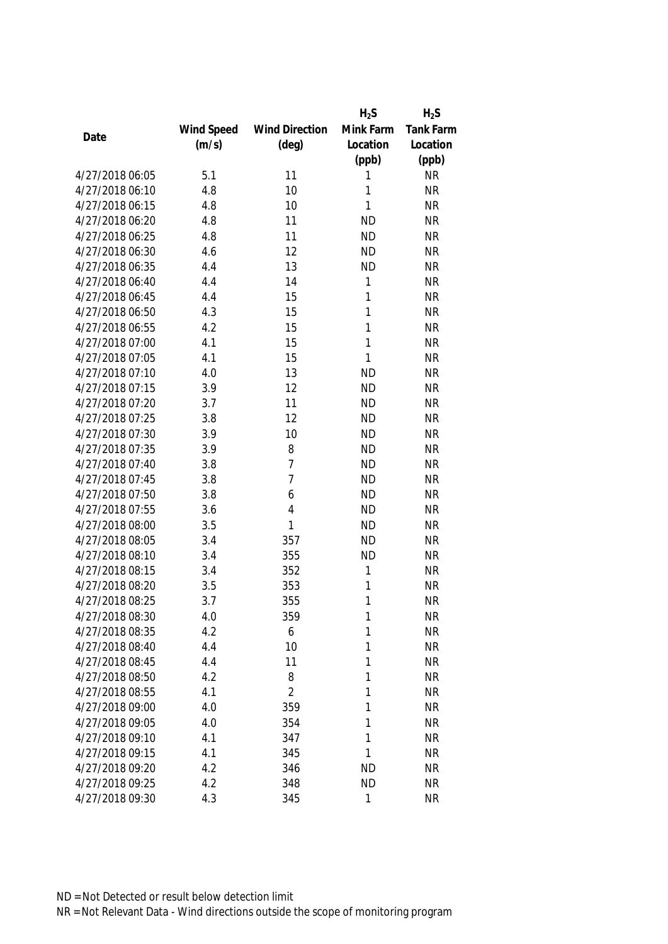|                 |            |                       | $H_2S$       | $H_2S$           |
|-----------------|------------|-----------------------|--------------|------------------|
|                 | Wind Speed | <b>Wind Direction</b> | Mink Farm    | <b>Tank Farm</b> |
| Date            | (m/s)      | $(\text{deg})$        | Location     | Location         |
|                 |            |                       | (ppb)        | (ppb)            |
| 4/27/2018 06:05 | 5.1        | 11                    | 1            | <b>NR</b>        |
| 4/27/2018 06:10 | 4.8        | 10                    | 1            | <b>NR</b>        |
| 4/27/2018 06:15 | 4.8        | 10                    | 1            | <b>NR</b>        |
| 4/27/2018 06:20 | 4.8        | 11                    | <b>ND</b>    | <b>NR</b>        |
| 4/27/2018 06:25 | 4.8        | 11                    | <b>ND</b>    | <b>NR</b>        |
| 4/27/2018 06:30 | 4.6        | 12                    | <b>ND</b>    | <b>NR</b>        |
| 4/27/2018 06:35 | 4.4        | 13                    | <b>ND</b>    | <b>NR</b>        |
| 4/27/2018 06:40 | 4.4        | 14                    | 1            | <b>NR</b>        |
| 4/27/2018 06:45 | 4.4        | 15                    | $\mathbf{1}$ | <b>NR</b>        |
| 4/27/2018 06:50 | 4.3        | 15                    | 1            | <b>NR</b>        |
| 4/27/2018 06:55 | 4.2        | 15                    | 1            | <b>NR</b>        |
| 4/27/2018 07:00 | 4.1        | 15                    | 1            | <b>NR</b>        |
| 4/27/2018 07:05 | 4.1        | 15                    | 1            | <b>NR</b>        |
| 4/27/2018 07:10 | 4.0        | 13                    | <b>ND</b>    | <b>NR</b>        |
| 4/27/2018 07:15 | 3.9        | 12                    | <b>ND</b>    | <b>NR</b>        |
| 4/27/2018 07:20 | 3.7        | 11                    | <b>ND</b>    | <b>NR</b>        |
| 4/27/2018 07:25 | 3.8        | 12                    | <b>ND</b>    | <b>NR</b>        |
| 4/27/2018 07:30 | 3.9        | 10                    | <b>ND</b>    | <b>NR</b>        |
| 4/27/2018 07:35 | 3.9        | 8                     | <b>ND</b>    | <b>NR</b>        |
| 4/27/2018 07:40 | 3.8        | $\overline{7}$        | <b>ND</b>    | <b>NR</b>        |
| 4/27/2018 07:45 | 3.8        | $\overline{7}$        | <b>ND</b>    | <b>NR</b>        |
| 4/27/2018 07:50 | 3.8        | 6                     | <b>ND</b>    | <b>NR</b>        |
| 4/27/2018 07:55 | 3.6        | $\overline{4}$        | <b>ND</b>    | <b>NR</b>        |
| 4/27/2018 08:00 | 3.5        | 1                     | <b>ND</b>    | <b>NR</b>        |
| 4/27/2018 08:05 | 3.4        | 357                   | <b>ND</b>    | <b>NR</b>        |
| 4/27/2018 08:10 | 3.4        | 355                   | <b>ND</b>    | <b>NR</b>        |
| 4/27/2018 08:15 | 3.4        | 352                   | 1            | <b>NR</b>        |
| 4/27/2018 08:20 | 3.5        | 353                   | 1            | <b>NR</b>        |
| 4/27/2018 08:25 | 3.7        | 355                   | 1            | <b>NR</b>        |
| 4/27/2018 08:30 | 4.0        | 359                   | 1            | <b>NR</b>        |
| 4/27/2018 08:35 | 4.2        | 6                     | 1            | <b>NR</b>        |
| 4/27/2018 08:40 | 4.4        | 10                    | 1            | <b>NR</b>        |
| 4/27/2018 08:45 | 4.4        | 11                    | 1            | <b>NR</b>        |
| 4/27/2018 08:50 | 4.2        | 8                     | 1            | <b>NR</b>        |
| 4/27/2018 08:55 | 4.1        | $\overline{2}$        | 1            | <b>NR</b>        |
| 4/27/2018 09:00 | 4.0        | 359                   | 1            | <b>NR</b>        |
| 4/27/2018 09:05 | 4.0        | 354                   | 1            | <b>NR</b>        |
| 4/27/2018 09:10 | 4.1        | 347                   | 1            | <b>NR</b>        |
| 4/27/2018 09:15 | 4.1        | 345                   | 1            | <b>NR</b>        |
| 4/27/2018 09:20 | 4.2        | 346                   | <b>ND</b>    | <b>NR</b>        |
| 4/27/2018 09:25 | 4.2        | 348                   | <b>ND</b>    | <b>NR</b>        |
| 4/27/2018 09:30 | 4.3        | 345                   | 1            | <b>NR</b>        |
|                 |            |                       |              |                  |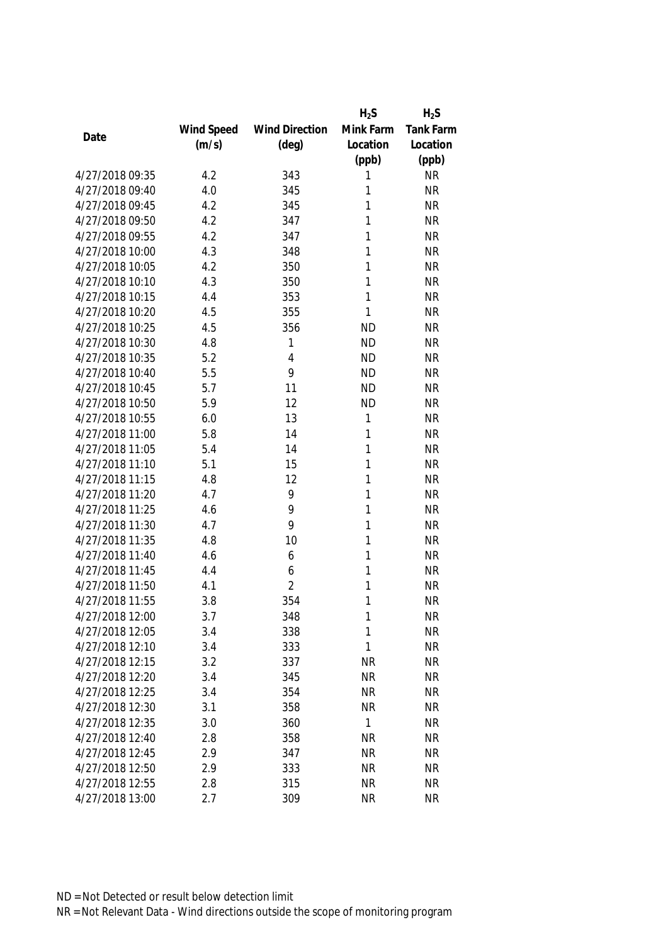|                 |            |                       | $H_2S$    | $H_2S$           |
|-----------------|------------|-----------------------|-----------|------------------|
|                 | Wind Speed | <b>Wind Direction</b> | Mink Farm | <b>Tank Farm</b> |
| Date            | (m/s)      | $(\text{deg})$        | Location  | Location         |
|                 |            |                       | (ppb)     | (ppb)            |
| 4/27/2018 09:35 | 4.2        | 343                   | 1         | <b>NR</b>        |
| 4/27/2018 09:40 | 4.0        | 345                   | 1         | <b>NR</b>        |
| 4/27/2018 09:45 | 4.2        | 345                   | 1         | <b>NR</b>        |
| 4/27/2018 09:50 | 4.2        | 347                   | 1         | <b>NR</b>        |
| 4/27/2018 09:55 | 4.2        | 347                   | 1         | <b>NR</b>        |
| 4/27/2018 10:00 | 4.3        | 348                   | 1         | <b>NR</b>        |
| 4/27/2018 10:05 | 4.2        | 350                   | 1         | <b>NR</b>        |
| 4/27/2018 10:10 | 4.3        | 350                   | 1         | <b>NR</b>        |
| 4/27/2018 10:15 | 4.4        | 353                   | 1         | <b>NR</b>        |
| 4/27/2018 10:20 | 4.5        | 355                   | 1         | <b>NR</b>        |
| 4/27/2018 10:25 | 4.5        | 356                   | <b>ND</b> | <b>NR</b>        |
| 4/27/2018 10:30 | 4.8        | 1                     | <b>ND</b> | <b>NR</b>        |
| 4/27/2018 10:35 | 5.2        | 4                     | <b>ND</b> | <b>NR</b>        |
| 4/27/2018 10:40 | 5.5        | 9                     | <b>ND</b> | <b>NR</b>        |
| 4/27/2018 10:45 | 5.7        | 11                    | <b>ND</b> | <b>NR</b>        |
| 4/27/2018 10:50 | 5.9        | 12                    | <b>ND</b> | <b>NR</b>        |
| 4/27/2018 10:55 | 6.0        | 13                    | 1         | <b>NR</b>        |
| 4/27/2018 11:00 | 5.8        | 14                    | 1         | <b>NR</b>        |
| 4/27/2018 11:05 | 5.4        | 14                    | 1         | <b>NR</b>        |
| 4/27/2018 11:10 | 5.1        | 15                    | 1         | <b>NR</b>        |
| 4/27/2018 11:15 | 4.8        | 12                    | 1         | <b>NR</b>        |
| 4/27/2018 11:20 | 4.7        | 9                     | 1         | <b>NR</b>        |
| 4/27/2018 11:25 | 4.6        | 9                     | 1         | <b>NR</b>        |
| 4/27/2018 11:30 | 4.7        | 9                     | 1         | <b>NR</b>        |
| 4/27/2018 11:35 | 4.8        | 10                    | 1         | <b>NR</b>        |
| 4/27/2018 11:40 | 4.6        | 6                     | 1         | <b>NR</b>        |
| 4/27/2018 11:45 | 4.4        | 6                     | 1         | <b>NR</b>        |
| 4/27/2018 11:50 | 4.1        | $\overline{2}$        | 1         | <b>NR</b>        |
| 4/27/2018 11:55 | 3.8        | 354                   | 1         | <b>NR</b>        |
| 4/27/2018 12:00 | 3.7        | 348                   | 1         | <b>NR</b>        |
| 4/27/2018 12:05 | 3.4        | 338                   | 1         | <b>NR</b>        |
| 4/27/2018 12:10 | 3.4        | 333                   | 1         | <b>NR</b>        |
| 4/27/2018 12:15 | 3.2        | 337                   | <b>NR</b> | <b>NR</b>        |
| 4/27/2018 12:20 | 3.4        | 345                   | <b>NR</b> | <b>NR</b>        |
| 4/27/2018 12:25 | 3.4        | 354                   | <b>NR</b> | <b>NR</b>        |
| 4/27/2018 12:30 | 3.1        | 358                   | <b>NR</b> | <b>NR</b>        |
| 4/27/2018 12:35 | 3.0        | 360                   | 1         | <b>NR</b>        |
| 4/27/2018 12:40 | 2.8        | 358                   | <b>NR</b> | <b>NR</b>        |
| 4/27/2018 12:45 | 2.9        | 347                   | <b>NR</b> | <b>NR</b>        |
| 4/27/2018 12:50 | 2.9        | 333                   | <b>NR</b> | <b>NR</b>        |
| 4/27/2018 12:55 | 2.8        | 315                   | <b>NR</b> | <b>NR</b>        |
| 4/27/2018 13:00 | 2.7        | 309                   | <b>NR</b> | <b>NR</b>        |
|                 |            |                       |           |                  |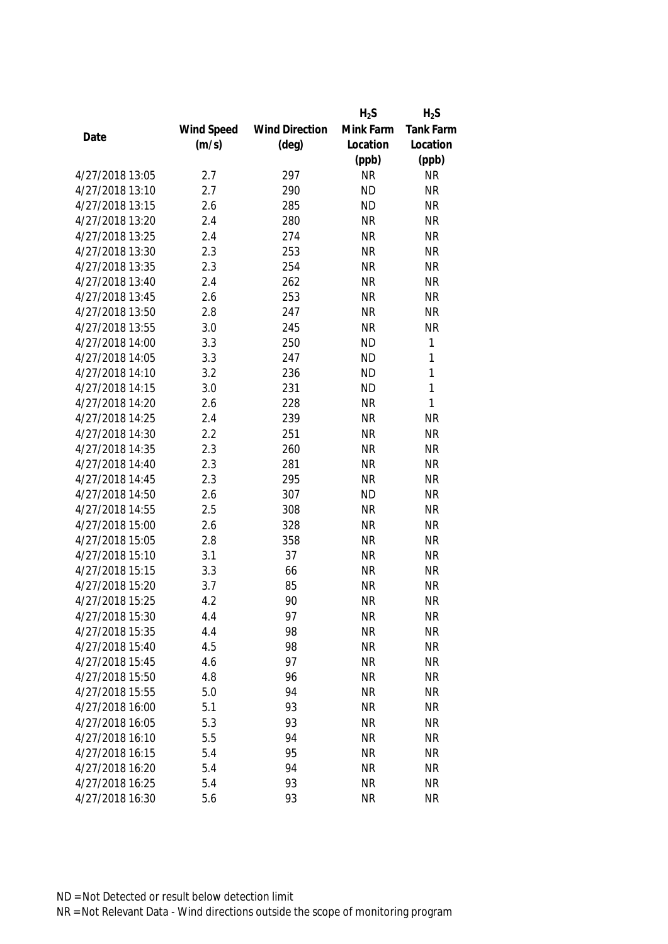|                 |            |                       | $H_2S$    | $H_2S$    |
|-----------------|------------|-----------------------|-----------|-----------|
|                 | Wind Speed | <b>Wind Direction</b> | Mink Farm | Tank Farm |
| Date            | (m/s)      | $(\text{deg})$        | Location  | Location  |
|                 |            |                       | (ppb)     | (ppb)     |
| 4/27/2018 13:05 | 2.7        | 297                   | <b>NR</b> | <b>NR</b> |
| 4/27/2018 13:10 | 2.7        | 290                   | <b>ND</b> | <b>NR</b> |
| 4/27/2018 13:15 | 2.6        | 285                   | <b>ND</b> | <b>NR</b> |
| 4/27/2018 13:20 | 2.4        | 280                   | <b>NR</b> | <b>NR</b> |
| 4/27/2018 13:25 | 2.4        | 274                   | <b>NR</b> | <b>NR</b> |
| 4/27/2018 13:30 | 2.3        | 253                   | <b>NR</b> | <b>NR</b> |
| 4/27/2018 13:35 | 2.3        | 254                   | <b>NR</b> | <b>NR</b> |
| 4/27/2018 13:40 | 2.4        | 262                   | <b>NR</b> | <b>NR</b> |
| 4/27/2018 13:45 | 2.6        | 253                   | <b>NR</b> | <b>NR</b> |
| 4/27/2018 13:50 | 2.8        | 247                   | <b>NR</b> | <b>NR</b> |
| 4/27/2018 13:55 | 3.0        | 245                   | <b>NR</b> | <b>NR</b> |
| 4/27/2018 14:00 | 3.3        | 250                   | <b>ND</b> | 1         |
| 4/27/2018 14:05 | 3.3        | 247                   | <b>ND</b> | 1         |
| 4/27/2018 14:10 | 3.2        | 236                   | <b>ND</b> | 1         |
| 4/27/2018 14:15 | 3.0        | 231                   | <b>ND</b> | 1         |
| 4/27/2018 14:20 | 2.6        | 228                   | <b>NR</b> | 1         |
| 4/27/2018 14:25 | 2.4        | 239                   | <b>NR</b> | <b>NR</b> |
| 4/27/2018 14:30 | 2.2        | 251                   | <b>NR</b> | <b>NR</b> |
| 4/27/2018 14:35 | 2.3        | 260                   | <b>NR</b> | <b>NR</b> |
| 4/27/2018 14:40 | 2.3        | 281                   | <b>NR</b> | <b>NR</b> |
| 4/27/2018 14:45 | 2.3        | 295                   | <b>NR</b> | <b>NR</b> |
| 4/27/2018 14:50 | 2.6        | 307                   | <b>ND</b> | <b>NR</b> |
| 4/27/2018 14:55 | 2.5        | 308                   | <b>NR</b> | <b>NR</b> |
| 4/27/2018 15:00 | 2.6        | 328                   | <b>NR</b> | <b>NR</b> |
| 4/27/2018 15:05 | 2.8        | 358                   | <b>NR</b> | <b>NR</b> |
| 4/27/2018 15:10 | 3.1        | 37                    | <b>NR</b> | <b>NR</b> |
| 4/27/2018 15:15 | 3.3        | 66                    | <b>NR</b> | <b>NR</b> |
| 4/27/2018 15:20 | 3.7        | 85                    | <b>NR</b> | <b>NR</b> |
| 4/27/2018 15:25 | 4.2        | 90                    | <b>NR</b> | <b>NR</b> |
| 4/27/2018 15:30 | 4.4        | 97                    | <b>NR</b> | <b>NR</b> |
| 4/27/2018 15:35 | 4.4        | 98                    | <b>NR</b> | <b>NR</b> |
| 4/27/2018 15:40 | 4.5        | 98                    | <b>NR</b> | <b>NR</b> |
| 4/27/2018 15:45 | 4.6        | 97                    | <b>NR</b> | <b>NR</b> |
| 4/27/2018 15:50 | 4.8        | 96                    | <b>NR</b> | <b>NR</b> |
| 4/27/2018 15:55 | 5.0        | 94                    | <b>NR</b> | <b>NR</b> |
| 4/27/2018 16:00 | 5.1        | 93                    | <b>NR</b> | <b>NR</b> |
| 4/27/2018 16:05 | 5.3        | 93                    | <b>NR</b> | <b>NR</b> |
| 4/27/2018 16:10 | 5.5        | 94                    | <b>NR</b> | <b>NR</b> |
| 4/27/2018 16:15 | 5.4        | 95                    | <b>NR</b> | <b>NR</b> |
| 4/27/2018 16:20 | 5.4        | 94                    | <b>NR</b> | <b>NR</b> |
| 4/27/2018 16:25 | 5.4        | 93                    | <b>NR</b> | <b>NR</b> |
| 4/27/2018 16:30 | 5.6        | 93                    | <b>NR</b> | <b>NR</b> |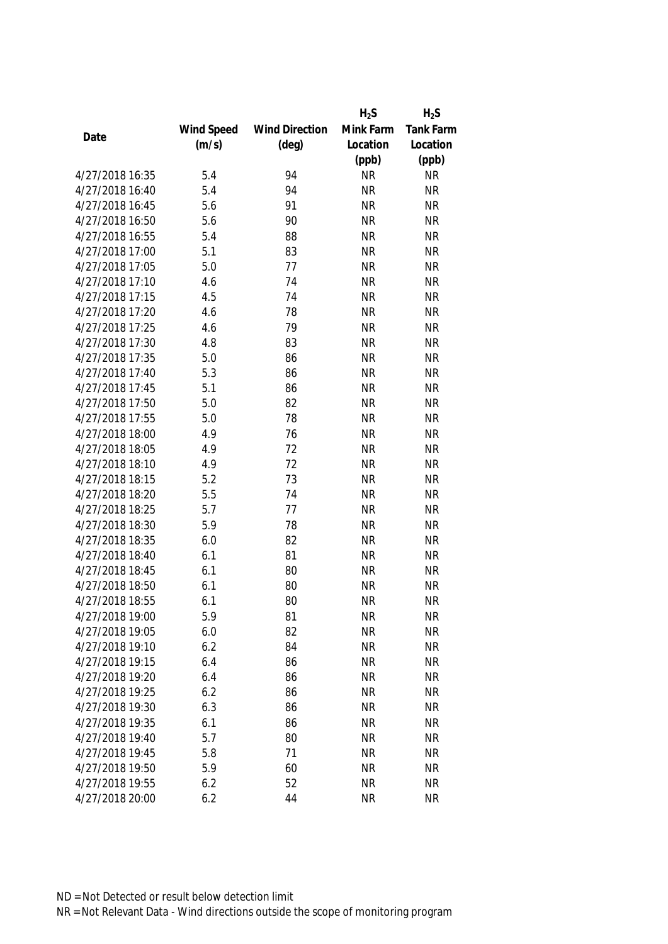|                 |            |                       | $H_2S$    | $H_2S$           |
|-----------------|------------|-----------------------|-----------|------------------|
|                 | Wind Speed | <b>Wind Direction</b> | Mink Farm | <b>Tank Farm</b> |
| Date            | (m/s)      | $(\text{deg})$        | Location  | Location         |
|                 |            |                       | (ppb)     | (ppb)            |
| 4/27/2018 16:35 | 5.4        | 94                    | <b>NR</b> | <b>NR</b>        |
| 4/27/2018 16:40 | 5.4        | 94                    | <b>NR</b> | <b>NR</b>        |
| 4/27/2018 16:45 | 5.6        | 91                    | <b>NR</b> | <b>NR</b>        |
| 4/27/2018 16:50 | 5.6        | 90                    | <b>NR</b> | <b>NR</b>        |
| 4/27/2018 16:55 | 5.4        | 88                    | <b>NR</b> | <b>NR</b>        |
| 4/27/2018 17:00 | 5.1        | 83                    | <b>NR</b> | <b>NR</b>        |
| 4/27/2018 17:05 | 5.0        | 77                    | <b>NR</b> | <b>NR</b>        |
| 4/27/2018 17:10 | 4.6        | 74                    | <b>NR</b> | <b>NR</b>        |
| 4/27/2018 17:15 | 4.5        | 74                    | <b>NR</b> | <b>NR</b>        |
| 4/27/2018 17:20 | 4.6        | 78                    | <b>NR</b> | <b>NR</b>        |
| 4/27/2018 17:25 | 4.6        | 79                    | <b>NR</b> | <b>NR</b>        |
| 4/27/2018 17:30 | 4.8        | 83                    | <b>NR</b> | <b>NR</b>        |
| 4/27/2018 17:35 | 5.0        | 86                    | <b>NR</b> | <b>NR</b>        |
| 4/27/2018 17:40 | 5.3        | 86                    | <b>NR</b> | <b>NR</b>        |
| 4/27/2018 17:45 | 5.1        | 86                    | <b>NR</b> | <b>NR</b>        |
| 4/27/2018 17:50 | 5.0        | 82                    | <b>NR</b> | <b>NR</b>        |
| 4/27/2018 17:55 | 5.0        | 78                    | <b>NR</b> | <b>NR</b>        |
| 4/27/2018 18:00 | 4.9        | 76                    | <b>NR</b> | <b>NR</b>        |
| 4/27/2018 18:05 | 4.9        | 72                    | <b>NR</b> | <b>NR</b>        |
| 4/27/2018 18:10 | 4.9        | 72                    | <b>NR</b> | <b>NR</b>        |
| 4/27/2018 18:15 | 5.2        | 73                    | <b>NR</b> | <b>NR</b>        |
| 4/27/2018 18:20 | 5.5        | 74                    | <b>NR</b> | <b>NR</b>        |
| 4/27/2018 18:25 | 5.7        | 77                    | <b>NR</b> | <b>NR</b>        |
| 4/27/2018 18:30 | 5.9        | 78                    | <b>NR</b> | <b>NR</b>        |
| 4/27/2018 18:35 | 6.0        | 82                    | <b>NR</b> | <b>NR</b>        |
| 4/27/2018 18:40 | 6.1        | 81                    | <b>NR</b> | <b>NR</b>        |
| 4/27/2018 18:45 | 6.1        | 80                    | <b>NR</b> | <b>NR</b>        |
| 4/27/2018 18:50 | 6.1        | 80                    | <b>NR</b> | <b>NR</b>        |
| 4/27/2018 18:55 | 6.1        | 80                    | <b>NR</b> | <b>NR</b>        |
| 4/27/2018 19:00 | 5.9        | 81                    | <b>NR</b> | <b>NR</b>        |
| 4/27/2018 19:05 | 6.0        | 82                    | <b>NR</b> | <b>NR</b>        |
| 4/27/2018 19:10 | 6.2        | 84                    | <b>NR</b> | <b>NR</b>        |
| 4/27/2018 19:15 | 6.4        | 86                    | <b>NR</b> | <b>NR</b>        |
| 4/27/2018 19:20 | 6.4        | 86                    | <b>NR</b> | <b>NR</b>        |
| 4/27/2018 19:25 | 6.2        | 86                    | <b>NR</b> | <b>NR</b>        |
| 4/27/2018 19:30 | 6.3        | 86                    | <b>NR</b> | <b>NR</b>        |
| 4/27/2018 19:35 | 6.1        | 86                    | <b>NR</b> | <b>NR</b>        |
| 4/27/2018 19:40 | 5.7        | 80                    | <b>NR</b> | <b>NR</b>        |
| 4/27/2018 19:45 | 5.8        | 71                    | <b>NR</b> | <b>NR</b>        |
| 4/27/2018 19:50 | 5.9        | 60                    | <b>NR</b> | <b>NR</b>        |
|                 |            |                       |           |                  |
| 4/27/2018 19:55 | 6.2        | 52                    | <b>NR</b> | <b>NR</b>        |
| 4/27/2018 20:00 | 6.2        | 44                    | <b>NR</b> | <b>NR</b>        |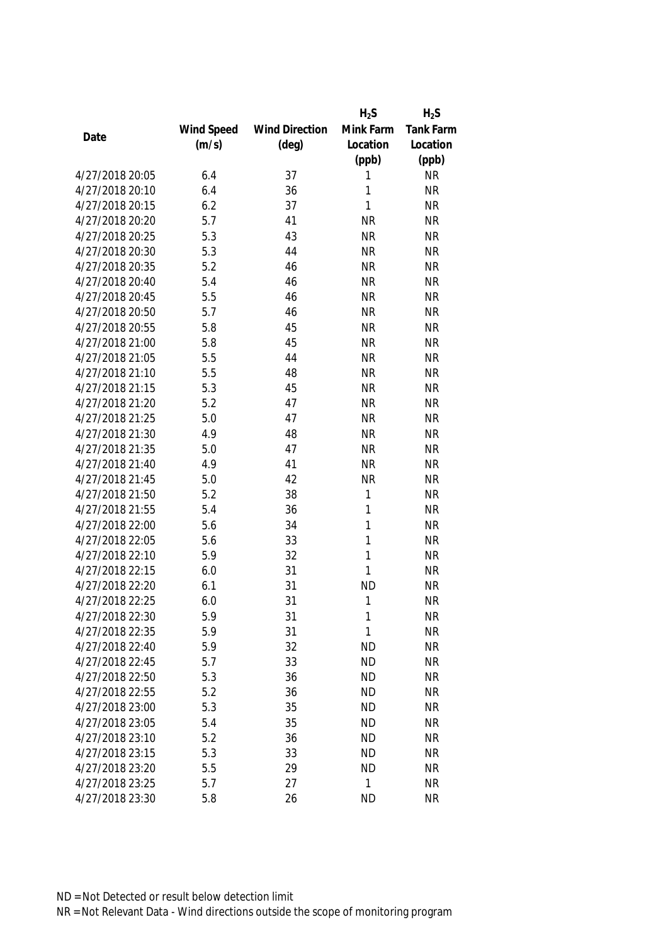|                 |            |                       | $H_2S$       | $H_2S$           |
|-----------------|------------|-----------------------|--------------|------------------|
|                 | Wind Speed | <b>Wind Direction</b> | Mink Farm    | <b>Tank Farm</b> |
| Date            | (m/s)      | $(\text{deg})$        | Location     | Location         |
|                 |            |                       | (ppb)        | (ppb)            |
| 4/27/2018 20:05 | 6.4        | 37                    | 1            | <b>NR</b>        |
| 4/27/2018 20:10 | 6.4        | 36                    | 1            | <b>NR</b>        |
| 4/27/2018 20:15 | 6.2        | 37                    | 1            | <b>NR</b>        |
| 4/27/2018 20:20 | 5.7        | 41                    | <b>NR</b>    | <b>NR</b>        |
| 4/27/2018 20:25 | 5.3        | 43                    | <b>NR</b>    | <b>NR</b>        |
| 4/27/2018 20:30 | 5.3        | 44                    | <b>NR</b>    | <b>NR</b>        |
| 4/27/2018 20:35 | 5.2        | 46                    | <b>NR</b>    | <b>NR</b>        |
| 4/27/2018 20:40 | 5.4        | 46                    | <b>NR</b>    | <b>NR</b>        |
| 4/27/2018 20:45 | 5.5        | 46                    | <b>NR</b>    | <b>NR</b>        |
| 4/27/2018 20:50 | 5.7        | 46                    | <b>NR</b>    | <b>NR</b>        |
| 4/27/2018 20:55 | 5.8        | 45                    | <b>NR</b>    | <b>NR</b>        |
| 4/27/2018 21:00 | 5.8        | 45                    | <b>NR</b>    | <b>NR</b>        |
| 4/27/2018 21:05 | 5.5        | 44                    | <b>NR</b>    | <b>NR</b>        |
| 4/27/2018 21:10 | 5.5        | 48                    | <b>NR</b>    | <b>NR</b>        |
| 4/27/2018 21:15 | 5.3        | 45                    | <b>NR</b>    | <b>NR</b>        |
| 4/27/2018 21:20 | 5.2        | 47                    | <b>NR</b>    | <b>NR</b>        |
| 4/27/2018 21:25 | 5.0        | 47                    | <b>NR</b>    | <b>NR</b>        |
| 4/27/2018 21:30 | 4.9        | 48                    | <b>NR</b>    | <b>NR</b>        |
| 4/27/2018 21:35 | 5.0        | 47                    | <b>NR</b>    | <b>NR</b>        |
| 4/27/2018 21:40 | 4.9        | 41                    | <b>NR</b>    | <b>NR</b>        |
| 4/27/2018 21:45 | 5.0        | 42                    | <b>NR</b>    | <b>NR</b>        |
| 4/27/2018 21:50 | 5.2        | 38                    | 1            | <b>NR</b>        |
| 4/27/2018 21:55 | 5.4        | 36                    | 1            | <b>NR</b>        |
| 4/27/2018 22:00 | 5.6        | 34                    | $\mathbf{1}$ | <b>NR</b>        |
| 4/27/2018 22:05 | 5.6        | 33                    | 1            | <b>NR</b>        |
| 4/27/2018 22:10 | 5.9        | 32                    | 1            | <b>NR</b>        |
| 4/27/2018 22:15 | 6.0        | 31                    | 1            | <b>NR</b>        |
| 4/27/2018 22:20 | 6.1        | 31                    | <b>ND</b>    | <b>NR</b>        |
| 4/27/2018 22:25 | 6.0        | 31                    | 1            | <b>NR</b>        |
| 4/27/2018 22:30 | 5.9        | 31                    | 1            | <b>NR</b>        |
| 4/27/2018 22:35 | 5.9        | 31                    | 1            | <b>NR</b>        |
| 4/27/2018 22:40 | 5.9        | 32                    | <b>ND</b>    | <b>NR</b>        |
| 4/27/2018 22:45 | 5.7        | 33                    | <b>ND</b>    | <b>NR</b>        |
| 4/27/2018 22:50 | 5.3        | 36                    | <b>ND</b>    | <b>NR</b>        |
| 4/27/2018 22:55 | 5.2        | 36                    | <b>ND</b>    | <b>NR</b>        |
| 4/27/2018 23:00 | 5.3        | 35                    | <b>ND</b>    | <b>NR</b>        |
| 4/27/2018 23:05 | 5.4        | 35                    | <b>ND</b>    | <b>NR</b>        |
| 4/27/2018 23:10 | 5.2        | 36                    | <b>ND</b>    | <b>NR</b>        |
| 4/27/2018 23:15 | 5.3        | 33                    | <b>ND</b>    | <b>NR</b>        |
| 4/27/2018 23:20 | 5.5        | 29                    | <b>ND</b>    | <b>NR</b>        |
| 4/27/2018 23:25 | 5.7        | 27                    | 1            | <b>NR</b>        |
| 4/27/2018 23:30 | 5.8        | 26                    | <b>ND</b>    | <b>NR</b>        |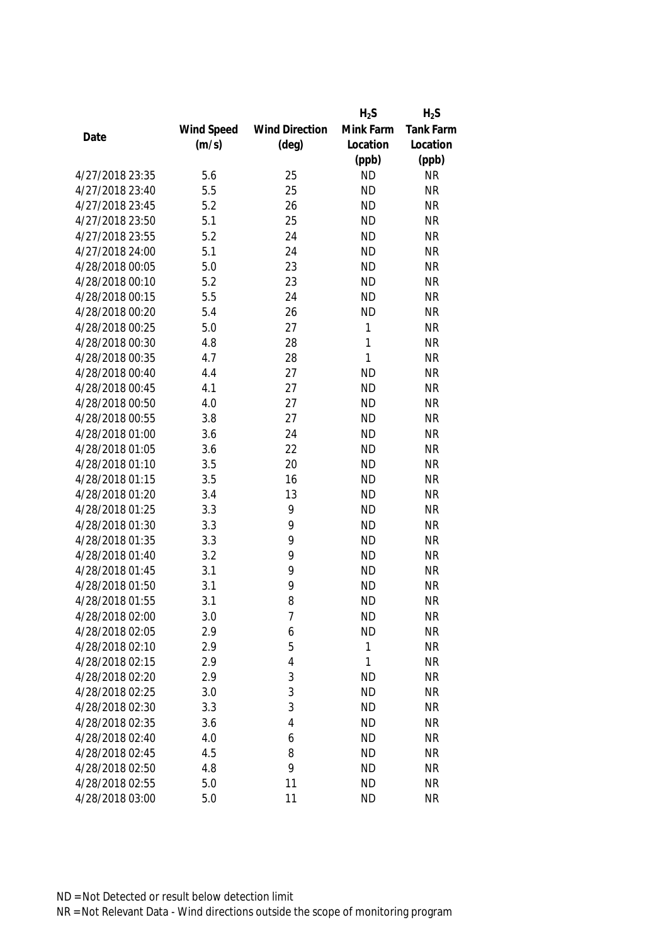|                 |            |                       | $H_2S$    | $H_2S$           |
|-----------------|------------|-----------------------|-----------|------------------|
|                 | Wind Speed | <b>Wind Direction</b> | Mink Farm | <b>Tank Farm</b> |
| Date            | (m/s)      | $(\text{deg})$        | Location  | Location         |
|                 |            |                       | (ppb)     | (ppb)            |
| 4/27/2018 23:35 | 5.6        | 25                    | <b>ND</b> | <b>NR</b>        |
| 4/27/2018 23:40 | 5.5        | 25                    | <b>ND</b> | <b>NR</b>        |
| 4/27/2018 23:45 | 5.2        | 26                    | <b>ND</b> | <b>NR</b>        |
| 4/27/2018 23:50 | 5.1        | 25                    | <b>ND</b> | <b>NR</b>        |
| 4/27/2018 23:55 | 5.2        | 24                    | <b>ND</b> | <b>NR</b>        |
| 4/27/2018 24:00 | 5.1        | 24                    | <b>ND</b> | <b>NR</b>        |
| 4/28/2018 00:05 | 5.0        | 23                    | <b>ND</b> | <b>NR</b>        |
| 4/28/2018 00:10 | 5.2        | 23                    | <b>ND</b> | <b>NR</b>        |
| 4/28/2018 00:15 | 5.5        | 24                    | <b>ND</b> | <b>NR</b>        |
| 4/28/2018 00:20 | 5.4        | 26                    | <b>ND</b> | <b>NR</b>        |
| 4/28/2018 00:25 | 5.0        | 27                    | 1         | <b>NR</b>        |
| 4/28/2018 00:30 | 4.8        | 28                    | 1         | <b>NR</b>        |
| 4/28/2018 00:35 | 4.7        | 28                    | 1         | <b>NR</b>        |
| 4/28/2018 00:40 | 4.4        | 27                    | <b>ND</b> | <b>NR</b>        |
| 4/28/2018 00:45 | 4.1        | 27                    | <b>ND</b> | <b>NR</b>        |
| 4/28/2018 00:50 | 4.0        | 27                    | <b>ND</b> | <b>NR</b>        |
| 4/28/2018 00:55 | 3.8        | 27                    | <b>ND</b> | <b>NR</b>        |
| 4/28/2018 01:00 | 3.6        | 24                    | <b>ND</b> | <b>NR</b>        |
| 4/28/2018 01:05 | 3.6        | 22                    | <b>ND</b> | <b>NR</b>        |
| 4/28/2018 01:10 | 3.5        | 20                    | <b>ND</b> | <b>NR</b>        |
| 4/28/2018 01:15 | 3.5        | 16                    | <b>ND</b> | <b>NR</b>        |
| 4/28/2018 01:20 | 3.4        | 13                    | <b>ND</b> | <b>NR</b>        |
| 4/28/2018 01:25 | 3.3        | 9                     | <b>ND</b> | <b>NR</b>        |
| 4/28/2018 01:30 | 3.3        | 9                     | <b>ND</b> | <b>NR</b>        |
| 4/28/2018 01:35 | 3.3        | 9                     | <b>ND</b> | <b>NR</b>        |
| 4/28/2018 01:40 | 3.2        | 9                     | <b>ND</b> | <b>NR</b>        |
| 4/28/2018 01:45 | 3.1        | 9                     | <b>ND</b> | <b>NR</b>        |
| 4/28/2018 01:50 | 3.1        | 9                     | <b>ND</b> | <b>NR</b>        |
| 4/28/2018 01:55 | 3.1        | 8                     | <b>ND</b> | <b>NR</b>        |
| 4/28/2018 02:00 | 3.0        | 7                     | <b>ND</b> | <b>NR</b>        |
| 4/28/2018 02:05 | 2.9        | 6                     | <b>ND</b> | <b>NR</b>        |
| 4/28/2018 02:10 | 2.9        | 5                     | 1         | <b>NR</b>        |
| 4/28/2018 02:15 | 2.9        | $\overline{4}$        | 1         | <b>NR</b>        |
| 4/28/2018 02:20 | 2.9        | 3                     | <b>ND</b> | <b>NR</b>        |
| 4/28/2018 02:25 | 3.0        | 3                     | <b>ND</b> | <b>NR</b>        |
| 4/28/2018 02:30 | 3.3        | 3                     | <b>ND</b> | <b>NR</b>        |
| 4/28/2018 02:35 | 3.6        | $\overline{4}$        | <b>ND</b> | <b>NR</b>        |
| 4/28/2018 02:40 | 4.0        | 6                     | <b>ND</b> | <b>NR</b>        |
| 4/28/2018 02:45 | 4.5        | 8                     | <b>ND</b> | <b>NR</b>        |
| 4/28/2018 02:50 | 4.8        | 9                     | <b>ND</b> | <b>NR</b>        |
| 4/28/2018 02:55 | 5.0        | 11                    | <b>ND</b> | <b>NR</b>        |
| 4/28/2018 03:00 | 5.0        | 11                    | <b>ND</b> | <b>NR</b>        |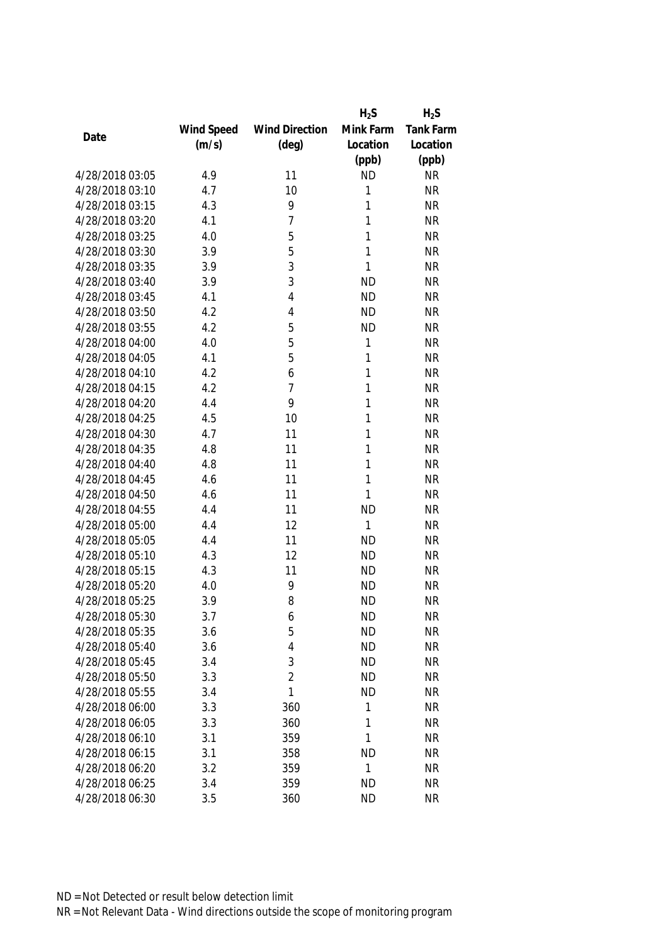|                 |            |                       | $H_2S$    | $H_2S$           |
|-----------------|------------|-----------------------|-----------|------------------|
|                 | Wind Speed | <b>Wind Direction</b> | Mink Farm | <b>Tank Farm</b> |
| Date            | (m/s)      | $(\text{deg})$        | Location  | Location         |
|                 |            |                       | (ppb)     | (ppb)            |
| 4/28/2018 03:05 | 4.9        | 11                    | <b>ND</b> | <b>NR</b>        |
| 4/28/2018 03:10 | 4.7        | 10                    | 1         | <b>NR</b>        |
| 4/28/2018 03:15 | 4.3        | 9                     | 1         | <b>NR</b>        |
| 4/28/2018 03:20 | 4.1        | 7                     | 1         | <b>NR</b>        |
| 4/28/2018 03:25 | 4.0        | 5                     | 1         | <b>NR</b>        |
| 4/28/2018 03:30 | 3.9        | 5                     | 1         | <b>NR</b>        |
| 4/28/2018 03:35 | 3.9        | 3                     | 1         | <b>NR</b>        |
| 4/28/2018 03:40 | 3.9        | 3                     | <b>ND</b> | <b>NR</b>        |
| 4/28/2018 03:45 | 4.1        | 4                     | <b>ND</b> | <b>NR</b>        |
| 4/28/2018 03:50 | 4.2        | 4                     | <b>ND</b> | <b>NR</b>        |
| 4/28/2018 03:55 | 4.2        | 5                     | <b>ND</b> | <b>NR</b>        |
| 4/28/2018 04:00 | 4.0        | 5                     | 1         | <b>NR</b>        |
| 4/28/2018 04:05 | 4.1        | 5                     | 1         | <b>NR</b>        |
| 4/28/2018 04:10 | 4.2        | 6                     | 1         | <b>NR</b>        |
| 4/28/2018 04:15 | 4.2        | $\overline{7}$        | 1         | <b>NR</b>        |
| 4/28/2018 04:20 | 4.4        | 9                     | 1         | <b>NR</b>        |
| 4/28/2018 04:25 | 4.5        | 10                    | 1         | <b>NR</b>        |
| 4/28/2018 04:30 | 4.7        | 11                    | 1         | <b>NR</b>        |
| 4/28/2018 04:35 | 4.8        | 11                    | 1         | <b>NR</b>        |
| 4/28/2018 04:40 | 4.8        | 11                    | 1         | <b>NR</b>        |
| 4/28/2018 04:45 | 4.6        | 11                    | 1         | <b>NR</b>        |
| 4/28/2018 04:50 | 4.6        | 11                    | 1         | <b>NR</b>        |
| 4/28/2018 04:55 | 4.4        | 11                    | <b>ND</b> | <b>NR</b>        |
| 4/28/2018 05:00 | 4.4        | 12                    | 1         | <b>NR</b>        |
| 4/28/2018 05:05 | 4.4        | 11                    | <b>ND</b> | <b>NR</b>        |
| 4/28/2018 05:10 | 4.3        | 12                    | <b>ND</b> | <b>NR</b>        |
| 4/28/2018 05:15 | 4.3        | 11                    | <b>ND</b> | <b>NR</b>        |
| 4/28/2018 05:20 | 4.0        | 9                     | <b>ND</b> | <b>NR</b>        |
| 4/28/2018 05:25 | 3.9        | 8                     | <b>ND</b> | <b>NR</b>        |
| 4/28/2018 05:30 | 3.7        | 6                     | <b>ND</b> | <b>NR</b>        |
| 4/28/2018 05:35 | 3.6        | 5                     | <b>ND</b> | <b>NR</b>        |
| 4/28/2018 05:40 | 3.6        | 4                     | <b>ND</b> | <b>NR</b>        |
| 4/28/2018 05:45 | 3.4        | 3                     | <b>ND</b> | <b>NR</b>        |
| 4/28/2018 05:50 | 3.3        | $\overline{2}$        | <b>ND</b> | <b>NR</b>        |
| 4/28/2018 05:55 | 3.4        | 1                     | <b>ND</b> | <b>NR</b>        |
| 4/28/2018 06:00 | 3.3        | 360                   | 1         | <b>NR</b>        |
| 4/28/2018 06:05 | 3.3        | 360                   | 1         | <b>NR</b>        |
| 4/28/2018 06:10 | 3.1        | 359                   | 1         | <b>NR</b>        |
| 4/28/2018 06:15 | 3.1        | 358                   | <b>ND</b> | <b>NR</b>        |
| 4/28/2018 06:20 | 3.2        | 359                   | 1         | <b>NR</b>        |
| 4/28/2018 06:25 | 3.4        | 359                   | <b>ND</b> | <b>NR</b>        |
|                 |            |                       |           |                  |
| 4/28/2018 06:30 | 3.5        | 360                   | <b>ND</b> | <b>NR</b>        |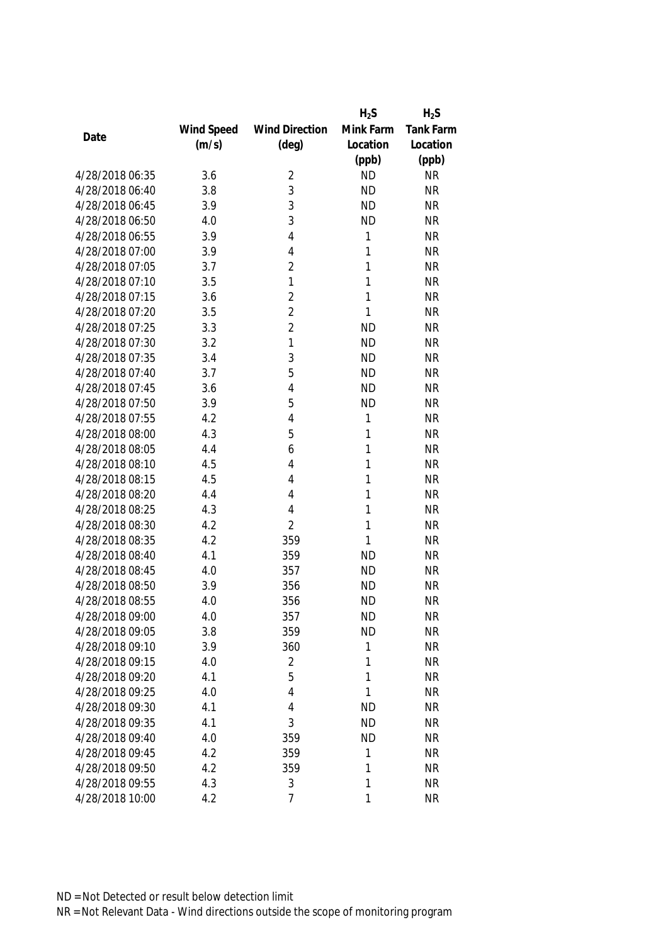|                 |            |                       | $H_2S$       | $H_2S$    |
|-----------------|------------|-----------------------|--------------|-----------|
|                 | Wind Speed | <b>Wind Direction</b> | Mink Farm    | Tank Farm |
| Date            | (m/s)      | $(\text{deg})$        | Location     | Location  |
|                 |            |                       | (ppb)        | (ppb)     |
| 4/28/2018 06:35 | 3.6        | $\overline{2}$        | <b>ND</b>    | <b>NR</b> |
| 4/28/2018 06:40 | 3.8        | 3                     | <b>ND</b>    | <b>NR</b> |
| 4/28/2018 06:45 | 3.9        | 3                     | <b>ND</b>    | <b>NR</b> |
| 4/28/2018 06:50 | 4.0        | 3                     | <b>ND</b>    | <b>NR</b> |
| 4/28/2018 06:55 | 3.9        | 4                     | 1            | <b>NR</b> |
| 4/28/2018 07:00 | 3.9        | $\overline{4}$        | 1            | <b>NR</b> |
| 4/28/2018 07:05 | 3.7        | $\overline{2}$        | 1            | <b>NR</b> |
| 4/28/2018 07:10 | 3.5        | 1                     | 1            | <b>NR</b> |
| 4/28/2018 07:15 | 3.6        | $\overline{2}$        | $\mathbf{1}$ | <b>NR</b> |
| 4/28/2018 07:20 | 3.5        | $\overline{2}$        | 1            | <b>NR</b> |
| 4/28/2018 07:25 | 3.3        | $\overline{2}$        | <b>ND</b>    | <b>NR</b> |
| 4/28/2018 07:30 | 3.2        | 1                     | <b>ND</b>    | <b>NR</b> |
| 4/28/2018 07:35 | 3.4        | 3                     | <b>ND</b>    | <b>NR</b> |
| 4/28/2018 07:40 | 3.7        | 5                     | <b>ND</b>    | <b>NR</b> |
| 4/28/2018 07:45 | 3.6        | $\overline{4}$        | <b>ND</b>    | <b>NR</b> |
| 4/28/2018 07:50 | 3.9        | 5                     | <b>ND</b>    | <b>NR</b> |
| 4/28/2018 07:55 | 4.2        | $\overline{4}$        | 1            | <b>NR</b> |
| 4/28/2018 08:00 | 4.3        | 5                     | 1            | <b>NR</b> |
| 4/28/2018 08:05 | 4.4        | 6                     | 1            | <b>NR</b> |
| 4/28/2018 08:10 | 4.5        | 4                     | 1            | <b>NR</b> |
| 4/28/2018 08:15 | 4.5        | 4                     | 1            | <b>NR</b> |
| 4/28/2018 08:20 | 4.4        | 4                     | 1            | <b>NR</b> |
| 4/28/2018 08:25 | 4.3        | 4                     | 1            | <b>NR</b> |
| 4/28/2018 08:30 | 4.2        | $\overline{2}$        | $\mathbf{1}$ | <b>NR</b> |
| 4/28/2018 08:35 | 4.2        | 359                   | 1            | <b>NR</b> |
| 4/28/2018 08:40 | 4.1        | 359                   | <b>ND</b>    | <b>NR</b> |
| 4/28/2018 08:45 | 4.0        | 357                   | <b>ND</b>    | <b>NR</b> |
| 4/28/2018 08:50 | 3.9        | 356                   | <b>ND</b>    | <b>NR</b> |
| 4/28/2018 08:55 | 4.0        | 356                   | <b>ND</b>    | <b>NR</b> |
| 4/28/2018 09:00 | 4.0        | 357                   | <b>ND</b>    | <b>NR</b> |
| 4/28/2018 09:05 | 3.8        | 359                   | <b>ND</b>    | <b>NR</b> |
| 4/28/2018 09:10 | 3.9        | 360                   | 1            | <b>NR</b> |
| 4/28/2018 09:15 | 4.0        | $\overline{2}$        | 1            | <b>NR</b> |
| 4/28/2018 09:20 | 4.1        | 5                     | 1            | <b>NR</b> |
| 4/28/2018 09:25 | 4.0        | 4                     | 1            | <b>NR</b> |
| 4/28/2018 09:30 | 4.1        | 4                     | <b>ND</b>    | <b>NR</b> |
| 4/28/2018 09:35 | 4.1        | 3                     | <b>ND</b>    | <b>NR</b> |
| 4/28/2018 09:40 | 4.0        | 359                   | <b>ND</b>    | <b>NR</b> |
| 4/28/2018 09:45 | 4.2        | 359                   | 1            | <b>NR</b> |
| 4/28/2018 09:50 | 4.2        | 359                   | 1            | <b>NR</b> |
| 4/28/2018 09:55 | 4.3        | 3                     | 1            | <b>NR</b> |
| 4/28/2018 10:00 | 4.2        | $\overline{7}$        | 1            | <b>NR</b> |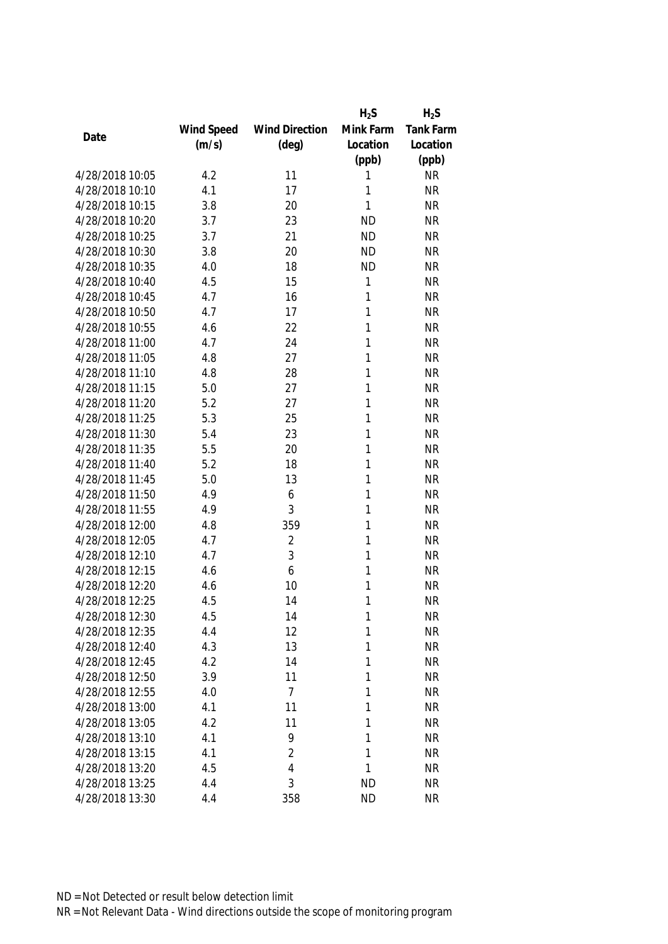|                 |            |                       | $H_2S$    | $H_2S$    |
|-----------------|------------|-----------------------|-----------|-----------|
|                 | Wind Speed | <b>Wind Direction</b> | Mink Farm | Tank Farm |
| Date            | (m/s)      | $(\text{deg})$        | Location  | Location  |
|                 |            |                       | (ppb)     | (ppb)     |
| 4/28/2018 10:05 | 4.2        | 11                    | 1         | <b>NR</b> |
| 4/28/2018 10:10 | 4.1        | 17                    | 1         | <b>NR</b> |
| 4/28/2018 10:15 | 3.8        | 20                    | 1         | <b>NR</b> |
| 4/28/2018 10:20 | 3.7        | 23                    | <b>ND</b> | <b>NR</b> |
| 4/28/2018 10:25 | 3.7        | 21                    | <b>ND</b> | <b>NR</b> |
| 4/28/2018 10:30 | 3.8        | 20                    | <b>ND</b> | <b>NR</b> |
| 4/28/2018 10:35 | 4.0        | 18                    | <b>ND</b> | <b>NR</b> |
| 4/28/2018 10:40 | 4.5        | 15                    | 1         | <b>NR</b> |
| 4/28/2018 10:45 | 4.7        | 16                    | 1         | <b>NR</b> |
| 4/28/2018 10:50 | 4.7        | 17                    | 1         | <b>NR</b> |
| 4/28/2018 10:55 | 4.6        | 22                    | 1         | <b>NR</b> |
| 4/28/2018 11:00 | 4.7        | 24                    | 1         | <b>NR</b> |
| 4/28/2018 11:05 | 4.8        | 27                    | 1         | <b>NR</b> |
| 4/28/2018 11:10 | 4.8        | 28                    | 1         | <b>NR</b> |
| 4/28/2018 11:15 | 5.0        | 27                    | 1         | <b>NR</b> |
| 4/28/2018 11:20 | 5.2        | 27                    | 1         | <b>NR</b> |
| 4/28/2018 11:25 | 5.3        | 25                    | 1         | <b>NR</b> |
| 4/28/2018 11:30 | 5.4        | 23                    | 1         | <b>NR</b> |
| 4/28/2018 11:35 | 5.5        | 20                    | 1         | <b>NR</b> |
| 4/28/2018 11:40 | 5.2        | 18                    | 1         | <b>NR</b> |
| 4/28/2018 11:45 | 5.0        | 13                    | 1         | <b>NR</b> |
| 4/28/2018 11:50 | 4.9        | 6                     | 1         | <b>NR</b> |
| 4/28/2018 11:55 | 4.9        | 3                     | 1         | <b>NR</b> |
| 4/28/2018 12:00 | 4.8        | 359                   | 1         | <b>NR</b> |
| 4/28/2018 12:05 | 4.7        | $\overline{2}$        | 1         | <b>NR</b> |
| 4/28/2018 12:10 | 4.7        | 3                     | 1         | <b>NR</b> |
| 4/28/2018 12:15 | 4.6        | 6                     | 1         | <b>NR</b> |
| 4/28/2018 12:20 | 4.6        | 10                    | 1         | <b>NR</b> |
| 4/28/2018 12:25 | 4.5        | 14                    | 1         | <b>NR</b> |
| 4/28/2018 12:30 | 4.5        | 14                    | 1         | <b>NR</b> |
| 4/28/2018 12:35 | 4.4        | 12                    | 1         | <b>NR</b> |
| 4/28/2018 12:40 | 4.3        | 13                    | 1         | <b>NR</b> |
| 4/28/2018 12:45 | 4.2        | 14                    | 1         | <b>NR</b> |
| 4/28/2018 12:50 | 3.9        | 11                    | 1         | <b>NR</b> |
| 4/28/2018 12:55 | 4.0        | $\overline{7}$        | 1         | <b>NR</b> |
| 4/28/2018 13:00 | 4.1        | 11                    | 1         | <b>NR</b> |
| 4/28/2018 13:05 | 4.2        | 11                    | 1         | <b>NR</b> |
| 4/28/2018 13:10 | 4.1        | 9                     | 1         | <b>NR</b> |
| 4/28/2018 13:15 | 4.1        | $\overline{2}$        | 1         | <b>NR</b> |
| 4/28/2018 13:20 | 4.5        | 4                     | 1         | <b>NR</b> |
| 4/28/2018 13:25 | 4.4        | 3                     | <b>ND</b> | <b>NR</b> |
| 4/28/2018 13:30 | 4.4        | 358                   | <b>ND</b> | <b>NR</b> |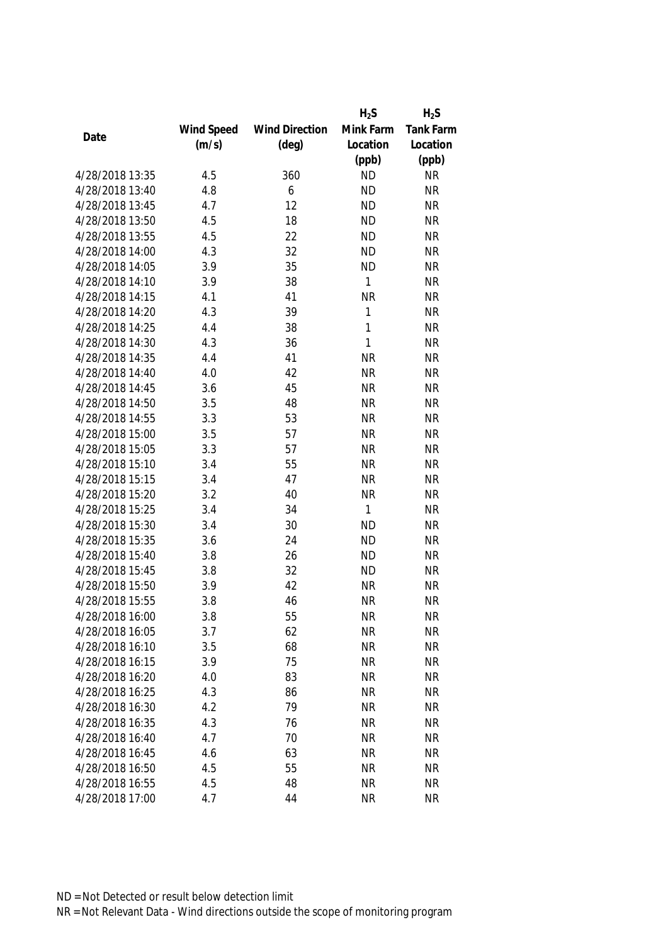|                 |            |                       | $H_2S$       | $H_2S$    |
|-----------------|------------|-----------------------|--------------|-----------|
|                 | Wind Speed | <b>Wind Direction</b> | Mink Farm    | Tank Farm |
| Date            | (m/s)      | $(\text{deg})$        | Location     | Location  |
|                 |            |                       | (ppb)        | (ppb)     |
| 4/28/2018 13:35 | 4.5        | 360                   | <b>ND</b>    | <b>NR</b> |
| 4/28/2018 13:40 | 4.8        | 6                     | <b>ND</b>    | <b>NR</b> |
| 4/28/2018 13:45 | 4.7        | 12                    | <b>ND</b>    | <b>NR</b> |
| 4/28/2018 13:50 | 4.5        | 18                    | <b>ND</b>    | <b>NR</b> |
| 4/28/2018 13:55 | 4.5        | 22                    | <b>ND</b>    | <b>NR</b> |
| 4/28/2018 14:00 | 4.3        | 32                    | <b>ND</b>    | <b>NR</b> |
| 4/28/2018 14:05 | 3.9        | 35                    | <b>ND</b>    | <b>NR</b> |
| 4/28/2018 14:10 | 3.9        | 38                    | 1            | <b>NR</b> |
| 4/28/2018 14:15 | 4.1        | 41                    | <b>NR</b>    | <b>NR</b> |
| 4/28/2018 14:20 | 4.3        | 39                    | 1            | <b>NR</b> |
| 4/28/2018 14:25 | 4.4        | 38                    | 1            | <b>NR</b> |
| 4/28/2018 14:30 | 4.3        | 36                    | 1            | <b>NR</b> |
| 4/28/2018 14:35 | 4.4        | 41                    | <b>NR</b>    | <b>NR</b> |
| 4/28/2018 14:40 | 4.0        | 42                    | <b>NR</b>    | <b>NR</b> |
| 4/28/2018 14:45 | 3.6        | 45                    | <b>NR</b>    | <b>NR</b> |
| 4/28/2018 14:50 | 3.5        | 48                    | <b>NR</b>    | <b>NR</b> |
| 4/28/2018 14:55 | 3.3        | 53                    | <b>NR</b>    | <b>NR</b> |
| 4/28/2018 15:00 | 3.5        | 57                    | <b>NR</b>    | <b>NR</b> |
| 4/28/2018 15:05 | 3.3        | 57                    | <b>NR</b>    | <b>NR</b> |
| 4/28/2018 15:10 | 3.4        | 55                    | <b>NR</b>    | <b>NR</b> |
| 4/28/2018 15:15 | 3.4        | 47                    | <b>NR</b>    | <b>NR</b> |
| 4/28/2018 15:20 | 3.2        | 40                    | <b>NR</b>    | <b>NR</b> |
| 4/28/2018 15:25 | 3.4        | 34                    | $\mathbf{1}$ | <b>NR</b> |
| 4/28/2018 15:30 | 3.4        | 30                    | <b>ND</b>    | <b>NR</b> |
| 4/28/2018 15:35 | 3.6        | 24                    | <b>ND</b>    | <b>NR</b> |
| 4/28/2018 15:40 | 3.8        | 26                    | <b>ND</b>    | <b>NR</b> |
| 4/28/2018 15:45 | 3.8        | 32                    | <b>ND</b>    | <b>NR</b> |
| 4/28/2018 15:50 | 3.9        | 42                    | <b>NR</b>    | <b>NR</b> |
| 4/28/2018 15:55 | 3.8        | 46                    | <b>NR</b>    | <b>NR</b> |
| 4/28/2018 16:00 | 3.8        | 55                    | <b>NR</b>    | <b>NR</b> |
| 4/28/2018 16:05 | 3.7        | 62                    | <b>NR</b>    | <b>NR</b> |
| 4/28/2018 16:10 | 3.5        | 68                    | <b>NR</b>    | <b>NR</b> |
| 4/28/2018 16:15 | 3.9        | 75                    | <b>NR</b>    | <b>NR</b> |
| 4/28/2018 16:20 | 4.0        | 83                    | <b>NR</b>    | <b>NR</b> |
| 4/28/2018 16:25 | 4.3        | 86                    | <b>NR</b>    | <b>NR</b> |
| 4/28/2018 16:30 | 4.2        | 79                    | <b>NR</b>    | <b>NR</b> |
| 4/28/2018 16:35 | 4.3        | 76                    | <b>NR</b>    | <b>NR</b> |
| 4/28/2018 16:40 | 4.7        | 70                    | <b>NR</b>    | <b>NR</b> |
| 4/28/2018 16:45 | 4.6        | 63                    | <b>NR</b>    | <b>NR</b> |
| 4/28/2018 16:50 | 4.5        | 55                    | <b>NR</b>    | <b>NR</b> |
| 4/28/2018 16:55 | 4.5        | 48                    | <b>NR</b>    | <b>NR</b> |
| 4/28/2018 17:00 | 4.7        | 44                    | <b>NR</b>    | <b>NR</b> |
|                 |            |                       |              |           |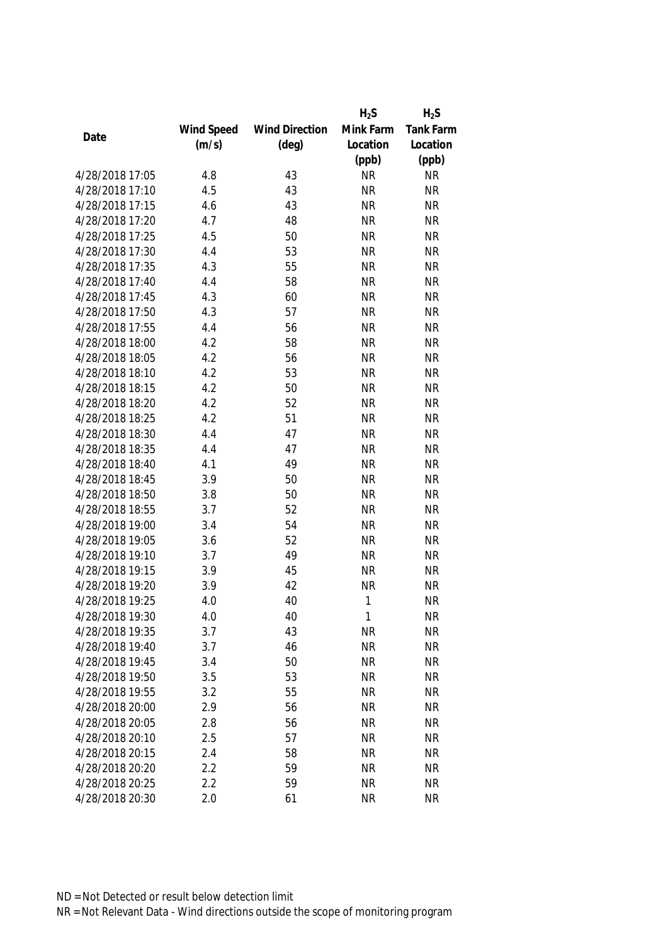|                 |            |                       | $H_2S$    | $H_2S$    |
|-----------------|------------|-----------------------|-----------|-----------|
|                 | Wind Speed | <b>Wind Direction</b> | Mink Farm | Tank Farm |
| Date            | (m/s)      | $(\text{deg})$        | Location  | Location  |
|                 |            |                       | (ppb)     | (ppb)     |
| 4/28/2018 17:05 | 4.8        | 43                    | <b>NR</b> | <b>NR</b> |
| 4/28/2018 17:10 | 4.5        | 43                    | <b>NR</b> | <b>NR</b> |
| 4/28/2018 17:15 | 4.6        | 43                    | <b>NR</b> | <b>NR</b> |
| 4/28/2018 17:20 | 4.7        | 48                    | <b>NR</b> | <b>NR</b> |
| 4/28/2018 17:25 | 4.5        | 50                    | <b>NR</b> | <b>NR</b> |
| 4/28/2018 17:30 | 4.4        | 53                    | <b>NR</b> | <b>NR</b> |
| 4/28/2018 17:35 | 4.3        | 55                    | <b>NR</b> | <b>NR</b> |
| 4/28/2018 17:40 | 4.4        | 58                    | <b>NR</b> | <b>NR</b> |
| 4/28/2018 17:45 | 4.3        | 60                    | <b>NR</b> | <b>NR</b> |
| 4/28/2018 17:50 | 4.3        | 57                    | <b>NR</b> | <b>NR</b> |
| 4/28/2018 17:55 | 4.4        | 56                    | <b>NR</b> | <b>NR</b> |
| 4/28/2018 18:00 | 4.2        | 58                    | <b>NR</b> | <b>NR</b> |
| 4/28/2018 18:05 | 4.2        | 56                    | <b>NR</b> | <b>NR</b> |
| 4/28/2018 18:10 | 4.2        | 53                    | <b>NR</b> | <b>NR</b> |
| 4/28/2018 18:15 | 4.2        | 50                    | <b>NR</b> | <b>NR</b> |
| 4/28/2018 18:20 | 4.2        | 52                    | <b>NR</b> | <b>NR</b> |
| 4/28/2018 18:25 | 4.2        | 51                    | <b>NR</b> | <b>NR</b> |
| 4/28/2018 18:30 | 4.4        | 47                    | <b>NR</b> | <b>NR</b> |
| 4/28/2018 18:35 | 4.4        | 47                    | <b>NR</b> | <b>NR</b> |
| 4/28/2018 18:40 | 4.1        | 49                    | <b>NR</b> | <b>NR</b> |
| 4/28/2018 18:45 | 3.9        | 50                    | <b>NR</b> | <b>NR</b> |
| 4/28/2018 18:50 | 3.8        | 50                    | <b>NR</b> | <b>NR</b> |
| 4/28/2018 18:55 | 3.7        | 52                    | <b>NR</b> | <b>NR</b> |
| 4/28/2018 19:00 | 3.4        | 54                    | <b>NR</b> | <b>NR</b> |
| 4/28/2018 19:05 | 3.6        | 52                    | <b>NR</b> | <b>NR</b> |
| 4/28/2018 19:10 | 3.7        | 49                    | <b>NR</b> | <b>NR</b> |
| 4/28/2018 19:15 | 3.9        | 45                    | <b>NR</b> | <b>NR</b> |
| 4/28/2018 19:20 | 3.9        | 42                    | <b>NR</b> | <b>NR</b> |
| 4/28/2018 19:25 | 4.0        | 40                    | 1         | <b>NR</b> |
| 4/28/2018 19:30 | 4.0        | 40                    | 1         | <b>NR</b> |
| 4/28/2018 19:35 | 3.7        | 43                    | <b>NR</b> | <b>NR</b> |
| 4/28/2018 19:40 | 3.7        | 46                    | <b>NR</b> | <b>NR</b> |
| 4/28/2018 19:45 | 3.4        | 50                    | <b>NR</b> | <b>NR</b> |
| 4/28/2018 19:50 | 3.5        | 53                    | <b>NR</b> | <b>NR</b> |
| 4/28/2018 19:55 | 3.2        | 55                    | <b>NR</b> | <b>NR</b> |
| 4/28/2018 20:00 | 2.9        | 56                    | <b>NR</b> | <b>NR</b> |
| 4/28/2018 20:05 | 2.8        | 56                    | <b>NR</b> | <b>NR</b> |
| 4/28/2018 20:10 | 2.5        | 57                    | <b>NR</b> | <b>NR</b> |
| 4/28/2018 20:15 | 2.4        | 58                    | <b>NR</b> | <b>NR</b> |
| 4/28/2018 20:20 | 2.2        | 59                    | <b>NR</b> | <b>NR</b> |
| 4/28/2018 20:25 | 2.2        | 59                    | <b>NR</b> | <b>NR</b> |
|                 |            |                       |           |           |
| 4/28/2018 20:30 | 2.0        | 61                    | <b>NR</b> | <b>NR</b> |